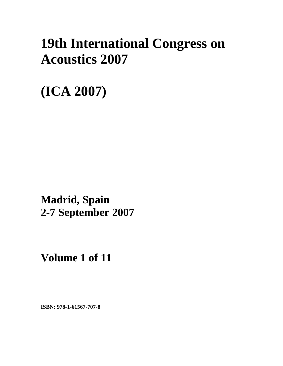# **19th International Congress on Acoustics 2007**

**(ICA 2007)** 

**Madrid, Spain 2-7 September 2007**

**Volume 1 of 11** 

**ISBN: 978-1-61567-707-8**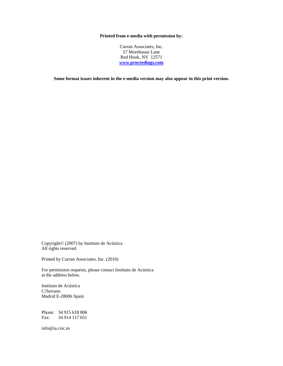### **Printed from e-media with permission by:**

Curran Associates, Inc. 57 Morehouse Lane Red Hook, NY 12571 **www.proceedings.com**

**Some format issues inherent in the e-media version may also appear in this print version.** 

Copyright© (2007) by Instituto de Acústica All rights reserved.

Printed by Curran Associates, Inc. (2010)

For permission requests, please contact Instituto de Acústica at the address below.

Instituto de Acústica C/Serrano Madrid E-28006 Spain

Phone: 34 915 618 806 Fax: 34 914 117 651

info@ia.csic.es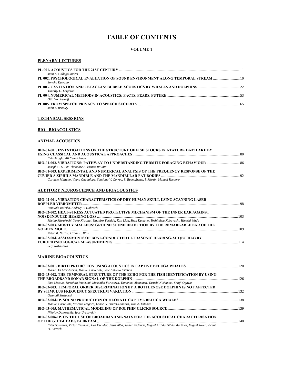### **TABLE OF CONTENTS**

### **VOLUME 1**

### **PLENARY LECTURES**

| Juan A. Gallego-Juárez                                                          |  |
|---------------------------------------------------------------------------------|--|
| PL 002. PSYCHOLOGICAL EVALUATION OF SOUND ENVIRONMENT ALONG TEMPORAL STREAM  10 |  |
| Sonoko Kuwano                                                                   |  |
|                                                                                 |  |
| Timothy G. Leighton                                                             |  |
|                                                                                 |  |
| Otto Von Estorff                                                                |  |
|                                                                                 |  |
| John S. Bradley                                                                 |  |

**TECHNICAL SESSIONS**

### **BIO - BIOACOUSTICS**

### **ANIMAL ACOUSTICS**

| BIO-01-001. INVESTIGATIONS ON THE STRUCTURE OF FISH STOCKS IN ATATURK DAM LAKE BY                                      |  |
|------------------------------------------------------------------------------------------------------------------------|--|
|                                                                                                                        |  |
| Ekin Akoglu, Ali Cemal Gucu                                                                                            |  |
| BIO-01-002, VIBRATIONS: PATHWAY TO UNDERSTANDING TERMITE FORAGING BEHAVIOUR                                            |  |
| Joseph C. S. Lai, Theodore A. Evans; Ra Inta                                                                           |  |
| <b>BIO-01-003. EXPERIMENTAL AND NUMERICAL ANALYSIS OF THE FREQUENCY RESPONSE OF THE</b>                                |  |
|                                                                                                                        |  |
| Carmelo Militello, Viana Guadalupe, Santiago V. Correa, S. Buenafuente, I. Martín, Manuel Recuero                      |  |
|                                                                                                                        |  |
| <b>AUDITORY NEUROSCIENCE AND BIOACOUSTICS</b>                                                                          |  |
|                                                                                                                        |  |
| BIO-02-001. VIBRATION CHARACTERISTICS OF DRY HUMAN SKULL USING SCANNING LASER                                          |  |
|                                                                                                                        |  |
| Romuald Bolejko, Andrzej B. Dobrucki<br>BIO-02-002. HEAT-STRESS ACTUATED PROTECTIVE MECHANISM OF THE INNER EAR AGAINST |  |
|                                                                                                                        |  |
| Michio Murakoshi, Yoko Kitsunai, Naohiro Yoshida, Koji Lida, Shun Kumano, Toshimitsu Kobayashi, Hiroshi Wada           |  |
| <b>BIO-02-003. MOSTLY MALLEUS: GROUND SOUND DETECTION BY THE REMARKABLE EAR OF THE</b>                                 |  |
|                                                                                                                        |  |
| Peter M. Narins, Urban B. Willi                                                                                        |  |

**EUROPHYSIOLOGICAL MEASUREMENTS**.........................................................................................................................................114 *Seiji Nakagawa* 

### **MARINE BIOACOUSTICS**

| María Del Mar Azorin, Manuel Castellote, José Antonio Esteban                                                                   |  |
|---------------------------------------------------------------------------------------------------------------------------------|--|
| BIO-03-002. THE TEMPORAL STRUCTURE OF THE ECHO FOR THE FISH IDENTIFICATION BY USING                                             |  |
|                                                                                                                                 |  |
| Ikuo Matsuo, Tomohito Imaizumi, Masahiko Furusawa, Tomonari Akamatsu, Yasushi Nishimori, Shinji Ogawa                           |  |
| BIO-03-003. TEMPORAL ORDER DISCRIMINATION BY A BOTTLENOSE DOLPHIN IS NOT AFFECTED                                               |  |
|                                                                                                                                 |  |
| Gennadi Zaslavski                                                                                                               |  |
|                                                                                                                                 |  |
| Manuel Castellote, Valeria Vergara, Lance G. Barret-Lennard, Jose A. Esteban                                                    |  |
|                                                                                                                                 |  |
| Nikolay Dubrovskiy, Igor Urusovskiy                                                                                             |  |
| BIO-03-006-IP. ON THE USE OF BROADBAND SIGNALS FOR THE ACOUSTICAL CHARACTERISATION                                              |  |
|                                                                                                                                 |  |
| Ester Soliveres, Víctor Espinosa, Eva Escuder, Jesús Alba, Javier Redondo, Miguel Ardida, Silvia Martínez, Miguel Jover, Vicent |  |
| D. Estruch                                                                                                                      |  |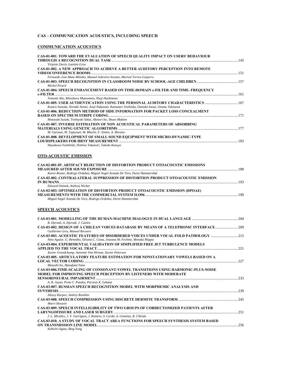### **CAS – COMMUNICATION ACOUSTICS, INCLUDING SPEECH**

### **COMMUNICATION ACOUSTICS**

| <b>CAS-01-001. TOWARD THE EVALUATION OF SPEECH QUALITY IMPACT ON USERS' BEHAVIOUR</b>                                                                                              |  |
|------------------------------------------------------------------------------------------------------------------------------------------------------------------------------------|--|
| Virginie Durin, Laetitia Gros                                                                                                                                                      |  |
| <b>CAS-01-002. A NEW APPROACH TO ACHIEVE A BETTER AUDITORY PERCEPTION INTO REMOTE</b>                                                                                              |  |
| Fernando Jose Mato-Méndez, Manuel Sobreira-Seoane, Marisol Torres-Guijarro                                                                                                         |  |
| Michel Picard                                                                                                                                                                      |  |
| <b>CAS-01-004. SPEECH ENHANCEMENT BASED ON TIME-DOMAIN &amp;-FILTER AND TIME- FREQUENCY</b>                                                                                        |  |
| Tomomi Abe, Mitsuharu Matsumoto, Shuji Hashimoto                                                                                                                                   |  |
| CAS-01-005. USER AUTHENTICATION USING THE PERSONAL AUDITORY CHARACTERISTICS 167<br>Kotaro Sonoda, Noriaki Asemi, Junji Nakazato, Katsunari Yoshioka, Daisuke Inoue, Osamu Takizawa |  |
| <b>CAS-01-006. REDUCTION METHOD OF SIDE INFORMATION FOR PACKET LOSS CONCEALMENT</b>                                                                                                |  |
| Motoyuki Suzuki, Toshiyuki Sakai, Akinori Ito, Shozo Makino                                                                                                                        |  |
| <b>CAS-01-007. INVERSE ESTIMATION OF NON ACOUSTICAL PARAMETERS OF ABSORBING</b><br>M. Garoum, M. Tajayouti, M. Rhachi, F. Simón, A. Moreno                                         |  |
| <b>CAS-01-008. DEVELOPMENT OF SMALL SOUND EQUIPMENT WITH MICRO-DYNAMIC-TYPE</b>                                                                                                    |  |
|                                                                                                                                                                                    |  |
| Hayakawa Yoshihide, Nishino Takanori, Takeda Kazuya                                                                                                                                |  |
| <b>OTO-ACOUSTIC EMISSION</b>                                                                                                                                                       |  |
| <b>CAS-02-001-IP. ARTIFACT REJECTION OF DISTORTION PRODUCT OTOACOUSTIC EMISSIONS</b>                                                                                               |  |
| Karen Reuter, Rodrigo Ordoñez, Miguel Angel Aranda De Toro, Dorte Hammershøi                                                                                                       |  |
| <b>CAS-02-002. CONTRALATERAL SUPPRESSION OF DISTORTION PRODUCT OTOACOUSTIC EMISSION</b>                                                                                            |  |
| Edward Ozimek, Andrzej Wicher                                                                                                                                                      |  |
| <b>CAS-02-003. OPTIMIZATION OF DISTORTION PRODUCT OTOACOUSTIC EMISSION (DPOAE)</b><br>Miguel Angel Aranda De Toro, Rodrigo Ordoñez, Dorte Hammershøi                               |  |
| <b>SPEECH ACOUSTICS</b>                                                                                                                                                            |  |
| R. Djeradi, A. Djeradi, J. Caelen                                                                                                                                                  |  |
| CAS-03-002. DESIGN OF A CHILEAN VOICES DATABASE BY MEANS OF A TELEPHONIC INTERFACE209<br>Guillermo Grez, Manuel Recuero                                                            |  |
| CAS-03-003. ACOUSTIC FEATURES OF DISORDERED VOICES UNDER VOCAL FOLD PATHOLOGY 215                                                                                                  |  |
| Neto Aguiar, G. Benedito, Silvana C. Costa, Joseana M. Fechine, Menaka Muppa                                                                                                       |  |
| <b>CAS-03-004. EXPERIMENTAL VALIDATION OF SIMPLIFIED FREE JET TURBULENCE MODELS</b>                                                                                                |  |
| Xavier Grandchamp, Annemie Van Hirtum, Xavier Pelorson                                                                                                                             |  |
| <b>CAS-03-005. ARTICULATORY FEATURE ESTIMATION FOR NONSTATIONARY VOWELS BASED ON A</b>                                                                                             |  |
| Masashi Ito, Masafumi Yano                                                                                                                                                         |  |
| CAS-03-006.TIME-SCALING OF CONSONANT-VOWEL TRANSITIONS USING HARMONIC-PLUS-NOISE<br>MODEL FOR IMPROVING SPEECH PERCEPTION BY LISTENERS WITH MODERATE                               |  |
| A. R. Jayan, Prem C. Pandey, Parveen K. Lehana                                                                                                                                     |  |
| <b>CAS-03-007. RUSSIAN SPEECH RECOGNITION MODEL WITH MORPHEMIC ANALYSIS AND</b>                                                                                                    |  |
| Alexey Karpov, Andrey Ronzhin                                                                                                                                                      |  |
| Marvi Hossein                                                                                                                                                                      |  |
| <b>CAS-03-009. SPEECH INTELLIGIBILITY OF TWO GROUPS OF CORDECTOMIZED PATIENTS AFTER</b>                                                                                            |  |
| J. L. Miralles, J. V. Garrigues, J. Romero, S. Cerdá, A. Giménez, R. Cibrián                                                                                                       |  |
| <b>CAS-03-010. A STUDY OF VOCAL TRACT AREA FUNCTIONS FOR SPEECH SYNTHESIS SYSTEM BASED</b>                                                                                         |  |
| Kohichi Ogata, Bing Yang                                                                                                                                                           |  |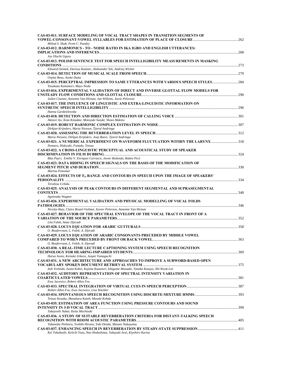| <b>CAS-03-011. SURFACE MODELING OF VOCAL TRACT SHAPES IN TRANSITION SEGMENTS OF</b>                                                                                                               |  |
|---------------------------------------------------------------------------------------------------------------------------------------------------------------------------------------------------|--|
| Milind S. Shah, Prem C. Pandey<br>CAS-03-012. HARMONICS - TO - NOISE RATIO IN IKA IGBO AND ENGLISH UTTERANCES:                                                                                    |  |
| Joy Oluchi Uguru                                                                                                                                                                                  |  |
| CAS-03-013. POLISH SENTENCE TEST FOR SPEECH INTELLIGIBILITY MEASUREMENTS IN MASKING                                                                                                               |  |
| Edward Ozimek, Dariusz Kutzner, Aleksander Sek, Andrzej Wicher<br>Orpita Bosu, Asoke Datta                                                                                                        |  |
| CAS-03-015. PERCEPTRAL IMPRESSION TO SAME UTTERANCES WITH VARIOUS SPEECH STYLES284<br>Yasukazu Kanamori, Mayo Noda                                                                                |  |
| <b>CAS-03-016. EXPERIMENTAL VALIDATION OF DIRECT AND INVERSE GLOTTAL FLOW MODELS FOR</b><br>Julien Cisonni, Annemie Van Hirtum, Jan Willems, Xavie Pelorson                                       |  |
| <b>CAS-03-017. THE INFLUENCE OF LINGUISTIC AND EXTRA-LINGUISTIC INFORMATION ON</b>                                                                                                                |  |
| Hanna Gardzielewska<br>Akinori Ito, Kota Kitadate, Motoyuki Suzuki, Shozo Makino                                                                                                                  |  |
| Dirkjan Krijnders, Maria Niessen, Tjeerd Andringa                                                                                                                                                 |  |
| Maria Niessen, Dirkjan Krijnders, Joep Boers, Tjeerd Andringa                                                                                                                                     |  |
| CAS-03-021. A NUMERICAL EXPERIMENT ON WAVEFORM FLUCTUATION WITHIN THE LARYNX 318<br>Nomura, Hideyuki; Funada, Tetsuo<br>CAS-03-022. A CROSS-LINGUISTIC PERCEPTUAL AND ACOUSTICAL STUDY OF SPEAKER |  |
| Blas Payri, Emilia V. Enríquez Carrasco, Javier Redondo, Ruben Picó                                                                                                                               |  |
| CAS-03-023. DATA HIDING IN SPEECH SIGNALS ON THE BASIS OF THE MODIFICATION OF<br>Marina Ponomar                                                                                                   |  |
| CAS-03-024. EFFECTS OF F <sub>o</sub> RANGE AND CONTOURS IN SPEECH UPON THE IMAGE OF SPEAKERS'<br>Teruhisa Uchida                                                                                 |  |
| <b>CAS-03-025. ANALYSIS OF PEAK CONTOURS IN DIFFERENT SEGMENTAL AND SUPRASEGMENTAL</b>                                                                                                            |  |
| Agnieszka Wagner<br><b>CAS-03-026. EXPERIMENTAL VALIDATION AND PHYSICAL MODELLING OF VOCAL FOLDS</b>                                                                                              |  |
| Nicolas Ruty, Claire Brutel-Vuilmet, Xavier Pelorson, Annemie Van Hirtum<br><b>CAS-03-027. BEHAVIOR OF THE SPECTRAL ENVELOPE OF THE VOCAL TRACT IN FRONT OF A</b>                                 |  |
| Lila Falek, Amar Djeradi                                                                                                                                                                          |  |
| O. Bouferroum, L. Falek, A. Djeradi<br><b>CAS-03-029. LOCUS EQUATION OF ARABIC CONSONANTS PRECEDED BY MIDDLE VOWEL</b>                                                                            |  |
| O. Bouferroum, L. Falek, A. Djeradi<br>CAS-03-030. A REAL-TIME LECTURE CAPTIONING SYSTEM USING SPEECH RECOGNITION                                                                                 |  |
| Haruo Isono, Keisuke Irikura, Junpei Yamaguchi                                                                                                                                                    |  |
| <b>CAS-03-031. A NEW ARCHITECTURE AND APPROACHES TO IMPROVE A SUBWORD-BASED OPEN</b><br>Itoh Yoshiaki, Iwata Kohei, Kojima Kazunori, Ishigame Masaaki, Tanaka Kazuyo, Shi-Wook Lee                |  |
| <b>CAS-03-032. AUDITORY REPRESENTATION OF SPECTRAL INTENSITY VARIATION IN</b>                                                                                                                     |  |
| Ewa Jacewicz, Robert Allen Fox                                                                                                                                                                    |  |
| Robert Allen Fox, Ewa Jacewicz, Lisa Wackler<br>Tetsuo Kosaka, Masaharu Katoh, Masaki Kohda                                                                                                       |  |
| <b>CAS-03-035. ESTIMATION OF AREA FUNCTION USING PRESSURE CONTOURS AND SOUND</b>                                                                                                                  |  |
| Takayoshi Nakai, Keita Mochizuki<br>CAS-03-036. A STUDY OF SUITABLE REVERBERATION CRITERIA FOR DISTANT-TALKING SPEECH                                                                             |  |
| Takanobu Nishiura, Yoshiki Hirano, Yuki Denda, Masato Nakayama<br>Kei Takahashi, Keiichi Yasu, Nao Hodoshima, Takayuki Arai, Kiyohiro Kurisu                                                      |  |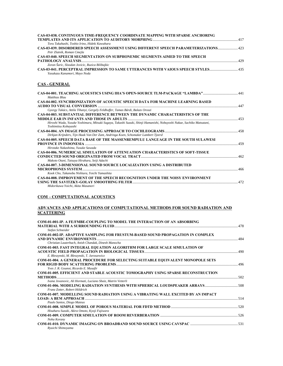| CAS-03-038. CONTINUOUS TIME-FREQUENCY COORDINATE MAPPING WITH SPARSE ANCHORING                                                                |     |
|-----------------------------------------------------------------------------------------------------------------------------------------------|-----|
| Toru Takahashi, Toshio Irino, Hideki Kawahara                                                                                                 |     |
| CAS-03-039. DISORDERED SPEECH ASSESSMENT USING DIFFERENT SPEECH PARAMETERIZATIONS 423<br>Petr Zlatník, Roman Cmejla                           |     |
| CAS-03-040. SPEECH SEGMENTATION ON SUBPHONEMIC SEGMENTS AIMED TO THE SPEECH                                                                   |     |
| Zoran Šaric, Sloodan Jovicic, Ruzica Bilibajkic                                                                                               |     |
| CAS-03-041. PERCEPTRAL IMPRESSION TO SAME UTTERANCES WITH VAIOUS SPEECH STYLES<br>Yasukazu Kanamori, Mayo Noda                                |     |
| <b>CAS - GENERAL</b>                                                                                                                          |     |
| CAS-04-001. TEACHING ACOUSTICS USING IHA'S OPEN-SOURCE TLM-PACKAGE "LAMBDA"<br>Matthias Blau                                                  |     |
| <b>CAS-04-002. SYNCHRONIZATION OF ACOUSTIC SPEECH DATA FOR MACHINE LEARNING BASED</b>                                                         |     |
|                                                                                                                                               | 447 |
| Gyorgy Takács, Attila Tihanyi, Gergely Feldhoffer, Tamas Bárdi, Balazs Oroszi                                                                 |     |
| <b>CAS-04-003. SUBSTANTIAL DIFFERENCE BETWEEN THE DYNAMIC CHARACTERISTICS OF THE</b>                                                          |     |
|                                                                                                                                               |     |
| Hiroshi Wada, Yusuke Yoshimura, Mitsuki Sugaya, Takashi Suzuki, Shinji Hamanishi, Nobuyoshi Nakae, Sachiko Matsutani,<br>Toshimitsu Kobayashi |     |
|                                                                                                                                               |     |
| Dirkjan Krijnders, Tijn Haak Van Der Zant, Andringa Koen, Schomaker Lambert Tjeerd                                                            |     |
| <b>CAS-04-005. SPEECH DATA BASE OF THE MASSENREMPULU LANGUAGE IN THE SOUTH SULAWESI</b>                                                       |     |
|                                                                                                                                               |     |
| Hirotake Nakashima. Yusuke Sawada                                                                                                             |     |
| <b>CAS-04-006. NUMERICAL SIMULATION OF ATTENUATION CHARACTERISTICS OF SOFT-TISSUE</b>                                                         |     |
| Makoto Otani, Tatsuya Hirahara, Seiji Adachi                                                                                                  |     |
| <b>CAS-04-007. 3-DIMENSIONAL SOUND SOURCE LOCALIZATION USING A DISTRIBUTED</b>                                                                |     |
|                                                                                                                                               |     |
| Kook Cho, Takanobu Nishiura, Yoichi Yamashita                                                                                                 |     |
| <b>CAS-04-008. IMPROVEMENT OF THE SPEECH RECOGNITION UNDER THE NOISY ENVIRONMENT</b>                                                          |     |

## **COM – COMPUTATIONAL ACOUSTICS**

*Midorikawa Yoichi, Akita Masanori* 

#### **ADVANCES AND APPLICATIONS OF COMPUTATIONAL METHODS FOR SOUND RADIATION AND SCATTERING**

**USING THE SAVITZKY-GOLAY SMOOTHING FILTER**...................................................................................................................472

| <b>COM-01-001-IP. A FE/FMBE-COUPLING TO MODEL THE INTERACTION OF AN ABSORBING</b>        |  |
|------------------------------------------------------------------------------------------|--|
|                                                                                          |  |
| Stefan Schneider                                                                         |  |
| COM-01-002-IP. ADAPTIVE SAMPLING FOR FRUSTUM-BASED SOUND PROPAGATION IN COMPLEX          |  |
|                                                                                          |  |
| Christian Lauterbach, Anish Chandak, Dinesh Manocha                                      |  |
| <b>COM-01-003. FAST INTEGRAL EQUATION ALGORITHM FOR LARGE SCALE SIMULATION OF</b>        |  |
|                                                                                          |  |
| E. Bleszynski, M. Bleszynski, T. Jaroszewicz                                             |  |
| <b>COM-01-004. A GENERAL PROCEDURE FOR SELECTING SUITABLE EQUIVALENT MONOPOLE SETS</b>   |  |
|                                                                                          |  |
| Yves J. R. Gounot, Ricardo E. Musafir                                                    |  |
| <b>COM-01-005. EFFICIENT AND STABLE ACOUSTIC TOMOGRAPHY USING SPARSE RECONSTRUCTION</b>  |  |
|                                                                                          |  |
| Ivana Jovanovic, Ali Hormati, Luciano Sbaiz, Matrin Vetterli                             |  |
|                                                                                          |  |
| Franz Zotter, Robert Höldrich                                                            |  |
| <b>COM-01-007. MODELLING SOUND RADIATION USING A VIBRATING WALL EXCITED BY AN IMPACT</b> |  |
|                                                                                          |  |
| Paulo Santos, Diogo Mateus                                                               |  |
|                                                                                          |  |
| Hisaharu Suzuki, Akira Omoto, Kyoji Fujiwara                                             |  |
|                                                                                          |  |
| Noha Korany                                                                              |  |
|                                                                                          |  |
| Rvuichi Shimovama                                                                        |  |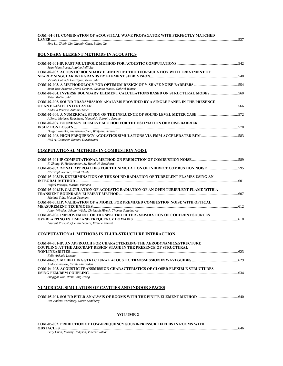| COM -01-011. COMBINATION OF ACOUSTICAL WAVE PROPAGATOR WITH PERFECTLY MATCHED                                                                      |  |
|----------------------------------------------------------------------------------------------------------------------------------------------------|--|
| Jing Lu, Zhibin Lin, Xiaoqin Chen, Boling Xu                                                                                                       |  |
| <b>BOUNDARY ELEMENT METHODS IN ACOUSTICS</b>                                                                                                       |  |
| Jean-Marc Parot, Antoine Pellicier                                                                                                                 |  |
| COM-02-002. ACOUSTIC BOUNDARY ELEMENT METHOD FORMULATION WITH TREATMENT OF<br>Vicente Cutanda Henriquez, Peter Juhl                                |  |
| Juan Jose Aznarez, David Greiner, Orlando Maeso, Gabriel Winter                                                                                    |  |
| COM-02-004. INVERSE BOUNDARY ELEMENT CALCULATIONS BASED ON STRUCTURAL MODES<br>Peter Møller Juhl                                                   |  |
| COM-02-005. SOUND TRANSMISSION ANALYSIS PROVIDED BY A SINGLE PANEL IN THE PRESENCE<br>Andreia Pereira, Antonio Tadeu                               |  |
| Alfonso Molares Rodríguez, Manuel A. Sobreira Seoane                                                                                               |  |
| <b>COM-02-007. BOUNDARY ELEMENT METHOD FOR THE ESTIMATION OF NOISE BARRIER</b>                                                                     |  |
| Holger Waubke, Zhensheng Chen, Wolfgang Kreuzer<br>Nail A. Gumerov, Ramani Duraiswami                                                              |  |
| COMPUTATIONAL METHODS IN COMBUSTION NOISE                                                                                                          |  |
| F. Zhang, P. Habisreuther, M. Hettel, H. Bockhorn                                                                                                  |  |
| COM-03-002. ZONAL APPROACHES FOR THE SIMULATION OF INDIRECT COMBUSTION NOISE 595<br>Christoph Richter, Frank Thiele                                |  |
| COM-03-003.IP. DETERMINATION OF THE SOUND RADIATION OF TURBULENT FLAMES USING AN<br>Rafael Piscoya, Martin Ochmann                                 |  |
| COM-03-004.IP. CALCULATION OF ACOUSTIC RADIATION OF AN OPEN TURBULENT FLAME WITH A<br>Michael Stütz, Martin Ochmann                                |  |
| COM-03-005.IP. VALIDATION OF A MODEL FOR PREMIXED COMBUSTION NOISE WITH OPTICAL                                                                    |  |
| Anton Winkler, Johann Wäsle, Christoph Hirsch, Thomas Sattelmayer<br>COM-03-006. IMPROVEMENT OF THE SPECTROFILTER - SEPARATION OF COHERENT SOURCES |  |
| Laurent Pruvost, Quentin Leclère, Etienne Parizet                                                                                                  |  |
| COMPUTATIONAL METHODS IN FLUID-STRUCTURE INTERACTION                                                                                               |  |
| COM-04-001-IP. AN APPROACH FOR CHARACTERIZING THE AERODYNAMICS/STRUCTURE<br>COUPLING AT THE AIRCRAFT DESIGN STAGE IN THE PRESENCE OF STRUCTURAL    |  |
| Felix Arévalo Lozano                                                                                                                               |  |
| Andrew Peplow, Svante Finnveden<br>COM-04-003. ACOUSTIC TRANSMISSION CHARACTERISTICS OF CLOSED FLEXIBLE STRUCTURES<br>Sunggyu Won, Weui Bong Jeong |  |
|                                                                                                                                                    |  |
| <u>NUMERICAL SIMULATION OF CAVITIES AND INDOOR SPACES</u>                                                                                          |  |
| Per-Anders Wernberg, Goran Sandberg                                                                                                                |  |
|                                                                                                                                                    |  |

### **VOLUME 2**

| <b>COM-05-002. PREDICTION OF LOW-FREQUENCY SOUND-PRESSURE FIELDS IN ROOMS WITH</b> |     |
|------------------------------------------------------------------------------------|-----|
| <b>OBSTACLES</b><br>Gary Chan, Murray Hodgson, Vincent Valeau                      | 646 |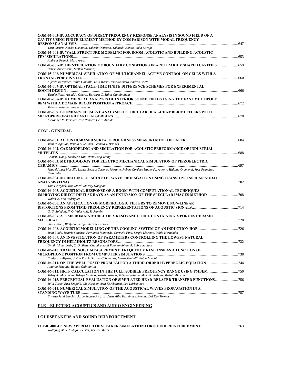| <b>COM-05-003-IP. ACCURACY OF DIRECT FREQUENCY RESPONSE ANALYSIS IN SOUND FIELD OF A</b>   |     |
|--------------------------------------------------------------------------------------------|-----|
| CAVITY USING FINITE ELEMENT METHOD BY COMPARISON WITH MODAL FREQUENCY                      |     |
|                                                                                            |     |
| Toru Otsuru, Noriko Okamoto, Takeshi Okuzono, Takayuki Kondo, Yuka Kurogi                  |     |
| <b>COM-05-004-IP. WALL STRUCTURE MODELING FOR ROOM ACOUSTIC AND BUILDING ACOUSTIC</b>      |     |
|                                                                                            | 653 |
| Andreas Franck, Marc Aretz                                                                 |     |
| COM-05-005-IP. IDENTIFICATION OF BOUNDARY CONDITIONS IN ARBITRARILY SHAPED CAVITIES        |     |
| Robert Anderssohn, Steffen Marburg                                                         |     |
| <b>COM-05-006. NUMERICAL SIMULATION OF MULTICHANNEL ACTIVE CONTROL ON CELLS WITH A</b>     |     |
|                                                                                            | 660 |
| Alfredo Bermúdez, Pablo Gamallo, Luis Maria Hervella-Nieto, Andres Prieto                  |     |
| <b>COM-05-007-IP. OPTIMAL SPACE-TIME FINITE DIFFERENCE SCHEMES FOR EXPERIMENTAL</b>        |     |
|                                                                                            |     |
| Yusuke Naka, Assad A. Oberai, Barbara G. Shinn-Cunningham                                  |     |
| <b>COM-05-008-IP. NUMERICAL ANALYSIS OF INTERIOR SOUND FIELDS USING THE FAST MULTIPOLE</b> |     |
|                                                                                            |     |
| Tetsuya Sakuma, Yosuke Yasuda                                                              |     |
| <b>COM-05-009. BOUNDARY ELEMENT ANALYSIS OF CIRCULAR DUAL-CHAMBER MUFFLERS WITH</b>        |     |
|                                                                                            |     |
| Alexander M. Pasqual, Jose Roberto De F. Arruda                                            |     |

### **COM - GENERAL**

| Juan R. Aguilar, Renato A. Salinas, Leoncio J. Briones                                                                                                    |  |
|-----------------------------------------------------------------------------------------------------------------------------------------------------------|--|
| <b>COM-06-002. CAE MODELING AND SIMULATION FOR ACOUSTIC PERFORMANCE OF INDUSTRIAL</b>                                                                     |  |
|                                                                                                                                                           |  |
| Chinsuk Hong, Deahwan Kim, Weui Song Jeong                                                                                                                |  |
| COM-06-003. METHODOLOGY FOR ELECTRO MECHANICAL SIMULATION OF PIEZOELECTRIC                                                                                |  |
|                                                                                                                                                           |  |
| Miguel Angel Morcillo López, Beatriz Cesteros Morante, Robert Cordero Izquierdo, Antonio Hidalgo Otamendi, Jose Francisco<br>Fernández                    |  |
| <b>COM-06-004. MODELLING OF ACOUSTIC WAVE PROPAGATION USING TRANSIENT INSULAR NODAL</b>                                                                   |  |
|                                                                                                                                                           |  |
| Tom De Rybel, Jose Martí, Murray Hodgson                                                                                                                  |  |
| <b>COM-06-005. ACOUSTICAL RESPONSE OF A ROOM WITH COMPUTATIONAL TECHNIQUES -</b>                                                                          |  |
| <b>IMPROVING DIRECT DIFFUSE RAYS AS AN EXTENSION OF THE SPECULAR IMAGES METHOD </b> 708                                                                   |  |
| Walter A. Feo Rodríguez                                                                                                                                   |  |
| <b>COM-06-006. AN APPLICATION OF MORPHOLOGIC FILTERS TO REMOVE NON-LINEAR</b>                                                                             |  |
|                                                                                                                                                           |  |
| G. G. Soledad, N. O. Valery, M. R. Ramón                                                                                                                  |  |
| COM-06-007. A TIME DOMAIN MODEL OF A RESONANCE TUBE CONTAINING A POROUS CERAMIC                                                                           |  |
| Stig Kleiven, Wolfgang Kropp, Krister Larsson                                                                                                             |  |
|                                                                                                                                                           |  |
| Juan Lladó, Beatriz Sánchez, Fernando Monterde, Carmelo Pina, Sergio Llorente, Pablo Hernández                                                            |  |
| <b>COM-06-009. AN INVESTIGATION OF PARAMETERS CONTROLLING THE LOWEST NATURAL</b>                                                                          |  |
|                                                                                                                                                           |  |
| Unnikrishnan Nair, C. D. Shete, Chandramouli Padmanabhan, A. Subramoniam                                                                                  |  |
| <b>COM-06-010. TRAFFIC NOISE MEASUREMENT: FREQUENCY RESPONSE AS A FUNCTION OF</b>                                                                         |  |
|                                                                                                                                                           |  |
| Frederico Miyara, Vivian Pasch, Susana Cabanellas, Marta Yanitelli, Pablo Miechi                                                                          |  |
| COM-06-011. ON THE WELL POSED PROBLEM FOR A THIRD-ORDER HYPERBOLIC EQUATION                                                                               |  |
| Antonio Magaña, Ramon Quintanilla                                                                                                                         |  |
| COM-06-012. HRTF CALCULATION IN THE FULL AUDIBLE FREOUENCY RANGE USING FMBEM                                                                              |  |
| Takayuki Masumoto, Takuya Oshima, Yosuke Yasuda, Tetsuya Sakuma, Masaaki Kabuto, Makoto Akiyama                                                           |  |
| COM-06-013. PERCEPTUAL EVALUATION OF SIMULATED HEAD-RELATED TRANSFER FUNCTIONS<br>Julia Turku, Eira Seppälä, Ole Kirkeby, Asta Kärkkäinen, Leo Kärkkäinen |  |
| COM-06-014. NUMERICAL SIMULATION OF THE ACOUSTICAL WAVES PROPAGATION IN A                                                                                 |  |
|                                                                                                                                                           |  |
| Ernesto Juliá Sanchis, Jorge Segura Alcaraz, Jesus Alba Fernández, Romina Del Rey Tormos                                                                  |  |

### **ELE – ELECTRO-ACOUSTICS AND AUDIO ENGINEERING**

### **LOUDSPEAKERS AND SOUND REINFORCEMENT**

| Wolfgang Ahnert, Stefan Feistel, Torsten Maier |  |
|------------------------------------------------|--|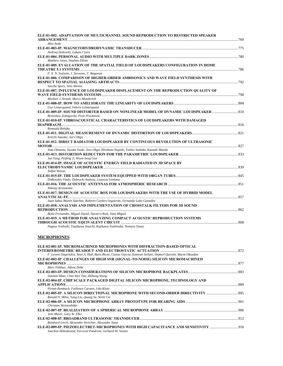| ELE-01-002. ADAPTATION OF MULTICHANNEL SOUND REPRODUCTION TO RESTRICTED SPEAKER       |  |
|---------------------------------------------------------------------------------------|--|
| Akio Ando                                                                             |  |
|                                                                                       |  |
| Andrzej Dobrucki, Lukasz Czura                                                        |  |
|                                                                                       |  |
| Matthew Jones, Stephen Elliott                                                        |  |
| ELE-01-005. EVALUATION OF THE SPATIAL FIELD OF LOUDSPEAKERS CONFIGURATION IN HOME     |  |
|                                                                                       |  |
| F. X. N. Soelami, J. Sarwono, T. Bagawan                                              |  |
| ELE-01-006. COMPARISON OF HIGHER-ORDER AMBISONICS AND WAVE FIELD SYNTHESIS WITH       |  |
|                                                                                       |  |
| Sascha Spors, Jens Ahrens                                                             |  |
| ELE-01-007. INFLUENCE OF LOUDSPEAKER DISPLACEMENT ON THE REPRODUCTION QUALITY OF      |  |
|                                                                                       |  |
| Michael J. Straub, Marco Munderloh                                                    |  |
|                                                                                       |  |
| Guy Lemarquand, Valerie Lemarquand                                                    |  |
| ELE-01-009-IP. SOUND DISTORTER BASED ON NONLINEAR MODEL OF DYNAMIC LOUDSPEAKER  810   |  |
| Bronislaw Zoltogorski, Piotr Pruchnicki                                               |  |
| ELE-01-010-IP. VIBROACOUSTICAL CHARACTERISTICS OF LOUDSPEAKERS WITH DAMAGED           |  |
|                                                                                       |  |
| Romuald Bolejko                                                                       |  |
| Keiichi Imaoka, Juro Ohga                                                             |  |
| ELE-01-012. DIRECT RADIATOR LOUDSPEAKER BY CONTINUOUS REVOLUTION OF ULTRASONIC        |  |
| Yuta Ohnuma, Yusuke Iwaki, Juro Ohga, Hirokazu Negishi, Toshio Sashida, Kazuaki Maeda |  |
|                                                                                       |  |
| Jun Yang, Peifeng Ji, Woon-Seng Gan                                                   |  |
| ELE-01-014-IP. IMAGE OF ACOUSTIC ENERGY FIELD RADIATED IN 3D SPACE BY                 |  |
|                                                                                       |  |
| Stefan Weyna                                                                          |  |
|                                                                                       |  |
| Didkovskiy Vitaly, Dobrucki Andrzej, Lunyova Svetlana                                 |  |
|                                                                                       |  |
| Nikolay Krasnenko                                                                     |  |
| ELE-01-017. DESIGN OF ACOUSTIC BOX FOR LOUDSPEAKERS WITH THE USE OF HYBRID MODEL      |  |
|                                                                                       |  |
| Juan Sabas Martín Sánchez, Roberto Cordero Izquierdo, Fernando Lobo González          |  |
| ELE-01-018. ANALYSIS AND IMPLEMENTATION OF CROSSTALK FILTERS FOR 3D SOUND             |  |
|                                                                                       |  |
| Botía Fernandez, Miguel David; Navarro Ruiz, Juan Miguel                              |  |
| ELE-01-019. A METHOD FOR ANALYZING COMPACT ACOUSTIC REPRODUCTION SYSTEMS              |  |
|                                                                                       |  |
| Nagara Vockiaki, Taujikawa Sovieti, Kajikawa Vockinobu, Novyga Vasyo                  |  |

#### *Nagase Yoshiaki, Tsujikawa Souichi, Kajikawa Yoshinobu, Nomura Yasuo*

### **MICROPHONES**

| ELE-02-001-IP. MICROMACHINED MICROPHONES WITH DIFFRACTION-BASED OPTICAL                                                                          |  |
|--------------------------------------------------------------------------------------------------------------------------------------------------|--|
| F. Levent Degertekin, Neal A. Hall, Baris Bicen, Caesar Garcia, Kamran Jeelani, Shakeel Qureshi, Murat Okandan                                   |  |
| ELE-02-002-IP. CHALLENGES OF HIGH SNR (SIGNAL-TO-NOISE) SILICON MICROMACHINED                                                                    |  |
|                                                                                                                                                  |  |
| Marc Füldner, Alfons Dehé                                                                                                                        |  |
| Jianmin Miao, Chee Wee Tan, Zhihong Wang                                                                                                         |  |
| ELE-02-004-IP. CHIP SCALE PACKAGED DIGITAL SILICON MICROPHONE, TECHNOLOGY AND                                                                    |  |
|                                                                                                                                                  |  |
| Pirmin Rombach, Faillesen Carsten, Udo Klein                                                                                                     |  |
| Ronald N. Miles, Yang Liu, Quang Su, Weili Cui                                                                                                   |  |
|                                                                                                                                                  |  |
| Christian Weistenhöfer                                                                                                                           |  |
| Jens Meyer, Gary W. Elko                                                                                                                         |  |
|                                                                                                                                                  |  |
| Reinhard Lerch, Alexander Streicher, Alexander Sutor                                                                                             |  |
| ELE-02-009-IP. PIEZOELECTRET-MICROPHONES WITH HIGH CAPACITANCE AND SENSITIVITY  918<br>Joachim Hillenbrand, Perceval Pondrom, Gerhard M. Sessler |  |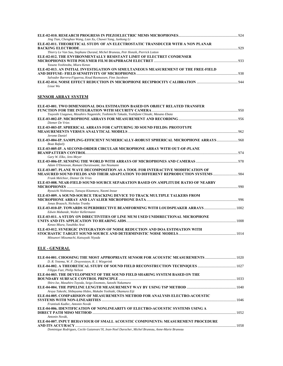| Jing Tian, Chenghao Wang, Lian Xu, Chuwei Yang, Junhong Li                         |  |
|------------------------------------------------------------------------------------|--|
| ELE-02-011. THEORETICAL STUDY OF AN ELECTROSTATIC TRANSDUCER WITH A NON PLANAR     |  |
|                                                                                    |  |
| Thierry Le Van Suu, Stephane Durand, Michel Bruneau, Petr Honzik, Pierrick Lotton  |  |
| ELE-02-012. THE ENVIRONMENTALLY RESISTANT LIMIT OF ELECTRET CONDENSER              |  |
|                                                                                    |  |
| Yasuno Yoshinobu, Miura Kenzo                                                      |  |
| ELE-02-013. AN INITIAL INVESTIGATION ON SIMULTANEOUS MEASUREMENT OF THE FREE-FIELD |  |
|                                                                                    |  |
| Salvador Barrera-Figueroa, Knud Rasmussen, Finn Jacobsen                           |  |
|                                                                                    |  |
| Lixue Wu                                                                           |  |

### **SENSOR ARRAY SYSTEM**

| ELE-03-001. TWO DIMENSIONAL DOA ESTIMATION BASED ON OBJECT RELATED TRANSFER              |  |
|------------------------------------------------------------------------------------------|--|
|                                                                                          |  |
| Tsuyoshi Usagawa, Masahiro Naganishi, Toshimichi Takada, Yoshifumi Chisaki, Masano Ebata |  |
|                                                                                          |  |
| Diemer De Vries                                                                          |  |
| ELE-03-003-IP. SPHERICAL ARRAYS FOR CAPTURING 3D SOUND FIELDS: PROTOTYPE                 |  |
| Jerome Daniel                                                                            |  |
|                                                                                          |  |
| <b>Boaz Rafaely</b>                                                                      |  |
| ELE-03-005-IP. A SECOND-ORDER CIRCULAR MICROPHONE ARRAY WITH OUT-OF-PLANE                |  |
|                                                                                          |  |
| Gary W. Elko, Jens Meyer                                                                 |  |
|                                                                                          |  |
| Adam O'Donovan, Ramani Duraiswami, Jan Neumann                                           |  |
| ELE-03-007. PLANE WAVE DECOMPOSITION AS A TOOL FOR INTERACTIVE MODIFICATION OF           |  |
|                                                                                          |  |
| Frank Melchior. Diemer De Vries                                                          |  |
| ELE-03-008. NEAR-FIELD SOUND SOURCE SEPARATION BASED ON AMPLITUDE RATIO OF NEARBY        |  |
|                                                                                          |  |
| Ryouichi Nishimura, Tatsuya Kitamura, Naomi Inoue                                        |  |
| ELE-03-009. A SOUND-SOURCE TRACKING DEVICE TO TRACK MULTIPLE TALKERS FROM                |  |
| Jonas Braasch, Nicholas Tranby                                                           |  |
|                                                                                          |  |
| Edwin Mabande, Walter Kellermann                                                         |  |
| ELE-03-011. A STUDY ON DIRECTIVITIES OF LINE MUM USED UNIDIRECTIONAL MICROPHONE          |  |
|                                                                                          |  |
| Kenzo Miura, Yasuhiko Arai                                                               |  |
| ELE-03-012. SYNERGIC INTEGRATION OF NOISE REDUCTION AND DOA ESTIMATION WITH              |  |
|                                                                                          |  |
| Mitsunori Mizumachi, Katsuyuki Niyada                                                    |  |
|                                                                                          |  |
| <b>ELE - GENERAL</b>                                                                     |  |
|                                                                                          |  |

| ELE-04-001. CHOOSING THE MOST APPROPRIATE SENSOR FOR ACOUSTIC MEASUREMENTS                      |  |
|-------------------------------------------------------------------------------------------------|--|
| D. R. Yntema, W. F. Druyvesteyn, R. J. Wiegerink                                                |  |
|                                                                                                 |  |
| Filippo Fazi, Philip Nelson                                                                     |  |
| ELE-04-003. THE DEVELOPMENT OF THE SOUND FIELD SHARING SYSTEM BASED ON THE                      |  |
|                                                                                                 |  |
| Shiro Ise, Masahiro Toyoda, Seigo Enomoto, Satoshi Nakamura                                     |  |
|                                                                                                 |  |
| Araya Takeshi, Shibayama Hideo, Makabe Yoshiaki, Okamura Eiji                                   |  |
| ELE-04-005. COMPARISION OF MEASUREMENTS METHOD FOR ANALYSIS ELECTRO-ACOUSTIC                    |  |
|                                                                                                 |  |
| Frantisek Kadlec, Antonin Novák                                                                 |  |
| ELE-04-006. IDENTIFICATION OF NONLINEARITY OF ELECTRO-ACOUSTIC SYSTEMS USING A                  |  |
|                                                                                                 |  |
| Antonin Novák.                                                                                  |  |
| ELE-04-007. INPUT BEHAVIOUR OF SMALL ACOUSTIC COMPONENTS: MEASUREMENT PROCEDURE                 |  |
|                                                                                                 |  |
| Dominique Rodriques, Cecile Guianvarc'H, Jean-Noel Durocher, Michel Bruneau, Anne-Marie Bruneau |  |

*Dominique Rodrigues, Cecile Guianvarc'H, Jean-Noel Durocher, Michel Bruneau, Anne-Marie Bruneau*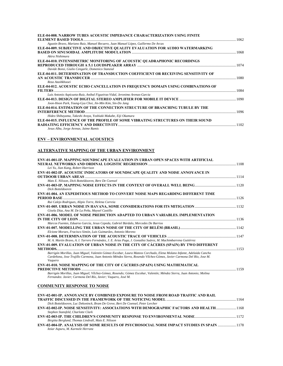| ELE-04-008. NARROW TUBES ACOUSTIC IMPEDANCE CHARACTERIZATION USING FINITE          |  |
|------------------------------------------------------------------------------------|--|
|                                                                                    |  |
| Agustin Bravo, Mariano Ruiz, Manuel Recuero, Juan Manuel López, Guillermo De Arcas |  |
| ELE-04-009. SUBJECTIVE AND OBJECTIVE QUALITY EVALUATION FOR AUDIO WATERMARKING     |  |
|                                                                                    |  |
| Akira Nishimura                                                                    |  |
| ELE-04-010. INTENSIMETRIC MONITORING OF ACOUSTIC OUADRAPHONIC RECORDINGS           |  |
|                                                                                    |  |
| Davide Bonsi, Giulio Cengarle, Domenico Stanzial                                   |  |
| ELE-04-011. DETERMINATION OF TRANSDUCTION COEFFICIENT OR RECEIVING SENSITIVITY OF  |  |
|                                                                                    |  |
| Reza Atashkhooei                                                                   |  |
| ELE-04-012. ACOUSTIC ECHO CANCELLATION IN FREQUENCY DOMAIN USING COMBINATIONS OF   |  |
|                                                                                    |  |
| Luis Antonio Azpicueta-Ruiz, Anibal Figueiras-Vidal, Jeronimo Arenas-Garcia        |  |
|                                                                                    |  |
| Joon-Hoon Park, Young-Gyu Choi, Jin-Min Kim, Sin-Do Jang                           |  |
| ELE-04-014. ESTIMATION OF THE CONNECTION STRUCTURE OF BRANCHING TUBULE BY THE      |  |
|                                                                                    |  |
| Hideo Shibayama, Takeshi Araya, Yoshiaki Makabe, Eiji Okamura                      |  |
| ELE-04-015. INFLUENCE OF THE PROFILE OF SOME VIBRATING STRUCTURES ON THEIR SOUND   |  |
|                                                                                    |  |
| Jesus Alba, Jorge Arenas, Jaime Ramis                                              |  |

### **ENV – ENVIRONMENTAL ACOUSTICS**

### **ALTERNATIVE MAPPING OF THE URBAN ENVIRONMENT**

| <b>ENV-01-001-IP. MAPPING SOUNDSCAPE EVALUATION IN URBAN OPEN SPACES WITH ARTIFICIAL</b>                                                                                             |      |
|--------------------------------------------------------------------------------------------------------------------------------------------------------------------------------------|------|
|                                                                                                                                                                                      |      |
| Lei Yu, Jian Kang, Robert Harrison                                                                                                                                                   |      |
| ENV-01-002-IP. ACOUSTIC INDICATORS OF SOUNDSCAPE OUALITY AND NOISE ANNOYANCE IN                                                                                                      |      |
|                                                                                                                                                                                      |      |
| Mats E. Nilsson, Dick Botteldooren, Bere De Coensel                                                                                                                                  |      |
| Dick Botteldooren                                                                                                                                                                    |      |
| <b>ENV-01-004. AN EXPEDITIOUS METHOD TO CONVERT NOISE MAPS REGARDING DIFFERENT TIME</b>                                                                                              |      |
|                                                                                                                                                                                      |      |
| Rui Calejo Rodrigues, Alipio Torre, Helena Correia                                                                                                                                   |      |
|                                                                                                                                                                                      |      |
| Gisela Díaz, Ana M. De La Peña, Maysel Castillo                                                                                                                                      |      |
| <b>ENV-01-006, MODEL OF NOISE PREDICTION ADAPTED TO URBAN VARIABLES. IMPLEMENTATION</b>                                                                                              |      |
|                                                                                                                                                                                      |      |
| Marcos Fuentes, Eduarso García, Jesus Cepeda, Gabriel Búrdalo, Mercedes De Barrios                                                                                                   |      |
|                                                                                                                                                                                      |      |
| Elcione Moraes, Fracisco Simón, Luis Guimarães, Antonio Moreno                                                                                                                       |      |
|                                                                                                                                                                                      |      |
| M. A. Martín Bravo, A. I. Tarrero Fernández, J. E. Arias Puga, J. González Suárez, M. Machimbarrena Gutiérrez                                                                        |      |
| <b>ENV-01-009. EVALUATION OF URBAN NOISE IN THE CITY OF CÁCERES (SPAIN) BY TWO DIFFERENT</b>                                                                                         |      |
|                                                                                                                                                                                      |      |
| Barrigón Morillas, Juan Miguel, Valentin Gómez Escobar, Laura Mateos Corchado, Elena Molano Infante, Adelaida Cancho                                                                 |      |
| Cardeñona, Jose Trujillo Carmona, Juan Antonio Méndez Sierra, Rosendo Vílchez-Gómez, Javier Carmona Del Río, Jose M.                                                                 |      |
| Vaguero                                                                                                                                                                              |      |
| ENV-01-010. NOISE MAPPING OF THE CITY OF CÁCERES (SPAIN) USING MATHEMATICAL                                                                                                          |      |
|                                                                                                                                                                                      | 1159 |
| Barrigón Morillas, Juan Miguel; Vílchez-Gómez, Rosendo; Gómez Escobar, Valentín; Méndez Sierra, Juan Antonio; Molina<br>Fernandez. Javier; Carmona Del Río, Javier; Vaquero, José M. |      |
| <b>COMMUNITY RESPONSE TO NOISE</b>                                                                                                                                                   |      |
|                                                                                                                                                                                      |      |
| <b>ENV-02-001-IP. ANNOYANCE BY COMBINED EXPOSURE TO NOISE FROM ROAD TRAFFIC AND RAIL</b>                                                                                             |      |

| ERV-02-001-IF. ANNOTANCE DT COMBINED EAFOSUKE TO NOISE FROM ROAD-TRAFFIC AND RAIL           |  |
|---------------------------------------------------------------------------------------------|--|
|                                                                                             |  |
| Dick Botteldooren, Luc Dekoninck, Bram De Greve, Bert De Coensel, Peter Lercher             |  |
| ENV-02-002-IP. NOISE SENSITIVITY: ASSOCIATIONS WITH DEMOGRAPHIC FACTORS AND HEALTH1168      |  |
| Stephen Stansfeld, Charlotte Clark                                                          |  |
|                                                                                             |  |
| Birgitta Berglund, Thomas Lindvall, Mats E. Nilsson                                         |  |
| ENV-02-004-IP. ANALYSIS OF SOME RESULTS OF PSYCHOSOCIAL NOISE IMPACT STUDIES IN SPAIN  1178 |  |
| Itziar Aspuru, M. Karmele Herranz                                                           |  |
|                                                                                             |  |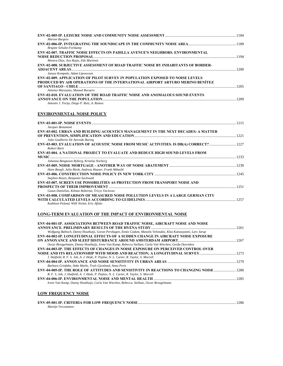| <b>Marion Burgess</b>                                                                                                                                                 | 1184 |
|-----------------------------------------------------------------------------------------------------------------------------------------------------------------------|------|
| <b>Brigitte Schulte-Fortkamp</b>                                                                                                                                      |      |
| <b>ENV-02-007. TRAFFIC NOISE EFFECTS ON PADILLA AVENUE'S NEIGHBORS. ENVIRONMENTAL</b>                                                                                 | 1194 |
| Monica Diaz, Axa Rojas, Ede Martinez<br><b>ENV-02-008. SUBJECTIVE ASSESSMENT OF ROAD TRAFFIC NOISE BY INHABITANTS OF BORDER-</b>                                      |      |
| Janusz Kompala, Adam Lipowczan                                                                                                                                        | 1200 |
| <b>ENV-02-009. APPLICATION OF PILOT SURVEY IN POPULATION EXPOSED TO NOISE LEVELS</b><br>PRODUCED BY AIR OPERATIONS OF THE INTERNATIONAL AIRPORT ARTURO MERINO BENÍTEZ |      |
| Antonio Marzzano, Manuel Recuero                                                                                                                                      | 1205 |
| <b>ENV-02-010. EVALUATION OF THE ROAD TRAFFIC NOISE AND ANOMALOUS SOUND EVENTS</b>                                                                                    | 1209 |
| Antonio J. Torija, Diego P. Ruiz, A. Ramos                                                                                                                            |      |

### **ENVIRONMENTAL NOISE POLICY**

| Jacques Beaumont                                                                                                                                                                                                                                                                                                                                              |      |
|---------------------------------------------------------------------------------------------------------------------------------------------------------------------------------------------------------------------------------------------------------------------------------------------------------------------------------------------------------------|------|
| ENV-03-002. URBAN AND BUILDING ACOUSTICS MANAGEMENT IN THE NEXT DECADES: A MATTER                                                                                                                                                                                                                                                                             |      |
|                                                                                                                                                                                                                                                                                                                                                               |      |
| João Gualberto De Azevedo Baring                                                                                                                                                                                                                                                                                                                              |      |
| ENV-03-003. EVALUATION OF ACOUSTIC NOISE FROM MUSIC ACTIVITIES. IS DB(A) CORRECT?  1227<br>Robert Barti                                                                                                                                                                                                                                                       |      |
| <b>ENV-03-004. A NATIONAL PROJECT TO EVALUATE AND REDUCE HIGH SOUND LEVELS FROM</b>                                                                                                                                                                                                                                                                           |      |
|                                                                                                                                                                                                                                                                                                                                                               |      |
| Johanna Bengtsson Ryberg, Kristina Norberg                                                                                                                                                                                                                                                                                                                    |      |
|                                                                                                                                                                                                                                                                                                                                                               |      |
| Hans Boegli, Julia Menk, Andreas Hauser, Frank Abbuehl                                                                                                                                                                                                                                                                                                        |      |
|                                                                                                                                                                                                                                                                                                                                                               |      |
| Stephen Rosen, Benjamin Sachwald                                                                                                                                                                                                                                                                                                                              |      |
| <b>ENV-03-007. SCREEN USE POSSIBILITIES AS PROTECTION FROM TRANSPORT NOISE AND</b>                                                                                                                                                                                                                                                                            |      |
|                                                                                                                                                                                                                                                                                                                                                               |      |
| Guzas Danielius, Kilmas Robertas, Tricys Vaclovas                                                                                                                                                                                                                                                                                                             |      |
| <b>ENV-03-008. COMPARISON OF MEASURED NOISE POLLUTION LEVELS IN A LARGE GERMAN CITY</b>                                                                                                                                                                                                                                                                       |      |
|                                                                                                                                                                                                                                                                                                                                                               | 1257 |
| $V_{\alpha\beta}$ and $P_{\alpha\beta}$ and $V_{\alpha\beta}$ are $V_{\alpha\beta}$ and $V_{\alpha\beta}$ and $V_{\alpha\beta}$ and $V_{\alpha\beta}$ and $V_{\alpha\beta}$ and $V_{\alpha\beta}$ are $V_{\alpha\beta}$ and $V_{\alpha\beta}$ are $V_{\alpha\beta}$ and $V_{\alpha\beta}$ are $V_{\alpha\beta}$ and $V_{\alpha\beta}$ are $V_{\alpha\beta}$ a |      |

*Kathleen Poland, Willi Nickel, Eric Aflalo* 

### **LONG-TERM EVALUATION OF THE IMPACT OF ENVIRONMENTAL NOISE**

| ENV-04-001-IP. ASSOCIATIONS BETWEEN ROAD TRAFFIC NOISE, AIRCRAFT NOISE AND NOISE                                 |  |
|------------------------------------------------------------------------------------------------------------------|--|
|                                                                                                                  |  |
| Wolfgang Babisch, Danny Houthuijs, Goran Pershagen, Ennio Cadum, Manolis Velonakis, Klea Katsouyanni, Lars Jarup |  |
| <b>ENV-04-002-IP. LONGITUDINAL EFFECTS OF A SUDDEN CHANGE IN AIRCRAFT NOISE EXPOSURE</b>                         |  |
|                                                                                                                  |  |
| Oscar Breugelmans, Danny Houthuijs, Irene Van Kamp, Rebecca Stellato, Carla Van Wiechen, Gerda Doornbos          |  |
| ENV-04-003-IP. THE EFFECTS OF CHANGES IN NOISE EXPOSURE ON PERCEIVED CONTROL OVER                                |  |
|                                                                                                                  |  |
| J. Hatfield, R. F. S. Job, A. J. Hede, P. Peploe, N. L. Carter, R. Taylor, S. Morrell                            |  |
|                                                                                                                  |  |
| Barbara Griefahn, Anke Marks, Truls Gjestland, Anna Preis                                                        |  |
| ENV-04-005-IP. THE ROLE OF ATTITUDES AND SENSITIVITY IN REACTIONS TO CHANGING NOISE                              |  |
| R. F. S. Job, J. Hatfield, A. J. Hede, P. Peploe, N. L. Carter, R. Taylor, S. Morrell                            |  |
|                                                                                                                  |  |
| Irene Van Kamp, Danny Houthuijs, Carla Van Wiechen, Rebecca. Stellato, Oscar Breugelmans                         |  |
|                                                                                                                  |  |
| <b>LOW FREQUENCY NOISE</b>                                                                                       |  |

| Martijn Vercammen |  |
|-------------------|--|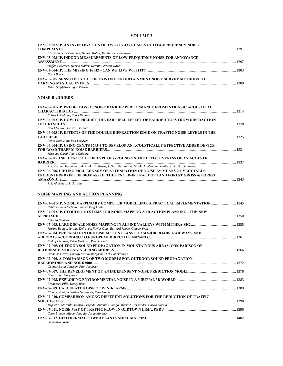### **VOLUME 3**

| ENV-05-002-IP. AN INVESTIGATION OF TWENTY-ONE CASES OF LOW-FREQUENCY NOISE                                             |  |
|------------------------------------------------------------------------------------------------------------------------|--|
| Christian Sejer Pedersen, Henrik Møller, Kerstin Persson Waye                                                          |  |
| ENV-05-003-IP. INDOOR MEASUREMENTS OF LOW-FREQUENCY NOISE FOR ANNOYANCE                                                |  |
| Steffen Pedersen, Henrik Møller, Kerstin Persson Waye                                                                  |  |
| Norm Broner                                                                                                            |  |
| <b>ENV-05-005. SENSITIVITY OF THE EXISTING ENTERTAINMENT NOISE SURVEY METHODS TO</b>                                   |  |
| Milan Stojiljkovic, Igor Vlaovic                                                                                       |  |
|                                                                                                                        |  |
|                                                                                                                        |  |
| <b>NOISE BARRIERS</b>                                                                                                  |  |
| <b>ENV-06-001-IP. PREDICTION OF NOISE BARRIER PERFORMANCE FROM INTRINSIC ACOUSTICAL</b>                                |  |
|                                                                                                                        |  |
| Cristo J. Padmos, Foort De Roo                                                                                         |  |
| <b>ENV-06-002-IP. HOW TO PREDICT THE FAR FIELD EFFECT OF BARRIER TOPS FROM DIFFRACTION</b>                             |  |
|                                                                                                                        |  |
| Foort De Roo, Cristo J. Padmos<br>ENV-06-003-IP. EFFECTS OF THE DOUBLE DIFFRACTION EDGE ON TRAFFIC NOISE LEVELS IN THE |  |
|                                                                                                                        |  |
| Renez Nota Hans Van Leeuwen                                                                                            |  |
| ENV-06-004-IP. USING CEN/TS 1793-4 TO DEVELOP AN ACOUSTICALLY EFFECTIVE ADDED DEVICE                                   |  |
|                                                                                                                        |  |
| Massimo Garai, Paolo Guidorzi                                                                                          |  |
| <b>ENV-06-005. INFLUENCE OF THE TYPE OF GROUND ON THE EFFECTIVENESS OF AN ACOUSTIC</b>                                 |  |
| A. I. Tarrero Fernández, M. A. Martín Bravo, J. González Suárez, M. Machimbarrena Gutiérrez, L. García Sastre          |  |
| <b>ENV-06-006. LIFTING PRELIMINARY OF ATTENUATION OF NOISE BY MEANS OF VEGETABLE</b>                                   |  |
| <b>ENCOUNTERED ON THE BIOMASS OF THE FENCED-IN TRACT OF LAND FOREST GROSS &amp; FOREST</b>                             |  |
|                                                                                                                        |  |
|                                                                                                                        |  |
| J. S. Almeida, I. L. Arruda                                                                                            |  |
|                                                                                                                        |  |
| <b>NOISE MAPPING AND ACTION PLANNING</b>                                                                               |  |
|                                                                                                                        |  |
| ENV-07-001-IP. NOISE MAPPING BY COMPUTER MODELLING: A PRACTICAL IMPLEMENTATION  1345                                   |  |
| Pablo Hernández Soto, Eduard Puig I Solé                                                                               |  |
| ENV-07-002-IP. GEODESIC SYSTEMS FOR NOISE MAPPING AND ACTION PLANNING - THE NEW                                        |  |
| Antonio Notario                                                                                                        |  |
|                                                                                                                        |  |
| Marine Baulac, Jerome Defrance, Xavier Olny, Bernard Miège, Claude Yvon                                                |  |
| <b>ENV-07-004. PREPARATION OF NOISE ACTION PLANS FOR MAJOR ROADS, RAILWAYS AND</b>                                     |  |
| Rudolf Cholava, Petra Markova, Petr Smekal                                                                             |  |
| ENV-07-005. OUTDOOR SOUND PROPAGATION IN MOUNTAINOUS AREAS: COMPARISON OF                                              |  |
|                                                                                                                        |  |
| Bram De Greve, Timothy Van Renterghem, Dick Botteldooren                                                               |  |
| <b>ENV-07-006. A COMPARISON OF TWO MODELS FOR OUTDOOR SOUND PROPAGATION:</b>                                           |  |
| Gunnar Birnir Jonsson, Finn Jacobsen                                                                                   |  |
|                                                                                                                        |  |
| Eoin King, Henry Rice                                                                                                  |  |
|                                                                                                                        |  |
| Francesco Pilla, Henry Rice                                                                                            |  |
| Claude Sénat, Sebastien Garrigues, Rene Gamba                                                                          |  |
| <b>ENV-07-010. COMPARISON AMONG DIFFERENT SOLUTIONS FOR THE REDUCTION OF TRAFFIC</b>                                   |  |
|                                                                                                                        |  |
| Miguel A. Morcillo, Beatriz Bragado, Antonio Hidalgo, Maria J. Hernández, Carlos García                                |  |
|                                                                                                                        |  |
| Celso Llimpe, Miguel Piaggio, Jorge Moreno                                                                             |  |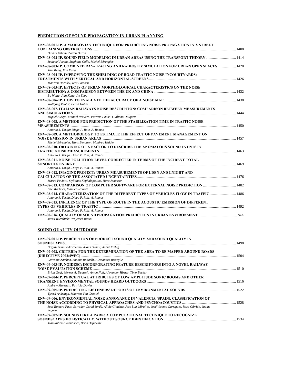### **PREDICTION OF SOUND PROPAGATION IN URBAN PLANNING**

| ENV-08-001-IP. A MARKOVIAN TECHNIQUE FOR PREDICTING NOISE PROPAGATION IN A STREET                                                       |  |
|-----------------------------------------------------------------------------------------------------------------------------------------|--|
| David Oldham, Zaiton Haron                                                                                                              |  |
| ENV-08-002-IP. SOUND FIELD MODELING IN URBAN AREAS USING THE TRANSPORT THEORY 1414<br>Judicael Picaut, Stephane Colle, Michel Bérengier |  |
| ENV-08-003-IP. COMBINED RAY-TRACING AND RADIOSITY SIMULATION FOR URBAN OPEN SPACES 1420<br>Yan Meng, Jian Kang                          |  |
| <b>ENV-08-004-IP. IMPROVING THE SHIELDING OF ROAD TRAFFIC NOISE INCOURTYARDS:</b>                                                       |  |
| Maarten Hornikx, Jens Forssén                                                                                                           |  |
| <b>ENV-08-005-IP. EFFECTS OF URBAN MORPHOLOGICAL CHARACTERISTICS ON THE NOISE</b>                                                       |  |
| Bo Wang, Jian Kang, Jie Zhou                                                                                                            |  |
| Wolfgang Probst, Bernd Huber                                                                                                            |  |
| ENV-08-007. ITALIAN RAILWAYS NOISE DESCRIPTION: COMPARISON BETWEEN MEASUREMENTS                                                         |  |
| Miguel Ausejo, Manuel Recuero, Patrizio Fausti, Guiliano Quiqueto                                                                       |  |
| <b>ENV-08-008. A METHOD FOR PREDICTION OF THE STABILIZATION TIME IN TRAFFIC NOISE</b>                                                   |  |
| Antonio J. Torija; Diego P. Ruiz, A. Ramos                                                                                              |  |
| ENV-08-009. A METHODOLOGY TO ESTIMATE THE EFFECT OF PAVEMENT MANAGEMENT ON                                                              |  |
| Michel Bérengier, Hans Bendtsen, Manfred Haider                                                                                         |  |
| <b>ENV-08-010. OBTAINING OF A FACTOR TO DESCRIBE THE ANOMALOUS SOUND EVENTS IN</b>                                                      |  |
| Antonio J. Torija, Diego P. Ruiz, A. Ramos                                                                                              |  |
| <b>ENV-08-011. NOISE POLLUTION LEVEL CORRECTED IN TERMS OF THE INCIDENT TOTAL</b>                                                       |  |
| Antonio J. Torija, Diego P. Ruiz, A. Ramos                                                                                              |  |
| <b>ENV-08-012. IMAGINE PROJECT: URBAN MEASUREMENTS OF LDEN AND LNIGHT AND</b>                                                           |  |
| Marco Paviotti, Stylianos Kephalopoulos, Hans Jonasson                                                                                  |  |
| ENV-08-013. COMPARISON OF COMPUTER SOFTWARE FOR EXTERNAL NOISE PREDICTION 1482<br>Ede Martínez, Manuel Recuero                          |  |
| ENV-08-014. CHARACTERIZATION OF THE DIFFERENT TYPES OF VEHICLES FLOW IN TRAFFIC 1486<br>Antonio J. Torija, Diego P. Ruiz, A. Ramos      |  |
| <b>ENV-08-015. INFLUENCE OF THE TYPE OF ROUTE IN THE ACOUSTIC EMISSION OF DIFFERENT</b>                                                 |  |
| Antonio J. Torija, Diego P. Ruiz, A. Ramos                                                                                              |  |
| Jacek Wierzbicki, Wojciech Batko                                                                                                        |  |
| <b>SOUND QUALITY OUTDOORS</b>                                                                                                           |  |
| <b>ENV-09-001-IP. PERCEPTION OF PRODUCT SOUND QUALITY AND SOUND QUALITY IN</b>                                                          |  |
| Brigitte Schulte-Fortkamp, Klaus Genuit, André Fiebig                                                                                   |  |
| ENV-09-002. CRITERIA FOR THE DETERMINATION OF THE AREA TO BE MAPPED AROUND ROADS                                                        |  |
|                                                                                                                                         |  |

| Giovanni Zambon, Simone Radaelli, Alessandro Bisceglie                                                                  |  |
|-------------------------------------------------------------------------------------------------------------------------|--|
| ENV-09-003-IP. NOIDESC: INCORPORATING FEATURE DESCRIPTORS INTO A NOVEL RAILWAY                                          |  |
|                                                                                                                         |  |
| Brian Gygi, Werner A. Deutsch, Anton Noll, Alexander Hirner, Timo Becker                                                |  |
| ENV-09-004-IP. PERCEPTUAL ATTRIBUTES OF LOW AMPLITUDE SONIC BOOMS AND OTHER                                             |  |
|                                                                                                                         |  |
| Andrew Marshall, Patricia Davies                                                                                        |  |
| ENV-09-005-IP. PREDICTING LISTENERS' REPORTS OF ENVIRONMENTAL SOUNDS …………………………………………………………………………………                    |  |
| Tjeerd Andringa, Maarten Van Grootel                                                                                    |  |
| ENV-09-006. ENVIRONMENTAL NOISE ANNOYANCE IN VALENCIA (SPAIN). CLASSIFICATION OF                                        |  |
|                                                                                                                         |  |
| José Romero Faus, Salvador Cerdá Jordá, Alicia Giménez, Jose Luis Miralles, José Vicente Garrigues, Rosa Cibrián, Jaume |  |
| Segura                                                                                                                  |  |
| ENV-09-007-IP. SOUNDS LIKE A PARK: A COMPUTATIONAL TECHNIOUE TO RECOGNIZE                                               |  |
|                                                                                                                         |  |

*Jean-Julien Aucouturier, Boris Defreville*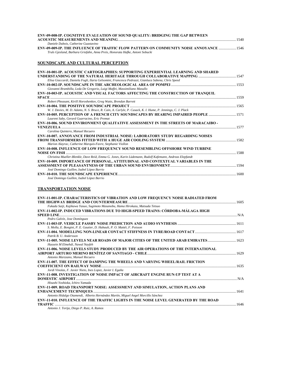| <b>ENV-09-008-IP. COGNITIVE EVALUATION OF SOUND OUALITY: BRIDGING THE GAP BETWEEN</b>   |       |
|-----------------------------------------------------------------------------------------|-------|
|                                                                                         | -1540 |
| Daniele Dubois, Catherine Guastavino                                                    |       |
| ENV-09-009-IP. THE INFLUENCE OF TRAFFIC FLOW PATTERN ON COMMUNITY NOISE ANNOYANCE  1546 |       |
| Truls Gjesland, Barbara Griefahn, Anna Preis, Honorata Hafke, Antoni Sobucki            |       |

### **SOUNDSCAPE AND CULTURAL PERCEPTION**

| ENV-10-001-IP. ACOUSTIC CARTOGRAPHIES: SUPPORTING EXPERIENTIAL LEARNING AND SHARED                                                  |      |
|-------------------------------------------------------------------------------------------------------------------------------------|------|
|                                                                                                                                     |      |
| Elisa Giaccardi, Daniela Fogli, Ilaria Gelsomini, Francesca Pedrazzi, Gianluca Sabena, Chris Speed                                  |      |
| Giovanni Brambilla, Leda De Gregorio, Luigi Maffei, Massimiliano Masullo                                                            |      |
| ENV-10-003-IP. ACOUSTIC AND VISUAL FACTORS AFFECTING THE CONSTRUCTION OF TRANQUIL                                                   |      |
|                                                                                                                                     |      |
| Robert Pheasant, Kirill Horoshenkov, Greg Watts, Brendan Barrett                                                                    |      |
|                                                                                                                                     |      |
| W. J. Davies, M. D. Adams, N. S. Bruce, R. Cain, A. Carlyle, P. Cusack, K. I. Hume, P. Jennings, C. J. Plack                        |      |
| ENV-10-005. PERCEPTION OF A FRENCH CITY SOUNDSCAPES BY HEARING IMPAIRED PEOPLE 1571<br>Laurent Saby, Gerard Guarracino, Eric Premat |      |
| ENV-10-006. SOUND ENVIRONMENT QUALITATIVE ASSESSMENT IN THE STREETS OF MARACAIBO -                                                  |      |
|                                                                                                                                     | 1577 |
| Carolina Quintero, Manuel Recuero                                                                                                   |      |
| <b>ENV-10-007. ANNOYANCE FROM INDUSTRIAL NOISE: LABORATORY STUDY REGARDING NOISES</b>                                               |      |
|                                                                                                                                     |      |
| Marion Alayrac, Catherine Marquis-Favre, Stephanie Viollon                                                                          |      |
| <b>ENV-10-008. INFLUENCE OF LOW FREQUENCY SOUND RESEMBLING OFFSHORE WIND TURBINE</b>                                                |      |
|                                                                                                                                     | 1588 |
| Christina Mueller-Blenkle, Dave Reíd, Emma G. Jones, Karin Lüdemann, Rudolf Kafemann, Andreas Elepfandt                             |      |
| ENV-10-009. IMPORTANCE OF PERSONAL, ATTITUDINAL AND CONTEXTUAL VARIABLES IN THE                                                     |      |
|                                                                                                                                     |      |
| José Domingo Guillen, Isabel López Barrio                                                                                           |      |
|                                                                                                                                     |      |
| José Domingo Guillen, Isabel López Barrio                                                                                           |      |

### **TRANSPORTATION NOISE**

| ENV-11-001-IP. CHARACTERISTICS OF VIBRATION AND LOW FREQUENCY NOISE RADIATED FROM    |  |
|--------------------------------------------------------------------------------------|--|
|                                                                                      |  |
| Fukada Saiji, Kajikawa Yasuo, Sugimoto Masanobu, Hama Hirokazu, Matsuda Tetsuo       |  |
| ENV-11-002-IP. INDUCED VIBRATIONS DUE TO HIGH-SPEED TRAINS: CÓRDOBA-MÁLAGA HIGH      |  |
|                                                                                      |  |
| Pedro Galvín, Jose Domínguez                                                         |  |
|                                                                                      |  |
| S. Molla, E. Bongini, P. E. Gautier, D. Habault, P. O. Mattéi, F. Poisson            |  |
|                                                                                      |  |
| Patrik B. U. Andersson                                                               |  |
| ENV-11-005. NOISE LEVELS NEAR ROADS OF MAJOR CITIES OF THE UNITED ARAB EMIRATES1623  |  |
| Hussein M Elmehdi, Nawal Nayfeh                                                      |  |
| ENV-11-006. NOISE LEVELS STUDY PRODUCED BY THE AIR OPERATIONS OF THE INTERNATIONAL   |  |
|                                                                                      |  |
| Antonio Marzzano, Manuel Recuero                                                     |  |
| <b>ENV-11-007. THE EFFECT OF DAMPING THE WHEELS AND VARYING WHEEL/RAIL FRICTION</b>  |  |
|                                                                                      |  |
| Jordi Vinolas, F. Javier Nieto, Ines Lopez, Javier I. Egaña                          |  |
| <b>ENV-11-008. INVESTIGATION OF NOISE IMPACT OF AIRCRAFT ENGINE RUN-UP TEST AT A</b> |  |
|                                                                                      |  |
| Hisashi Yoshioka, Ichiro Yamada                                                      |  |
| ENV-11-009. ROAD TRANSPORT NOISE: ASSESSMENT AND SIMULATION, ACTION PLANS AND        |  |
|                                                                                      |  |
| Antonio Hidalgo Otamendi, Alberto Hernández Martín, Miguel Angel Morcillo Sánchez    |  |
| ENV-11-010. INFLUENCE OF THE TRAFFIC LIGHTS IN THE NOISE LEVEL GENERATED BY THE ROAD |  |
| <b>TRAFFIC</b>                                                                       |  |
| Antonio J. Torija, Diego P. Ruiz, A. Ramos                                           |  |
|                                                                                      |  |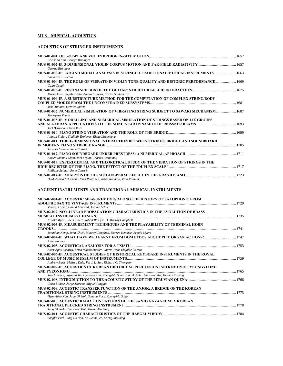### **MUS – MUSICAL ACOUSTICS**

### **ACOUSTICS OF STRINGED INSTRUMENTS**

| Christina Fan, George Bissinger<br>George Bissinger                                                                                                                               |  |
|-----------------------------------------------------------------------------------------------------------------------------------------------------------------------------------|--|
| MUS-01-003-IP. IAR AND MODAL ANALYSIS IN STRINGED TRADITIONAL MUSICAL INSTRUMENTS 1663<br>Lamberto Tronchin                                                                       |  |
| MUS-01-004-IP. THE ROLE OF VIBRATO IN VIOLIN TONE QUALITY AND HISTORIC PERFORMANCE  1669<br>Colin Gough                                                                           |  |
| Maria Jesus Elejabarrieta, Amaia Ezcurra, Carlos Santamaría                                                                                                                       |  |
| MUS-01-006-IP. A SUBSTRUCTURE METHOD FOR THE COMPUTATION OF COMPLEX STRING/BODY<br>Jose Antunes, Octavio Inácio                                                                   |  |
| MUS-01-007. NUMERICAL SIMULATION OF VIBRATING STRING SUBJECT TO SAWARI MECHANISM 1687<br>Tomoyasu Taguti                                                                          |  |
| MUS-01-008-IP. MODELLING AND NUMERICAL SIMULATION OF STRINGS BASED ON LIE GROUPS<br>Joël Bensoam, David Roze                                                                      |  |
| Anatoli Stulov, Vladimir Erofeyev, Elena Lissenkova                                                                                                                               |  |
| MUS-01-011. THREE-DIMENSIONAL INTERACTION BETWEEN STRINGS, BRIDGE AND SOUNDBOARD                                                                                                  |  |
| Jacques Cuenca, Rene Caussé<br>Adrien Mamou-Mani, Joel Frelat, Charles Besnainou                                                                                                  |  |
| MUS-01-013. EXPERIMENTAL AND THEORETICAL STUDY OF THE VIBRATION OF STRINGS IN THE<br>Philippe Zelmar, Rene Caussé                                                                 |  |
| Heidi-Maria Lehtonen, Henri Penttinen, Jukka Rauhala, Vesa Välimäki                                                                                                               |  |
| ANCIENT INSTRUMENTS AND TRADITIONAL MUSICAL INSTRUMENTS                                                                                                                           |  |
| MUS-02-001-IP. ACOUSTIC MEASUREMENTS ALONG THE HISTORY OF SAXOPHONE: FROM                                                                                                         |  |
| Vincent Gibiat, Hamid Louaked, Jerôme Selmer                                                                                                                                      |  |
| MUS-02-002. NON-LINEAR PROPAGATION CHARACTERISTICS IN THE EVOLUTION OF BRASS<br>Arnold Myers, Joel Gilbert, Robert W. Pyle, D. Murray Campbell                                    |  |
| MUS-02-003-IP. MEASUREMENT TECHNIQUES AND THE PLAYABILITY OF TERMINAL HORN                                                                                                        |  |
| Jonathan Kemp, John Chick, Murray Campbell, Darren Hendrie, Arnold Myers<br>1747 MUS-02-004-IP. WHAT HAVE WE LEARNT FROM DOM BÉDOS ABOUT PIPE ORGAN ACTIONS?                      |  |
| Alan Woolley                                                                                                                                                                      |  |
| Asier Agos Esparza, Erica Macho Stadler, Maria Jesus Elejalde García<br>MUS-02-006-IP. ACOUSTICAL STUDIES OF HISTORICAL KEYBOARD INSTRUMENTS IN THE ROYAL                         |  |
| Andrew Earis, Melissa Daly, Fei J. L. Sun, Richard C. Thompson                                                                                                                    |  |
| MUS-02-007-IP. ACOUSTICS OF KOREAN HISTORICAL PERCUSSION INSTRUMENTS PYEONGYEONG<br>Yoo Junehee, Suyoung Jin, Hyunsoo Kim, Koeng-Mo Sung, Junguk Noh, Hyun-Woo Ko, Thomas Rossing |  |
|                                                                                                                                                                                   |  |
| Celso Llimpe, Jorge Moreno, Miguel Piaggio<br>MUS-02-009. ACOUSTIC TRANSFER FUNCTION OF THE ANJOK: A BRIDGE OF THE KOREAN                                                         |  |
| Hyun-Woo Koh, Jung Uk Noh, Sangha Park, Koeng-Mo Sung                                                                                                                             |  |
| MUS-02-010. ACOUSTIC RADIATION PATTERN OF THE SANJO GAYAGEUM: A KOREAN                                                                                                            |  |
| Jung Uk Noh, Hyun-Woo Koh, Koeng-Mo Sung                                                                                                                                          |  |
| Sangha Park, Jung Uk Noh, Ah-Reum Lee, Koeng-Mo Sung                                                                                                                              |  |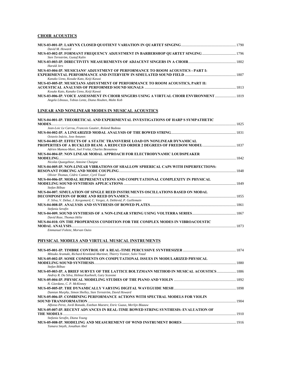### **CHOIR ACOUSTICS**

| David M. Howard                                                                                      |  |
|------------------------------------------------------------------------------------------------------|--|
|                                                                                                      |  |
| Sten Ternström, Gustaf Kalin                                                                         |  |
| MUS-03-003-IP. DIRECTIVITY MEASUREMENTS OF ADJACENT SINGERS IN A CHOIR …………………………………………………………………………… |  |
| Harald Jers                                                                                          |  |
| <b>MUS-03-004-IP. MUSICIANS' ADJUSTMENT OF PERFORMANCE TO ROOM ACOUSTICS - PART I:</b>               |  |
|                                                                                                      |  |
| Kanako Ueno, Kosuke Kato, Keiji Kawai                                                                |  |
| MUS-03-005-IP. MUSICIANS ADJUSTMENT OF PERFORMANCE TO ROOM ACOUSTICS, PART II:                       |  |
|                                                                                                      |  |
| Kosuke Kato, Kanako Ueno, Keiji Kawai                                                                |  |
| MUS-03-006-IP. VOICE ASSESSMENT IN CHOIR SINGERS USING A VIRTUAL CHOIR ENVIRONMENT 1819              |  |
| Angela Libeaux, Tobias Lentz, Diana Houben, Malte Kob                                                |  |

### **LINEAR AND NONLINEAR MODES IN MUSICAL ACOUSTICS**

| MUS-04-001-IP. THEORETICAL AND EXPERIMENTAL INVESTIGATIONS OF HARP S SYMPATHETIC                                 |      |
|------------------------------------------------------------------------------------------------------------------|------|
| Jean-Loic Le Carrou, Francois Gautier, Roland Badeau                                                             |      |
|                                                                                                                  |      |
| Octavio Inácio, Jose Antunes<br><b>MUS-04-003-IP. EFFECTS OF A STATIC TRANSVERSE LOAD ON NONLINEAR DYNAMICAL</b> |      |
|                                                                                                                  |      |
| Adrien Mamou-Mani, Joel Frelat, Charles Besnainou                                                                |      |
| MUS-04-004-IP. NON LINEAR MODAL APPROACH FOR ELECTRODYNAMIC LOUDSPEAKER                                          |      |
|                                                                                                                  |      |
| Nicolas Quaegebeur, Antoine Chaigne                                                                              |      |
| MUS-04-005-IP. NON-LINEAR VIBRATIONS OF SHALLOW SPHERICAL CAPS WITH IMPERFECTIONS:                               |      |
| Olivier Thomas, Cédric Camier, Cyril Touzé                                                                       |      |
| MUS-04-006-IP. MODAL REPRESENTATIONS AND COMPUTATIONAL COMPLEXITY IN PHYSICAL                                    |      |
|                                                                                                                  |      |
| Stefan Bilbao                                                                                                    |      |
| MUS-04-007. SIMULATION OF SINGLE REED INSTRUMENTS OSCILLATIONS BASED ON MODAL                                    |      |
|                                                                                                                  |      |
| F. Silva, V. Debut, J. Kergomard, C. Vergez, A. Deblevid, P. Guillemain                                          |      |
| Stefania Serafin                                                                                                 | 1861 |
|                                                                                                                  |      |
| David Roze, Thomas Hélie                                                                                         |      |
| MUS-04-010. ON THE PROPERNESS CONDITION FOR THE COMPLEX MODES IN VIBROACOUSTIC                                   |      |
|                                                                                                                  |      |
| Emmanuel Foltete, Morvan Ouiss                                                                                   |      |

### **PHYSICAL MODELS AND VIRTUAL MUSICAL INSTRUMENTS**

| Mitsuko Aramaki, Richard Kronland-Martinet, Thierry Voinier, Solvi Ystad                                                                      |      |
|-----------------------------------------------------------------------------------------------------------------------------------------------|------|
| MUS-05-002-IP. SOME COMMENTS ON COMPUTATIONAL ISSUES IN MODULARIZED PHYSICAL                                                                  |      |
| Stefan Bilbao                                                                                                                                 | 1880 |
| MUS-05-003-IP. A BRIEF SURVEY OF THE LATTICE BOLTZMANN METHOD IN MUSICAL ACOUSTICS  1886<br>Andrey R. Da Silva, Helmut Kuehnelt, Gary Scavone |      |
|                                                                                                                                               |      |
| N. Giordano, C. P. McKinney                                                                                                                   |      |
|                                                                                                                                               |      |
| Damian Murphy, Simon Shelley, Sten Ternström, David Howard                                                                                    |      |
| MUS-05-006-IP. COMBINING PERFORMANCE ACTIONS WITH SPECTRAL MODELS FOR VIOLIN                                                                  |      |
|                                                                                                                                               | 1904 |
| Alfonso Perez, Jordi Bonada, Esteban Maestre, Enric Guaus, Merlijn Blaauw                                                                     |      |
| MUS-05-007-IP. RECENT ADVANCES IN REAL-TIME BOWED STRING SYNTHESIS: EVALUATION OF                                                             |      |
|                                                                                                                                               | 1910 |
| Stefania Serafin, Diana Young                                                                                                                 |      |
|                                                                                                                                               |      |
| Tamara Smyth, Jonathan Abel                                                                                                                   |      |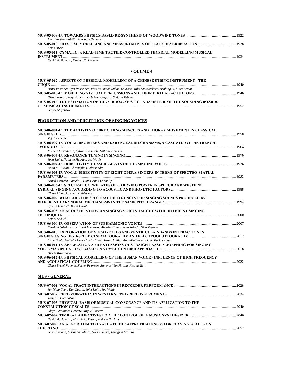| Maarten Van Walstijn, Giovanni De Sanctis                                      |      |
|--------------------------------------------------------------------------------|------|
|                                                                                |      |
| Kevin Arcas                                                                    |      |
| MUS-05-011. CYMATIC: A REAL-TIME TACTILE-CONTROLLED PHYSICAL MODELLING MUSICAL |      |
|                                                                                | 1934 |
|                                                                                |      |

*David M. Howard, Damian T. Murphy* 

### **VOLUME 4**

| MUS-05-012. ASPECTS ON PHYSICAL MODELLING OF A CHINESE STRING INSTRUMENT - THE                           |      |
|----------------------------------------------------------------------------------------------------------|------|
|                                                                                                          | 1940 |
| Henri Penttinen, Jyri Pakarinen, Vesa Välimäki, Mikael Laurson, Mika Kuuskankare, Henbing Li, Marc Leman |      |
|                                                                                                          |      |
| Diego Rovetta, Augusto Sarti, Gabriele Scarparo, Stefano Tubaro                                          |      |
| MUS-05-014. THE ESTIMATION OF THE VIBROACOUSTIC PARAMETERS OF THE SOUNDING BOARDS                        |      |
|                                                                                                          | 1952 |
| Sergey Shlychkov                                                                                         |      |

### **PRODUCTION AND PERCEPTION OF SINGING VOICES**

| Viggo Pettersen                                                                           |      |
|-------------------------------------------------------------------------------------------|------|
| MUS-06-002-IP. VOCAL REGISTERS AND LARYNGEAL MECHANISMS, A CASE STUDY: THE FRENCH         |      |
|                                                                                           |      |
| Michele Castellengo, Sylvain Lamesch, Nathalie Henrich                                    |      |
|                                                                                           |      |
| John Smith, Nathalie Henrich, Joe Wolfe                                                   |      |
|                                                                                           |      |
| Brian F. G. Katz, Christophe D'Alessandro                                                 |      |
| MUS-06-005-IP. VOCAL DIRECTIVITY OF EIGHT OPERA SINGERS IN TERMS OF SPECTRO-SPATIAL       |      |
|                                                                                           |      |
| Densil Cabrera, Pamela J. Davis, Anna Connolly                                            |      |
| MUS-06-006-IP. SPECTRAL CORRELATES OF CARRYING POWER IN SPEECH AND WESTERN                |      |
|                                                                                           |      |
| Claire Pillot, Jacqueline Vaissière                                                       |      |
| MUS-06-007. WHAT ARE THE SPECTRAL DIFFERENCES FOR SINGING SOUNDS PRODUCED BY              |      |
| Sylvain Lamesch, Boris Doval                                                              |      |
|                                                                                           |      |
| MUS-06-008. AN ACOUSTIC STUDY ON SINGING VOICES TAUGHT WITH DIFFERENT SINGING             |      |
| Antoni Sobucki                                                                            |      |
| 2007                                                                                      |      |
| Ken-Ichi Sakakibara, Hiroshi Imagawa, Miwako Kimura, Isao Tokuda, Niro Tayama             |      |
| MUS-06-010. EXPLORATION OF VOCAL-FOLDS AND VENTRICULAR-BANDS INTERACTION IN               |      |
|                                                                                           |      |
| Lucie Bailly, Nathalie Henrich, Mal Webb, Frank Müller, Anna-Katharina Licht, Markus Hess |      |
| MUS-06-011-IP. APPLICATION AND EXTENSIONS OF STRAIGHT-BASED MORPHING FOR SINGING          |      |
|                                                                                           |      |
| Hideki Kawahara                                                                           |      |
| MUS-06-012-IP. PHYSICAL MODELLING OF THE HUMAN VOICE - INFLUENCE OF HIGH FREQUENCY        |      |
|                                                                                           | 2022 |
| Claire Brutel-Vuilmet, Xavier Pelorson, Annemie Van Hirtum, Nicolas Ruty                  |      |

### **MUS - GENERAL**

| Jer-Ming Chen, Dan Laurin, John Smith, Joe Wolfe                                                     |      |
|------------------------------------------------------------------------------------------------------|------|
|                                                                                                      |      |
| James P. Cottingham                                                                                  |      |
| MUS-07-003. PHYSICAL BASIS OF MUSICAL CONSONANCE AND ITS APPLICATION TO THE                          |      |
|                                                                                                      | 2040 |
| Olaya Fernandez-Herrero, Miguel Lorente                                                              |      |
| MUS-07-004. TIMBRAL ADJECTIVES FOR THE CONTROL OF A MUSIC SYNTHESIZER ……………………………………………………………………………… |      |
| David M. Howard, Alastair C. Disley, Andrew D. Hunt                                                  |      |
| MUS-07-005. AN ALGORITHM TO EVALUATE THE APPROPRIATENESS FOR PLAYING SCALES ON                       |      |
| THE PIANO                                                                                            | 2052 |
| Cathy Abinese Magamahi, Minna, Nauta Funna, Vanastila Magusa                                         |      |

*Seiko Akinaga, Masanobu Miura, Norio Emura, Yanagida Masuzo*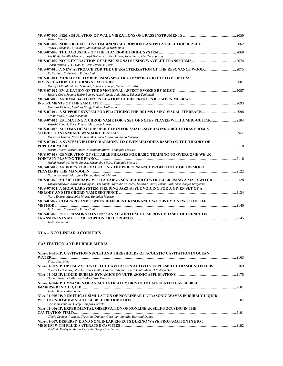| MUS-07-006. FEM SIMULATION OF WALL VIBRATIONS OF BRASS INSTRUMENTS ………………………………………………………………………………………<br>Torunn Smevik                |  |
|--------------------------------------------------------------------------------------------------------------------------------------|--|
|                                                                                                                                      |  |
| Naoya Takahashi, Mitsuharu Matsumoto, Shuji Hashimoto                                                                                |  |
|                                                                                                                                      |  |
| Joe Wolfe, Neville Fletcher, Lloyd Hollenberg, Ben Lange, John Smith, Alex Tarnopolsky                                               |  |
|                                                                                                                                      |  |
| Charu Pathak, V. G. Das, V. Prem Pyara, V. Prem                                                                                      |  |
|                                                                                                                                      |  |
| M. Caniato, S. Favretto, E. Lucchini                                                                                                 |  |
| MUS-07-011. MODELS OF TIMBRE USING SPECTRO-TEMPORAL RECEPTIVE FIELDS:                                                                |  |
|                                                                                                                                      |  |
| Mounya Elhilali, Shihab Shamma, Simon J. Thorpe, Daniel Pressnitzer                                                                  |  |
|                                                                                                                                      |  |
| Satoshi Oode, Johann Ichiro Bomer, Atsushi Imai, Akio Ando, Takashi Taniguchi                                                        |  |
| MUS-07-013. AN HMM BASED INVESTIGATION OF DIFFERENCES BETWEEN MUSICAL                                                                |  |
|                                                                                                                                      |  |
| Matthias Eichner, Matthias Wolff, Rudiger Hoffmann                                                                                   |  |
| MUS-07-014. A SUPPORT SYSTEM FOR PRACTICING THE DRUMS USING VISUAL FEEDBACK2098                                                      |  |
| Iwami Naoki, Miura Masanobu                                                                                                          |  |
| MUS-07-015. ESTIMATING A CHROD NAME FOR A SET OF NOTES PLAYED WITH A MIDI-GUITAR 2104<br>Yasushi Konoki, Norio Emura, Masanobu Miura |  |
| MUS-07-016. AUTOMATIC SCORE REDUCTION FOR SMALL-SIZED WIND-ORCHESTRAS FROM A                                                         |  |
|                                                                                                                                      |  |
| Maekawa Hirosh, Norio Emura, Masanobu Miura, Yanagida Masuzo                                                                         |  |
| MUS-07-017. A SYSTEM YIELDING HARMONY TO GIVEN MELODIES BASED ON THE THEORY OF                                                       |  |
|                                                                                                                                      |  |
| Morita Hikaru, Noria Emura, Masanobu Miura, Yanagida Masuzo                                                                          |  |
| MUS-07-018. GENERATION OF SUITABLE PHRASES FOR BASIC TRAINING TO OVERCOME WEAK                                                       |  |
|                                                                                                                                      |  |
| Mukai Masahiro, Noria Emura, Masanobu Miura, Yanagida Masuzo                                                                         |  |
| MUS-07-019. AN INDEX FOR EVALUATING THE PERFORMANCE PROFICIENCY OF TREMOLO                                                           |  |
|                                                                                                                                      |  |
| Nozomiko Yasui, Masafumi Kinou, Masanobu Miura                                                                                       |  |
| MUS-07-020. MUSIC THERAPY WITH A LARGE-SCALE MIDI CONTROLLER USING A MAT SWITCH 2128                                                 |  |
| Takuya Niikawa, Kazuaki Yamagishi, Eri Onishi, Ryosuke Kawachi, Kotaro Minato, Tatsuo Yoshihara, Naoya Terayama                      |  |
| MUS-07-021. A MODULAR SYSTEM YIELDING JAZZ-STYLE VOICING FOR A GIVEN SET OF A                                                        |  |
|                                                                                                                                      |  |
| Norio Emura, Masanobu Miura, Yanagida Masuzo                                                                                         |  |
| MUS-07-022. COMPARISON BETWEEN DIFFERENT RESONANCE WOODS BY A NEW SCIENTIFIC                                                         |  |
|                                                                                                                                      |  |
| M. Caniato, S. Favretto, E. Lucchini                                                                                                 |  |
| MUS-07-023. "SET PHASORS TO STUN": AN ALGORITHM TO IMPROVE PHASE COHERENCE ON                                                        |  |
|                                                                                                                                      |  |
| Justin Paterson                                                                                                                      |  |

### **NLA – NONLINEAR ACOUSTICS**

### **CAVITATION AND BUBBLE MEDIA**

| NLA-01-001-IP. CAVITATION NUCLEI AND THRESHOLDS OF ACOUSTIC CAVITATION IN OCEAN              |       |
|----------------------------------------------------------------------------------------------|-------|
| WATER                                                                                        | 2163  |
| Victor Akulichev                                                                             |       |
| NLA-01-002-IP. OPTIMIZATION OF THE CAVITATION ACTIVITY IN PULSED ULTRASOUND FIELDS 2169      |       |
| Nikolai Dezhkunov, Alberto Francescutto, Franco Calligaris, Piero Ciuti, Michael Fedorynchic |       |
|                                                                                              |       |
| Daniel Fuster, Guillermo Hauke, Cesar Dopazo                                                 |       |
| NLA-01-004-IP. DYNAMICS OF AN ACOUSTICALLY DRIVEN ENCAPSULATED GAS BUBBLE                    |       |
|                                                                                              | .2181 |
| Javier Jiménez-Fernández                                                                     |       |
| NLA-01-005-IP. NUMERICAL SIMULATION OF NONLINEAR ULTRASONIC WAVES IN BUBBLY LIQUID           |       |
|                                                                                              |       |
| Christian Vanhille, Cleofe Campos-Pozuelo                                                    |       |
| NLA-01-006-IP. EXPERIMENTAL OBSERVATION OF NONLINEAR SELF-FOCUSING IN THE                    |       |
|                                                                                              | 2191  |
| Cleofe Campos-Pozuelo, Christian Granger, Christian Vanhille, Bertrand Dubus                 |       |
| NLA-01-007. DISPERSIVE AND NONLINEAR EFFECTS DURING WAVE PROPAGATION IN BIOT                 |       |
|                                                                                              |       |
| Vladimir Erofeyev, Anton Pegushin, Sergey Sheshenin                                          |       |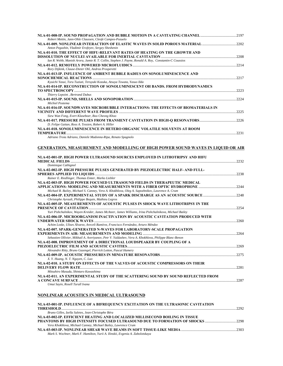| Robert Mettin, Jann-Ohle Claussen, Cleofe Campos-Pozuelo                                                                         |  |
|----------------------------------------------------------------------------------------------------------------------------------|--|
| NLA-01-009. NONLINEAR INTERACTION OF ELASTIC WAVES IN SOLID POROUS MATERIAL 2002                                                 |  |
| Anton Pegushin, Vladimir Erofeyev, Sergey Sheshenin                                                                              |  |
| NLA-01-010. THE EFFECT OF HIFU-RELEVANT RATES OF HEATING ON THE GROWTH AND                                                       |  |
|                                                                                                                                  |  |
| Ian R. Webb, Manish Arora, Jamie R. T. Collin, Stephen J. Payne, Ronald A. Roy, Constantin-C Coussios                            |  |
|                                                                                                                                  |  |
| Rory Dijkink, Clause-Dieter Ohl, Andrea Prosperetti<br>NLA-01-013-IP. INFLUENCE OF AMBIENT BUBBLE RADIUS ON SONOLUMINESCENCE AND |  |
|                                                                                                                                  |  |
| Kyuichi Yasui, Toru Tuziuti, Teruyuki Kozuka, Atsuya Towata, Yasuo IIda                                                          |  |
| NLA-01-014-IP. RECONSTRUCTION OF SONOLUMINESCENT OH BANDS. FROM HYDRODYNAMICS                                                    |  |
|                                                                                                                                  |  |
| Thierry Lepoint, Bertrand Dubus                                                                                                  |  |
|                                                                                                                                  |  |
| Michiel Postema                                                                                                                  |  |
| NLA-01-016-IP. SOUNDWAVES MICROBUBBLE INTERACTIONS: THE EFFECTS OF BIOMATERIALS IN                                               |  |
| Siew Wan Fong, Evert Klaseboer, Boo Cheong Khoo                                                                                  |  |
|                                                                                                                                  |  |
| D. Felipe Gaitan, Ross A. Tessien, Robert A. Hiller                                                                              |  |
| NLA-01-018. SONOLUMINESCENCE IN HETERO ORGANIC VOLATILE SOLVENTS AT ROOM                                                         |  |
|                                                                                                                                  |  |
| Adriano Troia Adriano, Daniele Madonna-Ripa, Renato Spagnolo                                                                     |  |
|                                                                                                                                  |  |
| GENERATION, MEASUREMENT AND MODELLING OF HIGH POWER SOUND WAVES IN LIQUID OR AIR                                                 |  |
|                                                                                                                                  |  |
| NLA-02-001-IP. HIGH POWER ULTRASOUND SOURCES EMPLOYED IN LITHOTRIPSY AND HIFU                                                    |  |
|                                                                                                                                  |  |
| Dominique Cathignol                                                                                                              |  |
| NLA-02-002-IP. HIGH PRESSURE PULSES GENERATED BY PIEZOELECTRIC HALF- AND FULL-                                                   |  |
| Rainer E. Riedlinger, Thomas Emter, Marko Liebler                                                                                |  |
| NLA-02-003-IP. HIGH POWER FOCUSED ULTRASOUND FIELDS IN THERAPEUTIC MEDICAL                                                       |  |
| APPLICATIONS: MODELING AND MEASUREMENTS WITH A FIBER OPTIC HYDROPHONE ……………………………………2244                                         |  |
| Michael R. Bailey, Michael S. Canney, Vera A. Khokhlova, Oleg A. Sapozhnikov, Lawrence A. Crum                                   |  |
| NLA-02-004-IP. EXPERIMENTAL STUDY OF A SPARK DISCHARGE AS AN ACOUSTIC SOURCE 2248                                                |  |
| Christophe Ayrault, Philippe Bequin, Mathieu Legros                                                                              |  |
| NLA-02-005-IP. MEASUREMENTS OF ACOUSTIC PULSES IN SHOCK WAVE LITHOTRIPSY IN THE                                                  |  |
|                                                                                                                                  |  |
| Yuri Pishchalnikov, Wayen Kreider, James McAteer, James Williams, Irina Pishchalnikova, Michael Bailey                           |  |
| NLA-02-006-IP. MICROORGANISM INACTIVATION BY ACOUSTIC CAVITATION PRODUCED WITH                                                   |  |
| Achim Loske, Ulises Álvarez, Areceli Ramírez, Francisco Fernández, Arturo Méndez                                                 |  |
| NLA-02-007. SPARK-GENERATED N-WAVES FOR LABORATORY-SCALE PROPAGATION                                                             |  |
|                                                                                                                                  |  |
| Sebastien Ollivier, Mikhail A. Averiyanov, Petr V. Yuldashev, Vera A. Khokhlova, Philippe Blanc-Benon                            |  |
| NLA-02-008. IMPROVEMENT OF A DIRECTIONAL LOUDSPEAKER BY COUPLING OF A                                                            |  |
|                                                                                                                                  |  |
| Alexandre Ritty, Bruno Gazengel, Pierrick Lotton, Pascal Hamery                                                                  |  |
|                                                                                                                                  |  |
| X. Y. Huang, N. T. Nguyen, C. Luo                                                                                                |  |
| NLA-02-010. A STUDY ON EFFECTS OF THE VALVES OF ACOUSTIC COMPRESSORS ON THEIR                                                    |  |
| Mitsuhiro Masuda, Shintaro Kawashima                                                                                             |  |
| NLA-02-011. AN EXPERIMENTAL STUDY OF THE SCATTERING SOUND BY SOUND REFLECTED FROM                                                |  |
|                                                                                                                                  |  |
| Umut Sayin, Rosell Turull Ivana                                                                                                  |  |
|                                                                                                                                  |  |

### **NONLINEAR ACOUSTICS IN MEDICAL ULTRASOUND**

| NLA-03-001-IP. INFLUENCE OF A BIFREQUENCY EXCITATION ON THE ULTRASONIC CAVITATION |  |
|-----------------------------------------------------------------------------------|--|
|                                                                                   |  |
| Bruno Gilles, Izella Saletes, Jean-Christophe Béra                                |  |
| NLA-03-002-IP. EFFICIENT HEATING AND LOCALIZED MILLISECOND BOILING IN TISSUE      |  |
|                                                                                   |  |
| Vera Khokhlova, Michael Canney, Michael Bailey, Lawrence Crum                     |  |
|                                                                                   |  |
| Mark S. Wochner, Mark F. Hamilton, Yurii A. Ilinskii, Evgenia A. Zabolotskaya     |  |
|                                                                                   |  |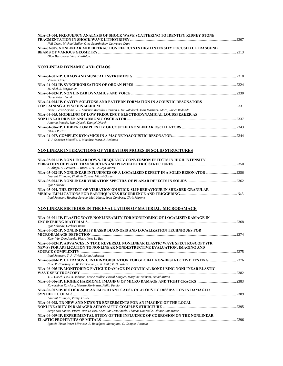| NLA-03-004. FREQUENCY ANALYSIS OF SHOCK WAVE SCATTERING TO IDENTIFY KIDNEY STONE                                                                                                                                                                        |  |
|---------------------------------------------------------------------------------------------------------------------------------------------------------------------------------------------------------------------------------------------------------|--|
| Neil Owen, Michael Bailey, Oleg Sapozhnikov, Lawrence Crum<br>NLA-03-005. NONLINEAR AND DIFFRACTION EFFECTS IN HIGH INTENSITY FOCUSED ULTRASOUND                                                                                                        |  |
| Olga Bessonova, Vera Khokhlova                                                                                                                                                                                                                          |  |
| NONLINEAR DYNAMIC AND CHAOS                                                                                                                                                                                                                             |  |
| Vincent Gibiat                                                                                                                                                                                                                                          |  |
|                                                                                                                                                                                                                                                         |  |
| M. Abel, S. Bergweiler<br>Hans-Peter Herzel                                                                                                                                                                                                             |  |
| NLA-04-004-IP. CAVITY SOLITONS AND PATTERN FORMATION IN ACOUSTIC RESONATORS                                                                                                                                                                             |  |
| Isabel Pérez-Arjona, V. J. Sánchez Morcillo, Germán J. De Valcárcel, Joan Martínez- Mora, Javier Redondo<br>NLA-04-005. MODELING OF LOW FREQUENCY ELECTRODYNAMICAL LOUDSPEAKER AS                                                                       |  |
| Antonio Petosic, Ivan Djurek, Danijel Djurek                                                                                                                                                                                                            |  |
| <b>Ulrich Parlitz</b><br>V. J. Sánchez-Morcillo, J. Martínez-Mora, J. Redondo                                                                                                                                                                           |  |
| NONLINEAR INTERACTIONS OF VIBRATION MODES IN SOLID STRUCTURES                                                                                                                                                                                           |  |
| NLA-05-001-IP. NON LINEAR DOWN-FREQUENCY CONVERSION EFFECTS IN HIGH INTENSITY                                                                                                                                                                           |  |
| A. Alippi, A. Bettucci, E. Riera, J. A. Gallego Juarez<br>NLA-05-002-IP. NONLINEAR INFLUENCES OF A LOCALIZED DEFECT IN A SOLID RESONATOR 2356<br>Laurent Fillinger, Vladimir Zaitsev, Vitalyi Gusev                                                     |  |
| Igor Solodov                                                                                                                                                                                                                                            |  |
| NLA-05-004. THE EFFECT OF VIBRATION ON STICK-SLIP BEHAVIOUR IN SHEARED GRANULAR<br>Paul Johnson, Heather Savage, Malt Knuth, Joan Gomberg, Chris Marone                                                                                                 |  |
| NONLINEAR METHODS IN THE EVALUATION OF MATERIAL  MICRODAMAGE                                                                                                                                                                                            |  |
| NLA-06-001-IP. ELASTIC WAVE NONLINEARITY FOR MONITORING OF LOCALIZED DAMAGE IN                                                                                                                                                                          |  |
| Igor Solodov, Gerhard Busse<br>NLA-06-002-IP. NONLINEARITY BASED DIAGNOSIS AND LOCALIZATION TECHNIQUES FOR                                                                                                                                              |  |
| Koen Van Den Abeele. Pierre-Yves Le Bas                                                                                                                                                                                                                 |  |
| NLA-06-003-IP. ADVANCES IN TIME REVERSAL NONLINEAR ELASTIC WAVE SPECTROSCOPY (TR<br>NEWS) FOR APPLICATION TO NONLINEAR NONDESTRUCTIVE EVALUATION, IMAGING AND                                                                                           |  |
| Paul Johnson, T. J. Ulrich, Brian Anderson<br>NLA-06-004-IP. ULTRASONIC INTER-MODULATION FOR GLOBAL NON-DESTRUCTIVE TESTING2376<br>C. R. P. Courtney, B. W. Drinkwater, S. A. Neild, P. D. Wilcox                                                       |  |
| NLA-06-005-IP. MONITORING FATIGUE DAMAGE IN CORTICAL BONE USING NONLINEAR ELASTIC                                                                                                                                                                       |  |
| T. J. Ulrich, Paul A. Johnson, Marie Muller, Pascal Laugier, Maryline Talmant, David Mitton<br>NLA-06-006-IP. HIGHER HARMONIC IMAGING OF MICRO DAMAGE AND TIGHT CRACKS ………………………………………………………………………<br>Kawashima Koichiro, Murase Morimasa, Fujita Fumio |  |
| NLA-06-007-IP. IS STICK-SLIP AN IMPORTANT CAUSE OF ACOUSTIC DISSIPATION IN DAMAGED                                                                                                                                                                      |  |
| Laurent Fillinger, Vitalyi Gusev<br>NLA-06-008. TR-NEW AND NEWS-TR EXPERIMENTS FOR AN IMAGING OF THE LOCAL                                                                                                                                              |  |
| Serge Dos Santos, Pierre-Yves Le Bas, Koen Van Den Abeele, Thomas Goursolle, Olivier Bou Matar<br>NLA-06-009-IP. EXPERIMENTAL STUDY OF THE INFLUENCE OF CORROSION ON THE NONLINEAR                                                                      |  |
| Ignacio Tinao Perez-Miravete, R. Rodríguez-Montejano, C. Campos-Pozuelo                                                                                                                                                                                 |  |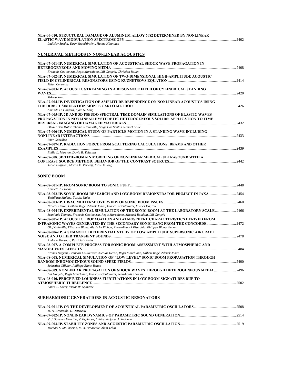### **NLA-06-010. STRUCTURAL DAMAGE OF ALUMINUM ALLOY 6082 DETERMINED BY NONLINEAR ELASTIC WAVE MODULATION SPECTROSCOPY**..........................................................................................................................2402

| <b>ASTIC WAVE MODULATION SPECTROSCOPY</b> |  |
|-------------------------------------------|--|
|-------------------------------------------|--|

*Ladislav Straka, Yuriy Yagodzinskyy, Hannu Hänninen* 

### **NUMERICAL METHODS IN NON-LINEAR ACOUSTICS**

| NLA-07-001-IP. NUMERICAL SIMULATION OF ACOUSTICAL SHOCK WAVE PROPAGATION IN       |      |
|-----------------------------------------------------------------------------------|------|
| Francois Coulouvrat, Regis Marchiano, Lili Ganjehi, Christian Rollet              |      |
| NLA-07-002-IP. NUMERICAL SIMULATION OF TWO-DIMENSIONAL HIGH-AMPLITUDE ACOUSTIC    |      |
|                                                                                   |      |
| Milan Cervenka                                                                    |      |
| NLA-07-003-IP. ACOUSTIC STREAMING IN A RESONANCE FIELD OF CYLINDRICAL STANDING    |      |
| Takeru Yano                                                                       | 2420 |
| NLA-07-004-IP. INVESTIGATION OF AMPLITUDE DEPENDENCE ON NONLINEAR ACOUSTICS USING |      |
|                                                                                   |      |
| Amanda D. Hanford, Kyke N. Long                                                   |      |
| NLA-07-005-IP. 2D AND 3D PSEUDO SPECTRAL TIME DOMAIN SIMULATIONS OF ELASTIC WAVES |      |
| PROPAGATION IN NONLINEAR HYSTERETIC HETEROGENEOUS SOLIDS: APPLICATION TO TIME     |      |
|                                                                                   |      |
| Olivier Bou Matar, Thomas Goursolle, Serge Dos Santos, Samuel Calle               |      |
| NLA-07-006-IP. NUMERICAL STUDY OF PARTICLE MOTION IN A STANDING WAVE INCLUDING    |      |
|                                                                                   |      |
| Icíar González                                                                    |      |
| NLA-07-007-IP. RADIATION FORCE FROM SCATTERING CALCULATIONS: BEAMS AND OTHER      |      |
| Philip L. Marston, David B. Thiessen                                              |      |
| NLA-07-008. 3D TIME-DOMAIN MODELING OF NONLINEAR MEDICAL ULTRASOUND WITH A        |      |
|                                                                                   |      |
| Jacob Huijssen, Martin D. Verweij, Nico De Jong                                   |      |
|                                                                                   |      |

### **SONIC BOOM**

|                                                                                                                                                                                | 2448    |
|--------------------------------------------------------------------------------------------------------------------------------------------------------------------------------|---------|
| Kenneth J. Plotkin                                                                                                                                                             |         |
| NLA-08-002-IP. SONIC-BOOM RESEARCH AND LOW-BOOM DEMONSTRATOR PROJECT IN JAXA                                                                                                   | 2454    |
| Yoshikazu Makino, Yusuke Naka                                                                                                                                                  |         |
|                                                                                                                                                                                | $-2460$ |
| Nicolas Heron, Golbert Rogé, Zdenek Johan, Francois Coulouvrat, Franck Dagrau                                                                                                  |         |
| NLA-08-004-IP. EXPERIMENTAL SIMULATION OF THE SONIC BOOM AT THE LABORATORY SCALE 2466<br>Jeanlouis Thomas, Francois Coulouvrat, Regis Marchiano, Michael Baudoin, Lili Ganjehi |         |
| NLA-08-005-IP. ACQUSTIC PROPAGATION AND ATMOSPHERE CHARACTERISTICS DERIVED FROM                                                                                                |         |
|                                                                                                                                                                                |         |
| Olaf Gainville, Elisabeth Blanc, Alexis Le Pichon, Pierre-Franck Piserchia, Philippe Blanc- Benon                                                                              |         |
| NLA-08-006-IP. A SEMANTIC DIFFERENTIAL STUDY OF LOW AMPLITUDE SUPERSONIC AIRCRAFT                                                                                              |         |
|                                                                                                                                                                                | 2478    |
| Andrew Marshall, Patricial Davies                                                                                                                                              |         |
| NLA-08-007. A COMPLETE PROCESS FOR SONIC BOOM ASSESSMENT WITH ATMOSPHERIC AND                                                                                                  |         |
|                                                                                                                                                                                | 2484    |
| Franck Dagrau, Francois Coulouvrat, Nicolas Heron, Regis Marchiano, Gilbert Rogé, Zdenek Johan                                                                                 |         |
| NLA-08-008. NUMERICAL SIMULATION OF "LOW LEVEL" SONIC BOOM PROPAGATION THROUGH                                                                                                 |         |
|                                                                                                                                                                                | 2490    |
| Sebastien Ollivier, Philippe Blanc-Benon                                                                                                                                       |         |
| NLA-08-009. NONLINEAR PROPAGATION OF SHOCK WAVES THROUGH HETEROGENEOUS MEDIA 2496                                                                                              |         |
| Lili Ganjehi, Regis Marchiano, Francois Coulouvrat, Jean-Louis Thomas                                                                                                          |         |
| NLA-08-010. PERCEIVED LOUDNESS FLUCTUATIONS IN LOW-BOOM SIGNATURES DUE TO                                                                                                      |         |
| <b>ATMOSPHERIC TURBULENCE.</b>                                                                                                                                                 | 2502    |
| Lance L. Locey. Victor W. Sparrow                                                                                                                                              |         |

#### **SUBHARMONIC GENERATIONS IN ACOUSTIC RESONATORS**

| M. A. Breazeale, L. Ostrovsky                                    |  |
|------------------------------------------------------------------|--|
|                                                                  |  |
| V. J. Sánchez Morcillo, V. Espinosa, I. Pérez-Arjona, J. Redondo |  |
|                                                                  |  |
| Michael S. McPherson, M. A. Breazeale, Alem Teklu                |  |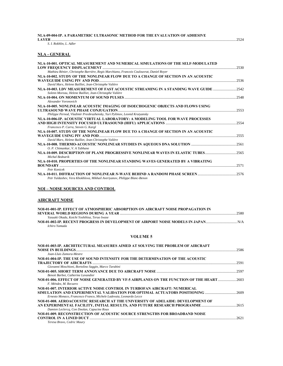#### **NLA-09-004-IP. A PARAMETRIC ULTRASONIC METHOD FOR THE EVALUATION OF ADHESIVE LAYER** ..........................................................................................................................................................................................................2524

*S. I. Rokhlin, L. Adler* 

### **NLA - GENERAL**

| NLA-10-001. OPTICAL MEASUREMENT AND NUMERICAL SIMULATIONS OF THE SELF-MODULATED                                                                 | $-2530$ |
|-------------------------------------------------------------------------------------------------------------------------------------------------|---------|
| Mathieu Rénier, Christophe Barriére, Regis Marchiano, Francois Coulouvrat, Daniel Royer                                                         |         |
| NLA-10-002. STUDY OF THE NONLINEAR FLOW DUE TO A CHANGE OF SECTION IN AN ACOUSTIC                                                               |         |
|                                                                                                                                                 | 2536    |
| David Marx, Helene Bailliet, Jean-Christophe Valière                                                                                            |         |
| NLA-10-003. LDV MEASUREMENT OF FAST ACOUSTIC STREAMING IN A STANDING WAVE GUIDE 2542<br>Solenn Moreau, Helene Bailliet, Jean-Christophe Valière |         |
|                                                                                                                                                 |         |
| Alexander Voronovich                                                                                                                            |         |
| NLA-10-005. NONLINEAR ACOUSTIC IMAGING OF ISOECHOGENIC OBJECTS AND FLOWS USING                                                                  |         |
|                                                                                                                                                 |         |
| Philippe Pernod, Vladimir Preobrazhensky, Yuri Pylönov, Leonid Krutyansky                                                                       |         |
| NLA-10-006-IP. ACOUSTIC VIRTUAL LABORATORY: A MODELING TOOL FOR WAVE PROCESSES                                                                  |         |
|                                                                                                                                                 |         |
| Francesco P. Curra, Steven G. Kargl                                                                                                             |         |
| NLA-10-007. STUDY OF THE NONLINEAR FLOW DUE TO A CHANGE OF SECTION IN AN ACOUSTIC                                                               |         |
|                                                                                                                                                 | 2555    |
| David Marx, Helene Bailliet, Jean-Christophe Valière                                                                                            |         |
|                                                                                                                                                 |         |
| O. P. Chimankar, V. A Tabhane                                                                                                                   |         |
| NLA-10-009. DESCRIPTION OF PLANE PROGRESSIVE NONLINEAR WAVES IN ELASTIC TUBES2565<br>Michal Bednarik                                            |         |
| NLA-10-010. PROPERTIES OF THE NONLINEAR STANDING WAVES GENERATED BY A VIBRATING                                                                 |         |
|                                                                                                                                                 |         |
| <b>Petr Konicek</b>                                                                                                                             |         |
| Petr Yuldashev, Vera Khokhlova, Mikhail Averiyanov, Philippe Blanc-Benon                                                                        |         |

### **NOI – NOISE SOURCES AND CONTROL**

#### **AIRCRAFT NOISE**

| NOI-01-001-IP. EFFECT OF ATMOSPHERIC ABSORPTION ON AIRCRAFT NOISE PROPAGATION IN |      |
|----------------------------------------------------------------------------------|------|
|                                                                                  | 2580 |
| Yasuaki Okada, Koichi Yoshihisa, Teruo Iwase                                     |      |
| NOI-01-002-IP. RECENT PROGRESS IN DEVELOPMENT OF AIRPORT NOISE MODELS IN JAPAN   |      |
| Ichiro Yamada                                                                    |      |

#### **VOLUME 5**

| NOI-01-003-IP. ARCHITECTURAL MEASURES AIMED AT SOLVING THE PROBLEM OF AIRCRAFT<br>Joan-Lluis Zamora-Mestre                                      | 2586  |
|-------------------------------------------------------------------------------------------------------------------------------------------------|-------|
| NOI-01-004-IP. THE USE OF SOUND INTENSITY FOR THE DETERMINATION OF THE ACOUSTIC                                                                 | 2591  |
| Giovanni Moschioni, Bortolino Saggin, Marco Tarabini<br>Benoit Barbot, Catherine Lavandier                                                      | .2597 |
| NOI-01-006. EFFECT OF NOISE GENERATED BY VF-5 AIRPLANES ON THE FUNCTION OF THE HEART<br>F. Méndez, M. Recuero                                   | -2603 |
| NOI-01-007. INTERIOR ACTIVE NOISE CONTROL IN TURBOFAN AIRCRAFT: NUMERICAL<br>Ernesto Monaco, Francesco Franco, Michele Ladevaia, Leonardo Lecce | 2609  |
| NOI-01-008. AEROACOUSTIC RESEARCH AT THE UNIVERSITY OF ADELAIDE: DEVELOPMENT OF<br>Damien Leclercq, Con Doolan, Capucine Roux                   |       |
| NOI-01-009, RECONSTRUCTION OF ACOUSTIC SOURCE STRENGTHS FOR BROADBAND NOISE<br>Teresa Bravo, Cedric Maury                                       | 2621  |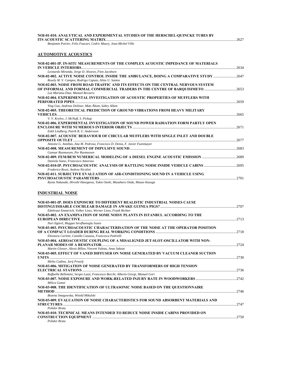| NOI-01-010. ANALYTICAL AND EXPERIMENTAL STUDIES OF THE HERSCHEL-QUINCKE TUBES BY |               |
|----------------------------------------------------------------------------------|---------------|
|                                                                                  | $\ldots$ 2627 |

*Benjamin Poirier, Felix Foucart, Cedric Maury, Jean-Michel Ville* 

### **AUTOMOTIVE ACOUSTICS**

| Leonardo Miranda, Jorge D. Alvarez, Finn Jacobsen<br>NOI-02-002. ACTIVE NOISE CONTROL INSIDE THE AMBULANCE, DOING A COMPARATIVE STUDY 2647<br>Rosely M. V. Campos, Rodrigo Caputo, Aline U. Santos<br>NOI-02-003. NOISE FROM ROAD TRAFFIC AND ITS EFFECTS ON THE CENTRAL NERVOUS SYSTEM<br>OF INFORMAL AND FORMAL COMMERCIAL TRADERS IN THE CENTRE OF BAROUISIMETO 2653<br>Luz Mariana Diaz, Manuel Recuero<br>NOI-02-004. EXPERIMENTAL INVESTIGATION OF ACOUSTIC PROPERTIES OF MUFFLERS WITH |      |
|-----------------------------------------------------------------------------------------------------------------------------------------------------------------------------------------------------------------------------------------------------------------------------------------------------------------------------------------------------------------------------------------------------------------------------------------------------------------------------------------------|------|
|                                                                                                                                                                                                                                                                                                                                                                                                                                                                                               | 2634 |
|                                                                                                                                                                                                                                                                                                                                                                                                                                                                                               |      |
|                                                                                                                                                                                                                                                                                                                                                                                                                                                                                               |      |
|                                                                                                                                                                                                                                                                                                                                                                                                                                                                                               |      |
|                                                                                                                                                                                                                                                                                                                                                                                                                                                                                               |      |
|                                                                                                                                                                                                                                                                                                                                                                                                                                                                                               |      |
|                                                                                                                                                                                                                                                                                                                                                                                                                                                                                               | 2659 |
| Ying Guo, Andreas Dolinar, Mats Åbom, Sabry Allam                                                                                                                                                                                                                                                                                                                                                                                                                                             |      |
| NOI-02-005. THEORETICAL PREDICTION OF GROUND VIBRATIONS FROM HEAVY MILITARY                                                                                                                                                                                                                                                                                                                                                                                                                   |      |
|                                                                                                                                                                                                                                                                                                                                                                                                                                                                                               |      |
| V. V. Krylov, J. McNuff, S. Pickup                                                                                                                                                                                                                                                                                                                                                                                                                                                            |      |
| NOI-02-006. EXPERIMENTAL INVESTIGATION OF SOUND POWER RADIATION FORM PARTLY OPEN                                                                                                                                                                                                                                                                                                                                                                                                              |      |
|                                                                                                                                                                                                                                                                                                                                                                                                                                                                                               | 2671 |
| Eskil Lindberg, Patrik B. U. Andersson                                                                                                                                                                                                                                                                                                                                                                                                                                                        |      |
| NOI-02-007. ACOUSTIC BEHAVIOUR OF CIRCULAR MUFFLERS WITH SINGLE INLET AND DOUBLE                                                                                                                                                                                                                                                                                                                                                                                                              |      |
| 2677                                                                                                                                                                                                                                                                                                                                                                                                                                                                                          |      |
| Antoine G. Antebas, Ana M. Pedrosa, Francisco D. Denia, F. Javier Fuenmayor                                                                                                                                                                                                                                                                                                                                                                                                                   |      |
| Gunnar Rasmussen, Per Rasmussen                                                                                                                                                                                                                                                                                                                                                                                                                                                               |      |
| NOI-02-009. FEM/BEM NUMERICAL MODELING OF A DIESEL ENGINE ACOUSTIC EMISSION 2689<br>Daniela Siano, Francesco Amoroso                                                                                                                                                                                                                                                                                                                                                                          |      |
| NOI-02-010-IP. PSYCHOACOUSTIC ANALYSIS OF RATTLING NOISE INSIDE VEHICLE CABINS …………………………………2695<br>Frederico Rossi, Andrea Nicolini                                                                                                                                                                                                                                                                                                                                                          |      |
|                                                                                                                                                                                                                                                                                                                                                                                                                                                                                               |      |
| NOI-02-011. SUBJECTIVE EVALUATION OF AIR-CONDITIONING SOUND IN A VEHICLE USING                                                                                                                                                                                                                                                                                                                                                                                                                | 2701 |
| Ryota Nakasaki, Hiroshi Hasegawa, Yukio Ozeki, Masaharu Onda, Masao Kasuga                                                                                                                                                                                                                                                                                                                                                                                                                    |      |
|                                                                                                                                                                                                                                                                                                                                                                                                                                                                                               |      |

### **INDUSTRIAL NOISE**

| NOI-03-001-IP. DOES EXPOSURE TO DIFFERENT REALISTIC INDUSTRIAL NOISES CAUSE       |      |
|-----------------------------------------------------------------------------------|------|
|                                                                                   |      |
| Edeltraut Emmerich, Volker Linss, Werner Linss, Frank Richter                     |      |
| NOI-03-002. AN EXAMINATION OF SOME NOISY PLANTS IN ISTANBUL ACCORDING TO THE      |      |
|                                                                                   |      |
| Nuri Ilgürel, Mujgan Serefhanoglu Sozen                                           |      |
| NOI-03-003. PSYCHOACOUSTIC CHARACTERISATION OF THE NOISE AT THE OPERATOR POSITION |      |
|                                                                                   |      |
| Eleonora Carletti, Camilla Casazza, Francesca Pedrielli                           |      |
| NOI-03-004. AEROACOUSTIC COUPLING OF A MISALIGNED JET-SLOT-OSCILLATOR WITH NON-   |      |
|                                                                                   |      |
| Martin Glesser, Alexis Billon, Vincent Valeau, Anas Sakout                        |      |
| NOI-03-005. EFFECT OF VANED DIFFUSER ON NOISE GENERATED BY VACUUM CLEANER SUCTION |      |
|                                                                                   |      |
| Mirko Cudina, Jurij Prezelj                                                       |      |
| NOI-03-006, MITIGATION OF NOISE GENERATED BY TRANSFORMERS OF HIGH TENSION         |      |
|                                                                                   |      |
| Raffaella Bellomini, Sergio Luzzi, Francesco Borchi, Alberto Giorgi, Manuel Gori  |      |
|                                                                                   |      |
| Milica Gomzi                                                                      |      |
| NOI-03-008. THE IDENTIFICATION OF ULTRASONIC NOISE BASED ON THE QUESTIONNAIRE     |      |
|                                                                                   | 2746 |
| Bozena Smagowska, Witold Mikulski                                                 |      |
| NOI-03-009. EVALUATION OF NOISE CHARACTERISTICS FOR SOUND ABSORBENT MATERIALS AND |      |
|                                                                                   |      |
| Polidor Bratu                                                                     |      |
| NOI-03-010. TECHNICAL MEANS INTENDED TO REDUCE NOISE INSIDE CABINS PROVIDED ON    |      |
|                                                                                   |      |
| Polidor Bratu                                                                     |      |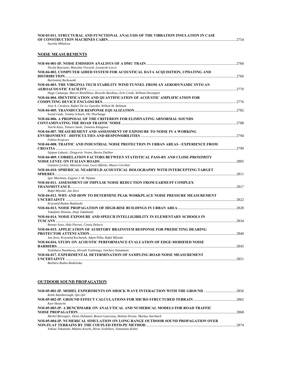| NOI-03-011. STRUCTURAL AND FUNCTIONAL ANALYSIS OF THE VIBRATION INSULATION IN CASE   |  |
|--------------------------------------------------------------------------------------|--|
| Aurelia Mihalcea                                                                     |  |
| NOISE MEASUREMENTS                                                                   |  |
|                                                                                      |  |
| Nicola Rusciano, Massimo Viscardi, Leonardo Lecce                                    |  |
| NOI-04-002. COMPUTER AIDED SYSTEM FOR ACOUSTICAL DATA ACQUISITION, UPDATING AND      |  |
| Bartlomiej Borkowski                                                                 |  |
| NOI-04-003. THE VIRGINIA TECH STABILITY WIND TUNNEL FROM AN AERODYNAMIC INTO AN      |  |
| Hugo Camargo, Marcel Remillieux, Ricardo Burdisso, Erin Crede, William Devenport     |  |
| NOI-04-004. IDENTIFICATION AND QUANTIFICATION OF ACOUSTIC AMPLIFICATION FOR          |  |
| Jose A. Córdova, Rafael De La Guardia, Willem M. Beltman                             |  |
|                                                                                      |  |
| Svend Gade, Tommy Schack, Ole Thorhauge                                              |  |
| NOI-04-006. A PROPOSAL OF THE CRITERION FOR ELIMINATING ABNORMAL SOUNDS              |  |
| Yuichi Kato, Tetsuro Saeki, Tamotsu Kitagawa                                         |  |
| NOI-04-007. MEASUREMENT AND ASSESSMENT OF EXPOSURE TO NOISE IN A WORKING             |  |
|                                                                                      |  |
| Fabien Krajcarz                                                                      |  |
| NOI-04-008. TRAFFIC AND INDUSTRIAL NOISE PROTECTION IN URBAN AREAS - EXPERIENCE FROM |  |
|                                                                                      |  |
| Stjepan Lakusic, Dragcevic Vesna, Bartos Dalibor                                     |  |
| NOI-04-009. CORRELATION FACTORS BETWEEN STATISTICAL PASS-BY AND CLOSE-PROXIMITY      |  |
| Gaetano Licitra, Massimo Losa, Luca Alfinito, Mauro Cerchiai                         |  |
| NOI-04-010. SPHERICAL NEARFIELD ACOUSTICAL HOLOGRAPHY WITH INTERCEPTING TARGET       |  |
|                                                                                      |  |
| Igor Machetta, Eugene J. M. Nijman                                                   |  |
| NOI-04-011. ASSESSMENT OF IMPULSE NOISE REDUCTION FROM EARMUFF COMPLEX               |  |
|                                                                                      |  |
| Rafal Mlynski, Jan Zera                                                              |  |
| NOI-04-012. WHY AND HOW TO DETERMINE PEAK WORKPLACE NOISE PRESSURE MEASUREMENT       |  |
| Krzysztof Rudno-Rudzinski                                                            |  |
|                                                                                      |  |
| Takafumi Shimizu, Daiji Takahashi                                                    |  |
| NOI-04-014. NOISE EXPOSURE AND SPEECH INTELLIGIBILITY IN ELEMENTARY SCHOOLS IN       |  |
|                                                                                      |  |
| Renato Sisto, Aldo Pieroni, Cinzia Delucis                                           |  |
| NOI-04-015. APPLICATION OF AUDITORY BRAINSTEM RESPONSE FOR PREDICTING HEARING        |  |
|                                                                                      |  |
| Jan Zera, Krzysztof Kochanek, Adam Pilka, Rafal Mlynski                              |  |
| NOI-04-016. STUDY ON ACOUSTIC PERFORMANCE EVALUATION OF EDGE-MODIFIED NOISE          |  |
| Yoshiharu Namikawa, Hiroshi Yoshinaga, Yuichiro Yamamoto                             |  |
| NOI-04-017. EXPERIMENTAL DETERMINATION OF SAMPLING ROAD NOISE MEASUREMENT            |  |
|                                                                                      |  |
| Barbara Rudno-Rudzinska                                                              |  |

### **OUTDOOR SOUND PROPAGATION**

| NOI-05-001-IP. MODEL EXPERIMENTS ON SHOCK WAVE INTERACTION WITH THE GROUND …………………………………2856<br>Keith Attenborough, Oin Oin                                                                                                                                                                                                 |              |
|-----------------------------------------------------------------------------------------------------------------------------------------------------------------------------------------------------------------------------------------------------------------------------------------------------------------------------|--------------|
| Kurt Heutschi                                                                                                                                                                                                                                                                                                               |              |
| NOI-05-003-IP. A BENCHMARK ON ANALYTICAL AND NUMERICAL MODELS FOR ROAD TRAFFIC<br>Michel Bérengier, Denis Duhamel, Benoit Gauvreau, Bettina Droste, Markus Auerbach<br>NOI-05-004-IP. NUMERICAL SIMULATION ON LONG RANGE OUTDOOR SOUND PROPAGATION OVER<br>Yokota Takatoshi, Makino Koichi, Hirao Yoshihiro, Yamamoto Kohei | 2868<br>2874 |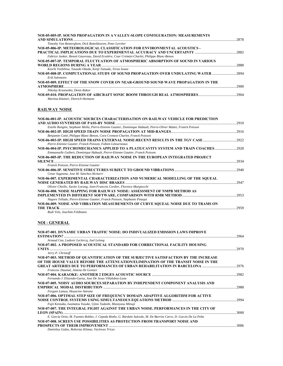| NOI-05-005-IP. SOUND PROPAGATION IN A VALLEY-SLOPE CONFIGURATION: MEASUREMENTS              |        |
|---------------------------------------------------------------------------------------------|--------|
|                                                                                             | 2878   |
| Timothy Van Renterghem, Dick Botteldooren, Peter Lercher                                    |        |
| NOI-05-006-IP. METEOROLOGICAL CLASSIFICATION FOR ENVIRONMENTAL ACOUSTICS -                  |        |
|                                                                                             |        |
| Fabrice Junker, Benoit Gauvreau, David Ecotière, Coar Crémézi-Charlet, Philippe Blanc-Benon |        |
| NOI-05-007-IP. TEMPORAL FLUCTUATION OF ATMOSPHERIC ABSORPTION OF SOUND IN VARIOUS           |        |
|                                                                                             | 2888   |
| Koichi Yoshihisa, Yasuaki Okada, Kenji Tatsuda, Teruo Iwase                                 |        |
| NOI-05-008-IP. COMPUTATIONAL STUDY OF SOUND PROPAGATION OVER UNDULATING WATER 2894          |        |
| Erik Salomons                                                                               |        |
| NOI-05-009. EFFECT OF THE SNOW COVER ON NEAR-GROUND SOUND WAVE PROPAGATION IN THE           |        |
|                                                                                             | 2900   |
| Nikolay Krasnenko, Denis Rakov                                                              |        |
|                                                                                             | - 2904 |
| Martina Kästner, Dietrich Heimann                                                           |        |

#### **RAILWAY NOISE**

| NOI-06-001-IP. ACOUSTIC SOURCES CHARACTERISATION ON RAILWAY VEHICLE FOR PREDICTION                               |       |
|------------------------------------------------------------------------------------------------------------------|-------|
|                                                                                                                  | .2910 |
| Estelle Bongini, Stephane Molla, Pierre-Etienne Gautier, Dominique Habault, Pierre-Oliver Mattei, Franck Poisson |       |
|                                                                                                                  |       |
| Benjamin Cotté, Philippe Blanc-Benon, Cora Cremezi-Charlet, Franck Poisson                                       |       |
| NOI-06-003-IP. HIGH SPEED TRAINS EXTERNAL NOISE:RECENT RESULTS IN THE TGV CASE ……………………………                       | -2922 |
| Pierre-Etienne Gautier, Franck Poisson, Fabien Létourneaux                                                       |       |
| NOI-06-004-IP. PSYCHOMECHANICS APPLIED TO A PLATE/CAVITY SYSTEM AND TRAIN COACHES 2928                           |       |
| Emmanuelle Guibert, Dominique Habault, Pierre-Etienne Gautier, Franck Poisson                                    |       |
| NOI-06-005-IP. THE REDUCTION OF RAILWAY NOISE IN THE EUROPEAN INTEGRATED PROJECT                                 |       |
| SILENCE                                                                                                          | 2934  |
| Franck Poisson, Pierre-Etienne Gautier                                                                           |       |
| NOI-06-006-IP. SENSITIVE STRUCTURES SUBJECT TO GROUND VIBRATIONS …………………………………………………………………………………………              |       |
| Cesar Sagaseta, Jose M. Sánchez-Alciturri                                                                        |       |
| NOI-06-007. EXPERIMENTAL CHARACTERIZATION AND NUMERICAL MODELLING OF THE SOUEAL                                  |       |
|                                                                                                                  | 2947  |
| Olivier Chiello, Xavier Lorang, Jean-Francois Cordier, Florence Margiocchi                                       |       |
| NOI-06-008. NOISE MAPPING FOR RAILWAY NOISE: ASSESSMENT OF NMPB METHOD AS                                        |       |
|                                                                                                                  | .2953 |
| Nagore Tellado, Pierre-Etienne Gautier, Franck Poisson, Stephanie Pinaqui                                        |       |
| NOI-06-009. NOISE AND VIBRATION MEASUREMENTS OF CURVE SOUEAL NOISE DUE TO TRAMS ON                               |       |
| THE TRACK                                                                                                        | 2959  |
| Rudi Volz, Joachim Feldmann                                                                                      |       |

#### **NOI - GENERAL NOI-07-001. DYNAMIC URBAN TRAFFIC NOISE: DO INDIVUALIZED EMISSION LAWS IMPROVE ESTIMATION?** ............................................................................................................................................................................................2964 *Arnaud Can, Ludovic Leclercq, Joel Lelong*  **NOI-07-002. A PROPOSED ACOUSTICAL STANDARD FOR CORRECTIONAL FACILITY HOUSING UNITS** ............................................................................................................................................................................................................2970 *Jerry P. Christoff*  **NOI-07-003. METHOD OF QUANTIFICATION OF THE SUBJECTIVE SATISFACTION BY THE INCREASE OF THE HOUSE VALUE BEFORE THE ATTENUATION/ELIMINATION OF THE TRANSIT NOISE IN THE GREAT ARTERIES DUE TO PERFORMANCES OF URBAN REHABILITATION IN BARCELONA** .....................................2976 *Francesc Daumal, Jimena De Gortari*  **NOI-07-004. KARAOKE: ANOTHER 2 EDGES ACOUSTIC SOURCE** ............................................................................................2982 *Fernando J. Elizondo-Garza, Jose De Jesus Villalobos-Luna*  **NOI-07-005. NOISY AUDIO SOURCES SEPARATION BY INDEPENDENT COMPONENT ANALYSIS AND EMPIRICAL MODAL DISTRIBUTION** .................................................................................................................................................2988 *Fergani Lamya, Houacine Amrane*  **NOI-07-006. OPTIMAL STEP SIZE OF FREQUENCY DOMAIN ADAPTIVE ALGORITHM FOR ACTIVE NOISE CONTROL SYSTEMS USING SIMULTANEOUS EQUATIONS METHOD** ......................................................................2994 *Fujii Kensaku, Iwamatsu Yusuke, Ujino Tadashi, Muneyasu Mitsuji*  **NOI-07-007. THE INTEGRAL FIGHT AGAINST THE URBAN NOISE. PERFORMANCES IN THE CITY OF LEON (SPAIN)**.............................................................................................................................................................................................3000 *E. García Ortiz, M. Fuentes Robles, J. Cepeda Riaño, G. Búrdalo Salcedo, M. De Barrios Carro, D. García De La Peña*  **NOI-07-008. SCREEN USE POSSIBILITIES AS PROTECTION FROM TRANSPORT NOISE AND PROSPECTS OF THEIR IMPROVEMENT** ...........................................................................................................................................3006

*Danielius Gužas, Robertas Klimas, Vaclovas Tricys*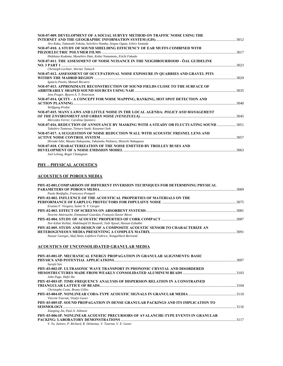| NOI-07-009, DEVELOPMENT OF A SOCIAL SURVEY METHOD ON TRAFFIC NOISE USING THE          |       |
|---------------------------------------------------------------------------------------|-------|
|                                                                                       |       |
| Jiro Kaku, Takatoshi Yokota, Seiichiro Namba, Seigou Ogata, Ichiro Yamada             |       |
| NOI-07-010. A STUDY OF SOUND SHIELDING EFFICIENCY OF EAR MUFFS COMBINED WITH          |       |
|                                                                                       |       |
| Hidekazu Kodama, Munehiro Date, Kohei Yamamoto, Eiichi Fukada                         |       |
| NOI-07-011. THE ASSESSMENT OF NOISE NUISANCE IN THE NEIGHBOURHOOD - ÖAL GUIDELINE     |       |
| 3023                                                                                  |       |
| Christoph Lechner, Werner Talasch                                                     |       |
| NOI-07-012. ASSESSMENT OF OCCUPATIONAL NOISE EXPOSURE IN QUARRIES AND GRAVEL PITS     |       |
|                                                                                       | .3029 |
| Ignacio Pavón, Manuel Recuero                                                         |       |
| NOI-07-013. APPROXIMATE RECONSTRUCTION OF SOUND FIELDS CLOSE TO THE SURFACE OF        |       |
|                                                                                       |       |
| Jens Prager, Bjoern A. T. Petersson                                                   |       |
| NOI-07-014. QCITY - A CONCEPT FOR NOISE MAPPING, RANKING, HOT SPOT DETECTION AND      |       |
|                                                                                       | 3040  |
| <b>Wolfgang Probst</b>                                                                |       |
| NOI-07-015. MANY LAWS AND LITTLE NOISE IN THE LOCAL AGENDA: POLICY AND MANAGEMENT     |       |
|                                                                                       |       |
| Mercedes Ferrer, Carolina Quintero                                                    |       |
| NOI-07-016. REDUCTION OF ANNOYANCE BY MASKING WITH A STEADY OR FLUCTUATING SOUND 3051 |       |
| Takahiro Tamesue, Tetsuro Saeki, Kazunori Itoh                                        |       |
| NOI-07-017. A SUGGESTION OF NOISE REDUCTION WALL WITH ACOUSTIC FRESNEL LENS AND       |       |
|                                                                                       | 3057  |
| Hiroaki Ishii, Masato Nakayama, Takanobu Nishiura, Shinichi Nakagawa                  |       |
| NOI-07-018. CHARACTERIZATION OF THE NOISE EMITTED BY TROLLEY BUSES AND                |       |
|                                                                                       |       |
| Joel Lelong, Roger Chatagnon                                                          |       |

### **PHY – PHYSICAL ACOUSTICS**

### **ACOUSTICS OF POROUS MEDIA**

| PHY-02-001.COMPARISON OF DIFFERENT INVERSION TECHNIQUES FOR DETERMINING PHYSICAL |       |
|----------------------------------------------------------------------------------|-------|
|                                                                                  | -3069 |
| Paolo Bonfiglio, Francesco Pompoli                                               |       |
| PHY-02-002. INFLUENCE OF THE ACOUSTICAL PROPERTIES OF MATERIALS ON THE           |       |
|                                                                                  | 3075  |
| Erasmo F. Vergara, Samir N. Y. Gerges                                            |       |
|                                                                                  | 3081  |
| Nesrine Amirouche, Emmanuel Gourdon, François-Xavier Bécot                       |       |
|                                                                                  | 3087  |
| Nor-Edine Kellati, Abdelmajid El Bouardi, Taib Ajzoul, Hassan Ezbakhe            |       |
| PHY-02-005. STUDY AND DESIGN OF A COMPOSITE ACOUSTIC SENSOR TO CHARACTERIZE AN   |       |
|                                                                                  |       |
| Nassar Georges, Skaf Alain, Lefebvre Fabrice, Nongaillard Bertrand               |       |
|                                                                                  |       |

### **ACOUSTICS OF UNCONSOLIDATED GRANULAR MEDIA**

| PHY-03-001-IP. MECHANICAL ENERGY PROPAGATION IN GRANULAR ALIGNMENTS: BASIC         |      |
|------------------------------------------------------------------------------------|------|
|                                                                                    | 3097 |
| Surajit Sen                                                                        |      |
| PHY-03-002-IP. ULTRASONIC WAVE TRANSPORT IN PHONONIC CRYSTAL AND DISORDERED        |      |
|                                                                                    |      |
| John Page, Hefei Hu                                                                |      |
| PHY-03-003-IP. TIME-FREQUENCY ANALYSIS OF DISPERSION RELATION IN A CONSTRAINED     |      |
|                                                                                    | 3104 |
| Christophe Coste, Bruno Gilles                                                     |      |
|                                                                                    |      |
| Vincent Tournat, Vitalyi Gusev                                                     |      |
| PHY-03-005-IP. SOUND PROPAGATION IN DENSE GRANULAR PACKINGS AND ITS IMPLICATION TO |      |
|                                                                                    | 3116 |
| Xiaoping Jia, Paul A. Johnson                                                      |      |
| PHY-03-006-IP. NONLINEAR ACOUSTIC PRECURSORS OF AVALANCHE-TYPE EVENTS IN GRANULAR  |      |
|                                                                                    | 3117 |
| V. Yu. Zaitsev, P. Richard, R. Delannay, V. Tournat, V. E. Gusev                   |      |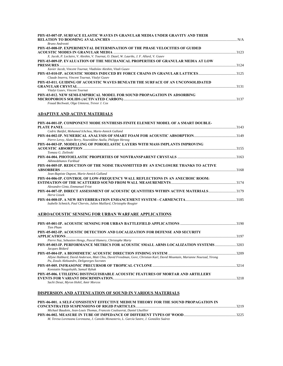| PHY-03-007-IP. SURFACE ELASTIC WAVES IN GRANULAR MEDIA UNDER GRAVITY AND THEIR              |        |
|---------------------------------------------------------------------------------------------|--------|
|                                                                                             |        |
| Bruno Andreotti                                                                             |        |
| PHY-03-008-IP. EXPERIMENTAL DETERMINATION OF THE PHASE VELOCITIES OF GUIDED                 |        |
|                                                                                             | - 3123 |
| X. Jacob, P. Leclaire, V. Aleshin, V. Tournat, O. Dazel, W. Lauriks, J. F. Allard, V. Gusev |        |
| PHY-03-009-IP. EVALUATION OF THE MECHANICAL PROPERTIES OF GRANULAR MEDIA AT LOW             |        |
|                                                                                             | - 3124 |
| Xavier Jacob, Vincent Tournat, Vladislav Aleshin, Vitali Gusev                              |        |
|                                                                                             |        |
| Claude Inserra, Vincent Tournat, Vitalyi Gusev                                              |        |
| PHY-03-011. GUIDING OF ACOUSTIC WAVES BENEATH THE SURFACE OF AN UNCONSOLIDATED              |        |
|                                                                                             |        |
| Vitalyi Gusev, Vincent Tournat                                                              |        |
| PHY-03-012. NEW SEMI-EMPIRICAL MODEL FOR SOUND PROPAGATION IN ADSORBING                     |        |
|                                                                                             |        |
|                                                                                             |        |

### *Fouad Bechwati, Olga Umnova, Trevor J. Cox*

### **ADAPTIVE AND ACTIVE MATERIALS**

| PHY-04-001-IP. COMPONENT MODE SYNTHESIS FINITE ELEMENT MODEL OF A SMART DOUBLE-     |       |
|-------------------------------------------------------------------------------------|-------|
|                                                                                     | .3143 |
| Cedric Batifol, Mohamed Ichchou, Marie-Annick Galland                               |       |
|                                                                                     |       |
| Pierre Leroy, Alain Berry, Noureddine Atalla, Philippe Herzog                       |       |
| PHY-04-003-IP. MODELLING OF POROELASTIC LAYERS WITH MASS IMPLANTS IMPROVING         |       |
|                                                                                     |       |
| Tomasz G. Zielinski                                                                 |       |
|                                                                                     |       |
| Akhmedzhanov Farkhad                                                                |       |
| PHY-04-005-IP. REDUCTION OF THE NOISE TRANSMITTED BY AN ENCLOSURE THANKS TO ACTIVE  |       |
|                                                                                     | 3168  |
| Jean-Baptiste Dupont, Marie-Annick Galland                                          |       |
| PHY-04-006-IP. CONTROL OF LOW-FREQUENCY WALL REFLECTIONS IN AN ANECHOIC ROOM:       |       |
|                                                                                     |       |
| Alexandre Gintz, Emmanuel Friot                                                     |       |
| PHY-04-007-IP. DIRECT ASSESSMENT OF ACOUSTIC OUANTITIES WITHIN ACTIVE MATERIALS3179 |       |
| Herve Lissek                                                                        |       |
|                                                                                     |       |
| Isabelle Schmich, Paul Chervin, Julien Maillard, Christophe Rougier                 |       |

### **AEROACOUSTIC SENSING FOR URBAN WARFARE APPLICATIONS**

| <b>Tien Pham</b>                                                                                                                                                         |      |
|--------------------------------------------------------------------------------------------------------------------------------------------------------------------------|------|
| PHY-05-002-IP. ACOUSTIC DETECTION AND LOCALIZATION FOR DEFENSE AND SECURITY                                                                                              | 3197 |
| Pierre Naz, Sebastien Hengy, Pascal Hamery, Christophe Marty                                                                                                             |      |
| PHY-05-003-IP. PERFORMANCE METRICS FOR ACOUSTIC SMALL ARMS LOCALIZATION SYSTEMS 3203<br>Jacques Bédard                                                                   |      |
|                                                                                                                                                                          |      |
| Allyne Hubbard, David Anderson, Matt Chiu, David Freedman, Gore, Christian Karl, David Mountain, Marianne Nourzad, Yirong<br>Pu, Zosuls Aleksandrs, Deligeorges Socrates |      |
| Konstatin Naugolnykh, Samuil Rybak                                                                                                                                       | 3214 |
| PHY-05-006. UTILIZING DISTINGUISHABLE ACQUSTIC FEATURES OF MORTAR AND ARTILLERY                                                                                          | 3218 |
| Sachi Desai, Myron Hohil, Amir Morcos                                                                                                                                    |      |

### **DISPERSION AND ATTENUATION OF SOUND IN VARIOUS MATERIALS**

| PHY-06-001. A SELF-CONSISTENT EFFECTIVE MEDIUM THEORY FOR THE SOUND PROPAGATION IN                   |  |
|------------------------------------------------------------------------------------------------------|--|
|                                                                                                      |  |
| Michael Baudoin, Jean-Louis Thomas, Francois Coulouvrat, Daniel Lhuillier                            |  |
| PHY-06-002. MEASURE IN TUBE OF IMPEDANCE OF DIFFERENT TYPES OF WOOD …………………………………………………………………………………… |  |
| M. Teresa Lorenzana Lorenzana, J. Canedo Monasterio, L. García Sastre, J. González Suárez            |  |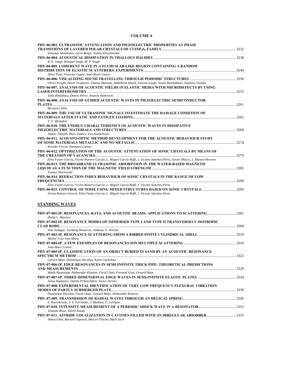### **VOLUME 6**

| PHY-06-003. ULTRASONIC ATTENUATION AND PIEZOELECTRIC PROPERTIES AT PHASE                                                                                                                                                         |  |
|----------------------------------------------------------------------------------------------------------------------------------------------------------------------------------------------------------------------------------|--|
| Vytautas Samulionis, Juras Banys, Yulian Vysochanskii                                                                                                                                                                            |  |
| R. K. Singh, Rishipal Singh, M. P. Singh                                                                                                                                                                                         |  |
| PHY-06-005. COHERENT WAVE IN A FLUID SLAB-LIKE REGION CONTAINING A RANDOM<br>Alain Tinel, Francine Luppé, Jean-Mark Conoir                                                                                                       |  |
| Oliver Wright, Dieter Profunser, Osamu Matsuda, Abdelkrim Khelif, Vincent Laude, Sarah Benchabane, Yukihiro Tanaka                                                                                                               |  |
| PHY-06-007. ANALYSIS OF ACOUSTIC FIELDS IN ELASTIC MEDIA WITH MICRODEFECTS BY USING                                                                                                                                              |  |
| Julia Zhitluhina, Dmitry Perov, Anatoly Rinkevich<br>PHY-06-008. ANALYSIS OF GUIDED ACOUSTIC WAVES IN PIEZOELECTRIC SEMICONDUCTOR                                                                                                |  |
| <b>Bernard Collet</b><br>PHY-06-009. THE USE OF ULTRASONIC SIGNALS TO ESTIMATE THE DAMAGE CONDITION OF<br>V. V. Mishakin                                                                                                         |  |
| PHY-06-010. THE ENERGY CHARACTERISTICS OF ACOUSTIC WAVES IN DISSIPATIVE                                                                                                                                                          |  |
| Andrei Teplykh, Boris Zaitsev, Iren Kuznetsova<br>PHY-06-011. ACOUSTO-OPTIC METHOD DEVELOPMENT FOR THE ACOUSTIC BEHAVIOUR STUDY                                                                                                  |  |
| Kouider Ferria, Naamane Laouar<br>PHY-06-012. OPTIMIZATION OF THE ACOUSTIC ATTENUATION OF SONIC CRYSTALS BY MEANS OF                                                                                                             |  |
| Elies Fuster-Garcia, Vicent Romero-García, L. Miguel García Raffi, J. Vicente Sánchez-Pérez, Xavier Blasco, J. Manuel Herrero<br>PHY-06-013. THE BROADBAND ULTRASONIC ABSORPTION IN THE WATER-BASED MAGNETIC<br>Tomasz Hornowski |  |
| PHY-06-014. REFRACTION INDEX BEHAVIOUR OF SONIC CRYSTALS IN THE RANGE OF LOW                                                                                                                                                     |  |
| Elies Fuster-Garcia, Vicent Romero-García, L. Miguel García Raffi, J. Vicente Sánchez-Pérez<br>Vicent Romero-García, Elies Fuster-Garcia, L. Miguel García Raffi, J. Vicente Sánchez-Pérez                                       |  |
| <b>STANDING WAVES</b>                                                                                                                                                                                                            |  |
| PHY-07-001-IP, RESONANCES, RAYS, AND ACOUSTIC BEAMS: APPLICATIONS TO SCATTERING 3301<br>Philip L. Marston                                                                                                                        |  |
| PHY-07-002-IP. RESONANCE MODES OF IMMERSED TYPE I AND TYPE II TRANSVERSELY ISOTROPIC                                                                                                                                             |  |
| Sina Sodagar, Farhang Honarvar, Anthony N. Sinclair<br>Michel Tran-Van-Nhieu                                                                                                                                                     |  |
| Jean-Marc Conoir                                                                                                                                                                                                                 |  |
| PHY-07-005-IP. CLASSIFICATION OF AN OBJECT BURIED IN SAND BY AN ACOUSTIC RESONANCE<br>Gérard Maze, Dominique Decultot, Katia Cacheleux                                                                                           |  |
| PHY-07-006-IP. EDGE RESONANCES IN SEMI-INFINITE THICK PIPE: THEORETICAL PREDICTIONS                                                                                                                                              |  |
| Madis Ratassepp, Aleksander Klauson, Farid Chati, Fernand Léon, Gerard Maze<br>PHY-07-007-IP. THREE-DIMENSIONAL EDGE WAVES IN SEMI-INFINITE ELASTIC PLATES 3334<br>Julius Kaplunov, Danila Prikazchikov, Victor Zernov           |  |
| PHY-07-008. EXPERIMENTAL IDENTIFICATION OF VERY LOW FREOUENCY FLEXURAL VIBRATION                                                                                                                                                 |  |
| Dominique Décultot, Farid Chati, Gerard Maze, Aleksander Klauson<br>E. Rosenkrantz, J. Y. Ferrandis, J. Mathieu, G. Lévêque                                                                                                      |  |
| Tetsushi Biwa, Taichi Yazaki                                                                                                                                                                                                     |  |
| PHY-07-011. ASTRIDE LOCALIZATION IN CAVITIES FILLED WITH AN IRREGULAR ABSORBER3355<br>Simon Félix, Bernard Sapoval, Marcel Filoche, Mark Asch                                                                                    |  |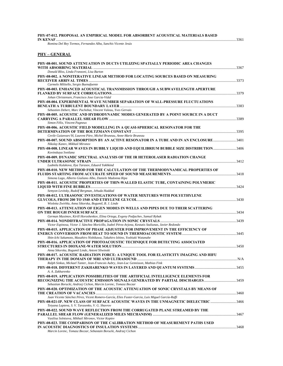#### **PHY-07-012. PROPOSAL AN EMPIRICAL MODEL FOR ABSORBENT ACOUSTICAL MATERIALS BASED IN KENAF**.....................................................................................................................................................................................................3361

*Romina Del Rey Tormos, Fernandez Alba, Sanchis Vicente Jesús* 

### **PHY – GENERAL**

| PHY-08-001. SOUND ATTENUATION IN DUCTS UTILIZING SPATIALLY PERIODIC AREA CHANGES                                                                                                                                                      |  |
|---------------------------------------------------------------------------------------------------------------------------------------------------------------------------------------------------------------------------------------|--|
| Donald Bliss, Linda Franzoni, Lisa Burton                                                                                                                                                                                             |  |
| PHY-08-002. A NONITERATIVE LINEAR METHOD FOR LOCATING SOURCES BASED ON MEASURING                                                                                                                                                      |  |
| Carmelo Militello, Sergio Buenafuente<br>PHY-08-003. ENHANCED ACOUSTICAL TRANSMISSION THROUGH A SUBWAVELENGTH APERTURE                                                                                                                |  |
| Johan Christensen, Francisco Jose Garcia-Vidal                                                                                                                                                                                        |  |
| PHY-08-004. EXPERIMENTAL WAVE NUMBER SEPARATION OF WALL-PRESSURE FLUCTUATIONS                                                                                                                                                         |  |
| Sebastien Debert, Marc Pachebat, Vincent Valeau, Yves Gervais<br>PHY-08-005. ACOUSTIC AND HYDRODYNAMIC MODES GENERATED BY A POINT SOURCE IN A DUCT                                                                                    |  |
| Simon Félix, Vincent Pagneux                                                                                                                                                                                                          |  |
| PHY-08-006. ACOUSTIC FIELD MODELLING IN A QUASI-SPHERICAL RESONATOR FOR THE<br>Cevile Guianvarc'H, Laurent Pitre, Michel Bruneau, Anne-Marie Bruneau                                                                                  |  |
| PHY-08-007. SOUND ABSORPTION BY AN ACTIVE RESONATOR IN A TUBE AND IN AN ENCLOSURE 3401<br>Nikolay Kanev, Mikhail Mironov                                                                                                              |  |
| PHY-08-008. LINEAR WAVES IN BUBBLY LIQUID AND EQUILIBRIUM BUBBLE SIZE DISTRIBUTION3406<br>Kovinskaya Svetlana                                                                                                                         |  |
| PHY-08-009. DYNAMIC SPECTRAL ANALYSIS OF THE IR HETEROLASER RADIATION CHANGE<br>Ludmila Kulakova, Ilya Tarasov, Eduard Yakhkind                                                                                                       |  |
| PHY-08-010. NEW METHOD FOR THE CALCULATION OF THE THERMODYNAMICAL PROPERTIES OF                                                                                                                                                       |  |
| Simona Lago, Alberto Giuliano Albo, Daniele Madonna Ripa<br>PHY-08-011. ACOUSTIC PROPERTIES OF THIN-WALLED ELASTIC TUBE, CONTAINING POLYMERIC                                                                                         |  |
| Semyon Levitsky, Rudolf Bergman, Jehuda Haddad                                                                                                                                                                                        |  |
| PHY-08-012. ULTRASONIC INVESTIGATIONS OF WATER MIXTURES WITH POLYETHYLENE<br>Wioletta Zwirbla, Anna Sikorska, Bogumil, B. J. Linde                                                                                                    |  |
| PHY-08-013. ATTENUATION OF EIGEN MODES IN WELLS AND PIPES DUE TO THEIR SCATTERING                                                                                                                                                     |  |
| German Maximov, Kirill Horoshenkov, Elina Ortega, Evgeny Podjachev, Samuil Rybak<br>Victor Espinosa, Victor J. Sánchez Moricillo, Isabel Pérez-Arjona, Kestutis Staliunas, Javier Redondo                                             |  |
| PHY-08-015. APPLICATION OF PHASE ADJUSTER FOR IMPROVEMENT IN THE EFFICIENCY OF<br>Shin-Ichi Sakamoto, Masahiro Nishikawa, Takahiro Ishino, Yoshiaki Watanabe                                                                          |  |
| PHY-08-016. APPLICATION OF PHOTOACOUSTIC TECHNIQUE FOR DETECTING ASSOCIATED                                                                                                                                                           |  |
| Anna Sikorska, Bogumil Linde, Antoni Sliwinski<br>PHY-08-017. ACOUSTIC RADIATION FORCE: A UNIQUE TOOL FOR ELASTICITY IMAGING AND HIFU                                                                                                 |  |
| Ralph Sinkus, Mickael Tanter, Jean-Francois Aubry, Jean-Luc Gennisson, Mathias Fink                                                                                                                                                   |  |
| A. A. Zakharenko                                                                                                                                                                                                                      |  |
| PHY-08-019. APPLICATION POSSIBILITIES OF THE ARTIFICIAL INTELLIGENCE ELEMENTS FOR<br>RECOGNIZING THE ACOUSTIC EMISSION SIGNALS GENERATED BY PARTIAL DISCHARGES3459<br>Sebastian Borucki, Andrzej Cichon, Marcin Lorenc, Tomasz Boczar |  |
| PHY-08-020. OPTIMIZATION OF THE ACOUSTIC ATTENUATION OF SONIC CRYSTALS BY MEANS OF                                                                                                                                                    |  |
| Juan Vicente Sánchez Pérez, Vicent Romero-García, Elies Fuster-Garcia, Luis Miguel García-Raffi                                                                                                                                       |  |
| PHY-08-021-IP. NEW CLASS OF SURFACE ACOUSTIC WAVES IN THE UNMAGNETIC DIELECTRIC 3466<br>Tetyana Lapteva, S. V. Tarasenko, V. G. Shavrov                                                                                               |  |
| PHY-08-022. SOUND WAVE REFLECTION FROM THE CORRUGATED PLANE STREAMED BY THE<br>Vasilisa Solntseva, Mikhail Mironov, Victor Kopiev                                                                                                     |  |
| PHY-08-023. THE COMPARISON OF THE CALIBRATION METHOD OF MEASUREMENT PATHS USED                                                                                                                                                        |  |
| Marcin Lorenc, Tomasz Boczar, Sebastain Borucki, Andrzej Cichon                                                                                                                                                                       |  |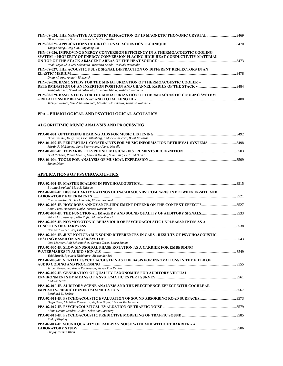| PHY-08-024. THE NEGATIVE ACOUSTIC REFRACTION OF 1D MAGNETIC PHONONIC CRYSTAL3469<br>Olga Tarasenko, S. V. Tarasenko, V. M. Yurchenko |  |
|--------------------------------------------------------------------------------------------------------------------------------------|--|
|                                                                                                                                      |  |
| Yangze Dong, Peng Sun, Pingxiang Liu                                                                                                 |  |
| PHY-08-026. IMPROVING ENERGY CONVERSION EFFICIENCY IN A THERMOACOUSTIC COOLING                                                       |  |
| SYSTEM ~ PROPERTY OF ENERGY CONVERSION PLACING HIGH HEAT CONDUCTIVITY MATERIAL                                                       |  |
|                                                                                                                                      |  |
| Naoki Miya, Shin-Ichi Sakamoto, Masahiro Kondo, Yoshiaki Watanabe                                                                    |  |
| PHY-08-027. THE ACOUSTIC PULSE SIGNAL DIFFRACTION ON DIFFERENT REFLECTORS IN AN                                                      |  |
|                                                                                                                                      |  |
| Dmitry Perov, Anatoly Rinkevich                                                                                                      |  |
| <b>PHY-08-028. BASIC STUDY FOR THE MINIATURIZATION OF THERMOACOUSTIC COOLER ~</b>                                                    |  |
|                                                                                                                                      |  |
| Yoshiyuki Tsuji, Shin-Ichi Sakamoto, Takahiro Ishino, Yoshiaki Watanabe                                                              |  |
| PHY-08-029, BASIC STUDY FOR THE MINIATURIZATION OF THERMOACOUSTIC COOLING SYSTEM                                                     |  |
|                                                                                                                                      |  |
| Tetsuya Wakata, Shin-Ichi Sakamoto, Masahiro Nishikawa, Yoshiaki Watanabe                                                            |  |
|                                                                                                                                      |  |

### **PPA – PHISIOLOGICAL AND PSYCHOLOGICAL ACOUSTICS**

### **ALGORITHMIC MUSIC ANALYSIS AND PROCESSING**

| David Wessel, Kelly Fitz, Eric Battenberg, Andrew Schmeder, Brent Edwards         |  |
|-----------------------------------------------------------------------------------|--|
| PPA-01-002-IP. PERCEPTUAL CONSTRAINTS FOR MUSIC INFORMATION RETRIEVAL SYSTEMS3498 |  |
| Martin F. McKinney, Janto Skowronek, Alberto Novello                              |  |
|                                                                                   |  |
| Gael Richard, Pierre Leveau, Laurent Daudet, Slim Essid, Bertrand David           |  |
|                                                                                   |  |
| Simon Dixon                                                                       |  |

### **APPLICATIONS OF PSYCHOACOUSTICS**

| Birgitta Berglund, Mats E. Nilsson                                                                                       |  |
|--------------------------------------------------------------------------------------------------------------------------|--|
| PPA-02-002-IP. DISSIMILARITY RATINGS OF IN-CAR SOUNDS: COMPARISON BETWEEN IN-SITU AND                                    |  |
|                                                                                                                          |  |
| Etienne Parizet, Sabine Langlois, Florent Richard                                                                        |  |
| Anna Preis, Honorata Hafke, Tomasz Kaczmarek                                                                             |  |
| PPA-02-004-IP. THE FUNCTIONAL IMAGERY AND SOUND QUALITY OF AUDITORY SIGNALS3533                                          |  |
| Shin-Ichiro Iwamiya, Aiko Fujita, Manabu Taguchi                                                                         |  |
| PPA-02-005-IP. NONMONOTONIC BEHAVIOUR OF PSYCHOACOUSTIC UNPLEASANTNESS AS A                                              |  |
|                                                                                                                          |  |
| Reinhard Weber, Reef Eilers                                                                                              |  |
| PPA-02-006-IP. JUST NOTICEABLE SOUND DIFFERENCES IN CARS - RESULTS OF PSYCHOACOUSTIC                                     |  |
| Otto Martner, Rolf Schirmacher, Carsten Zerbs, Laura Simon                                                               |  |
| <b>PPA-02-007-IP. SLOW SINUSOIDAL PHASE ROTATION AS A CARRIER FOR EMBEDDING</b>                                          |  |
| Yoiti Suzuki, Ryouichi Nishimura, Aleksander Sek                                                                         |  |
| PPA-02-008-IP. SPATIAL PSYCHOACOUSTICS AS THE BASIS FOR INNOVATIONS IN THE FIELD OF                                      |  |
| Jeroen Breebaart, Armin Kohlrausch, Steven Van De Par                                                                    |  |
|                                                                                                                          |  |
| <b>PPA-02-009-IP. GENERATION OF QUALITY TAXONOMIES FOR AUDITORY VIRTUAL</b>                                              |  |
| Andreas Silzle                                                                                                           |  |
| PPA-02-010-IP. AUDITORY SCENE ANALYSIS AND THE PRECEDENCE-EFFECT WITH COCHLEAR                                           |  |
|                                                                                                                          |  |
| Bernhard U. Seeber                                                                                                       |  |
|                                                                                                                          |  |
| Hugo Fastl, Christine Patsouras, Stephan Bayer, Thomas Beckenbauer                                                       |  |
|                                                                                                                          |  |
| Klaus Genuit, Sandro Guidati, Sebastian Rossberg                                                                         |  |
|                                                                                                                          |  |
| <b>Rudolf Bisping</b>                                                                                                    |  |
|                                                                                                                          |  |
| PPA-02-014-IP. SOUND OUALITY OF RAILWAY NOISE WITH AND WITHOUT BARRIER - A<br>LABORATORY STUDY Experience of the studies |  |
| Shafiquzzaman Khan                                                                                                       |  |
|                                                                                                                          |  |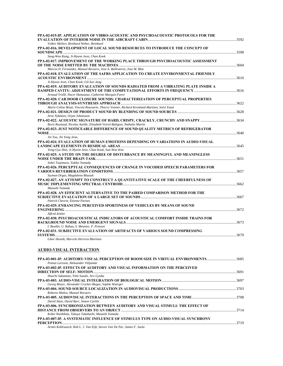| PPA-02-015-IP. APPLICATION OF VIBRO-ACOUSTIC AND PSYCHOACOUSTIC PROTOCOLS FOR THE                                                                         |  |
|-----------------------------------------------------------------------------------------------------------------------------------------------------------|--|
| Volker Mellert, Reinhard Weber, Reinhard                                                                                                                  |  |
| PPA-02-016. DEVELOPMENT OF LOCAL SOUND RESOURCES TO INTRODUCE THE CONCEPT OF                                                                              |  |
| Sang-Woo Kang, Ji-Hyeon Jeon, Chan Kook                                                                                                                   |  |
| PPA-02-017. IMPROVEMENT OF THE WORKING PLACE THROUGH PSYCHOACOUSTIC ASSESSMENT                                                                            |  |
| Marcos D. Fernandez, Manuel Recuero, Jose A. Ballesteros, Jose M. Blas                                                                                    |  |
| PPA-02-018. EVALUATION OF THE SAFRS APPLICATION TO CREATE ENVIRONMENTAL FRIENDLY                                                                          |  |
| Ji-Hyeon Jeon, Chan Kook, Gil-Soo Jang                                                                                                                    |  |
| PPA-02-019. AUDITORY EVALUATION OF SOUNDS RADIATED FROM A VIBRATING PLATE INSIDE A<br>Arnaud Trollé, Nacer Hamzaoui, Catherine Marquis-Favre              |  |
| PPA-02-020. CAR DOOR CLOSURE SOUNDS: CHARACTERIZATION OF PERCEPTUAL PROPERTIES                                                                            |  |
| Marie-Celine Bézat, Vincent Roussarie, Thierry Voinier, Richard Kronland-Martinet, Solvi Ystad                                                            |  |
|                                                                                                                                                           |  |
| Arne Nykänen, Orjan Johansson                                                                                                                             |  |
| PPA-02-022. ACOUSTIC SIGNATURE OF HARD, CRISPY, CRACKLY, CRUNCHY AND SNAPPY<br>Boris Reynaud, Nicolas Antille, Elisabeth Voirol-Baliguet, Nathalie Martin |  |
| PPA-02-023. JUST NOTICEABLE DIFFERENCE OF SOUND QUALITY METRICS OF REFRIGERATOR                                                                           |  |
|                                                                                                                                                           |  |
| Jin You, Jin Yong Jeon,                                                                                                                                   |  |
| PPA-02-024. EVALUATION OF HUMAN EMOTIONS DEPENDING ON VARIATIONS IN AUDIO-VISUAL                                                                          |  |
| Yong-Gyu Shin, Ji-Hyeon Jeon, Chan Kook, Sun-Woo Kim                                                                                                      |  |
| PPA-02-025. A STUDY ON THE DEGREE OF DISTURBANCE BY MEANINGFUL AND MEANINGLESS                                                                            |  |
| Sohei Tsujimura, Yukiko Yamada                                                                                                                            |  |
| PPA-02-026. PERCEPTUAL CONSEQUENCES OF CHANGE IN VOCODED SPEECH PARAMETERS FOR                                                                            |  |
| Szymon Drgas, Magdalena Blaszak                                                                                                                           |  |
| PPA-02-027. AN ATTEMPT TO CONSTRUCT A QUANTITATIVE SCALE OF THE CHEERFULNESS OF                                                                           |  |
| Masashi Yamada                                                                                                                                            |  |
| PPA-02-028. AN EFFICIENT ALTERNATIVE TO THE PAIRED COMPARISON METHOD FOR THE                                                                              |  |
| Patrick Chevret, Etienne Parizet                                                                                                                          |  |
| PPA-02-029. ENHANCING PERCEIVED SPORTINESS OF VEHICLES BY MEANS OF SOUND                                                                                  |  |
| Alfred Zeitler                                                                                                                                            |  |
| PPA-02-030. PSYCHOACOUSTICAL INDICATORS OF ACOUSTICAL COMFORT INSIDE TRAINS FOR                                                                           |  |
| I. Boullet, G. Rabau, S. Meunier, F. Poisson                                                                                                              |  |
| PPA-02-031. SUBJECTIVE EVALUATION OF ARTIFACTS OF VARIOUS SOUND COMPRESSING                                                                               |  |
| Libor Husník, Marcelo Herrera-Martinez                                                                                                                    |  |
| AUDIO-VISUAL INTERACTION                                                                                                                                  |  |
| PPA-03-001-IP. AUDITORY-VISUAL PERCEPTION OF ROOM SIZE IN VIRTUAL ENVIRONMENTS3685<br>Pontus Larsson, Aleksander Väljamäe                                 |  |
| PPA-03-002-IP. EFFECTS OF AUDITORY AND VISUAL INFORMATION ON THE PERCEIVED                                                                                |  |
| Shuichi Sakamoto, Yôiti Suzuki, Jiro Gyoba                                                                                                                |  |
|                                                                                                                                                           |  |
| Georg Meyer, Alexander Crocker-Buque, Sophie Wuerger                                                                                                      |  |
| Roberto Muñoz, Manuel Recuero                                                                                                                             |  |
| David Alais, David Burr, Simon Carlile                                                                                                                    |  |
| PPA-03-006. SYNCHRONIZATION BETWEEN AUDITORY AND VISUAL STIMULI; THE EFFECT OF                                                                            |  |
| Kohei Washikita, Takuya Takahashi, Masashi Yamada                                                                                                         |  |
| PPA-03-007-IP. A SYSTEMATIC INFLUENCE OF STIMULUS TYPE ON AUDIO-VISUAL SYNCHRONY                                                                          |  |

**PERCEPTION**..............................................................................................................................................................................................3719

*Armin Kohlrausch, Rob L. J. Van Eijk, Steven Van De Par, James F. Juola*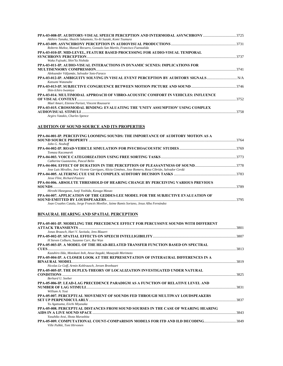| PPA-03-008-IP. AUDITORY-VISUAL SPEECH PERCEPTION AND INTERMODAL ASYNCHRONY …………………………………………………………………<br>Akihiro Tanaka, Shuichi Sakamoto, Yo-Iti Suzuki, Komi Tsumura |      |
|-----------------------------------------------------------------------------------------------------------------------------------------------------------------------|------|
|                                                                                                                                                                       |      |
| Roberto Muñoz, Manuel Recuero, Gonzalo San Martín, Francisco Fuenzalida                                                                                               |      |
| <b>PPA-03-010-IP. MID-LEVEL, FEATURE BASED PROCESSING FOR AUDIO-VISUAL TEMPORAL</b>                                                                                   |      |
|                                                                                                                                                                       | 3737 |
| Waka Fujisaki, Shin'Ya Nishida                                                                                                                                        |      |
| PPA-03-011-IP. AUDIO-VISUAL INTERACTIONS IN DYNAMIC SCENES: IMPLICATIONS FOR                                                                                          |      |
|                                                                                                                                                                       | 3741 |
| Aleksander Väljamäe, Salvador Soto-Faraco                                                                                                                             |      |
| PPA-03-012-IP. AMBIGUITY SOLVING IN VISUAL EVENT PERCEPTION BY AUDITORY SIGNALS<br>Katsumi Watanabe                                                                   |      |
|                                                                                                                                                                       |      |
| Shin-Ichiro Iwamiya                                                                                                                                                   |      |
| PPA-03-014. MULTIMODAL APPROACH OF VIBRO-ACOUSTIC COMFORT IN VEHICLES: INFLUENCE                                                                                      |      |
|                                                                                                                                                                       | 3752 |
| Mael Amari, Etienne Parizet, Vincent Roussarie                                                                                                                        |      |
| PPA-03-015. CROSSMODAL BINDING: EVALUATING THE 'UNITY ASSUMPTION' USING COMPLEX                                                                                       |      |
|                                                                                                                                                                       | 3758 |
| Argiro Vatakis, Charles Spence                                                                                                                                        |      |

### **AUDITION OF SOUND SOURCE AND ITS PROPERTIES**

| PPA-04-001-IP. PERCEIVING LOOMING SOUNDS: THE IMPORTANCE OF AUDITORY MOTION AS A                      |      |
|-------------------------------------------------------------------------------------------------------|------|
|                                                                                                       | 3764 |
| John G. Neuhoff                                                                                       |      |
|                                                                                                       |      |
| Tomasz Kaczmarek                                                                                      |      |
|                                                                                                       |      |
| Catherine Guastavino, Pascal Belin                                                                    |      |
|                                                                                                       |      |
| Jose Luis Miralles, Jose Vicente Garrigues, Alicia Giménez, Jose Romero, Rosa Cibrián, Salvador Cerdá |      |
|                                                                                                       |      |
| Jesse Flint. Richard Pastore                                                                          |      |
| <b>PPA-04-006. ABSOLUTE THRESHOLD OF HEARING CHANGE BY PERCEIVING VARIOUS PREVIOUS</b>                |      |
|                                                                                                       |      |
| Hiroshi Hasegawa, Junji Yoshida, Kasuga Masao                                                         |      |
| <b>PPA-04-007. APPLICATION OF THE GEDDES-LEE MODEL FOR THE SUBJECTIVE EVALUATION OF</b>               |      |
|                                                                                                       | 3795 |
| Joan Cruañes Catala, Jorge Francés Monllor, Jaime Ramis Soriano, Jesus Alba Fernández                 |      |

### **BINAURAL HEARING AND SPATIAL PERCEPTION**

| PPA-05-001-IP. MODELING THE PRECEDENCE EFFECT FOR PERCUSSIVE SOUNDS WITH DIFFERENT |      |
|------------------------------------------------------------------------------------|------|
|                                                                                    |      |
| Jonas Braasch, Hari V. Savitala, Jens Blauert                                      |      |
|                                                                                    |      |
| H Steven Colburn, Suzanne Carr, Rui Wan                                            |      |
| PPA-05-003-IP. A MODEL OF THE HEAD-RELATED TRANSFER FUNCTION BASED ON SPECTRAL     |      |
|                                                                                    |      |
| Kazuhiro IIda, Motokuni Itoh, Atsue Itagaki, Masayuki Morimoto                     |      |
| PPA-05-004-IP. A CLOSER LOOK AT THE REPRESENTATION OF INTERAURAL DIFFERENCES IN A  |      |
|                                                                                    |      |
| Nicolas Le Goff, Armin Kohlrausch, Jeroen Breebaart                                |      |
| PPA-05-005-IP. THE DUPLEX-THEORY OF LOCALIZATION INVESTIGATED UNDER NATURAL        |      |
|                                                                                    |      |
| Berhard U. Seeber                                                                  |      |
| PPA-05-006-IP. LEAD-LAG PRECEDENCE PARADIGM AS A FUNCTION OF RELATIVE LEVEL AND    |      |
|                                                                                    |      |
| William A. Yost                                                                    |      |
| PPA-05-007. PERCEPTUAL MOVEMENT OF SOUNDS FED THROUGH MULTIWAY LOUDSPEAKERS        |      |
|                                                                                    |      |
| Yu Agatsuma, Eiichi Miyasaka                                                       |      |
| PPA-05-008. PERCEPTUAL DISTANCES FROM SOUND SOURSES IN THE CASE OF WEARING HEARING |      |
|                                                                                    | 3843 |
| Yasuhiko Arai, Shota Murashita                                                     |      |
| PPA-05-009. COMPUTATIONAL COUNT-COMPARISON MODELS FOR ITD AND ILD DECODING3849     |      |
| Ville Pulkki. Toni Hirvonen                                                        |      |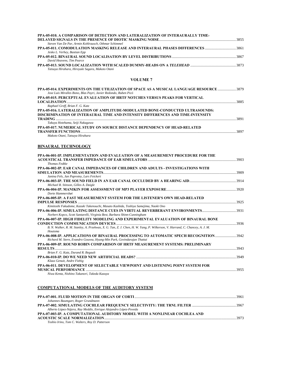| PPA-05-010. A COMPARISON OF DETECTION AND LATERALIZATION OF INTERAURALLY TIME-  |  |
|---------------------------------------------------------------------------------|--|
|                                                                                 |  |
| Steven Van De Par, Armin Kohlrausch, Othmar Schimmel                            |  |
| PPA-05-011. COMODULATION MASKING RELEASE AND INTERAURAL PHASES DIFFERENCES 3861 |  |
| Jesko L. Verhey, Bastian Epp                                                    |  |
|                                                                                 |  |
| David Heavens, Tim Pearce                                                       |  |
|                                                                                 |  |
| Tatsuya Hirahara, Hiroyuki Sagara, Makoto Otani                                 |  |

### **VOLUME 7**

| PPA-05-014. EXPERIMENTS ON THE UTILIZATION OF SPACE AS A MUSICAL LANGUAGE RESOURCE 3879 |      |
|-----------------------------------------------------------------------------------------|------|
| Jose Luis Miralles Bono, Blas Payri, Javier Redondo, Ruben Picó                         |      |
| <b>PPA-05-015. PERCEPTUAL EVALUATION OF HRTF NOTCHES VERSUS PEAKS FOR VERTICAL</b>      |      |
|                                                                                         | 3885 |
| Raphael Greff, Brian F. G. Katz                                                         |      |
| PPA-05-016. LATERALIZATION OF AMPLITUDE-MODULATED BONE-CONDUCTED ULTRASOUNDS:           |      |
| DISCRIMINATION OF INTERAURAL TIME AND INTENSITY DIFFERENCES AND TIME-INTENSITY          |      |
|                                                                                         | 3891 |
| Takuya Hotehama, Seiji Nakagawa                                                         |      |
| <b>PPA-05-017. NUMERICAL STUDY ON SOURCE DISTANCE DEPENDENCY OF HEAD-RELATED</b>        |      |
|                                                                                         | 3897 |
|                                                                                         |      |

*Makoto Otani, Tatsuya Hirahara* 

### **BINAURAL TECHNOLOGY**

| PPA-06-001-IP. IMPLEMENTATION AND EVALUATION OF A MEASUREMENT PROCEDURE FOR THE                                                        |  |
|----------------------------------------------------------------------------------------------------------------------------------------|--|
|                                                                                                                                        |  |
| <b>Thomas Fedtke</b>                                                                                                                   |  |
| PPA-06-002-IP. EAR CANAL IMPEDANCES OF CHILDREN AND ADULTS - INVESTIGATIONS WITH                                                       |  |
|                                                                                                                                        |  |
| Janina Fels, Jan Paprotny, Lars Feickert                                                                                               |  |
|                                                                                                                                        |  |
| Michael R. Stinson, Gilles A. Daigle                                                                                                   |  |
|                                                                                                                                        |  |
| Dorte Hammershøi                                                                                                                       |  |
| PPA-06-005-IP. A FAST MEASUREMENT SYSTEM FOR THE LISTENER'S OWN HEAD-RELATED                                                           |  |
|                                                                                                                                        |  |
| Kimitoshi Fukudome, Kazuki Takenouchi, Masato Kashida, Toshiya Samejima, Naoki Ono                                                     |  |
|                                                                                                                                        |  |
| Norbert Kopco, Scott Santarelli, Virginia Best, Barbara Shinn-Cunningham                                                               |  |
| PPA-06-007-IP. HIGH FIDELITY MODELING AND EXPERIMENTAL EVALUATION OF BINAURAL BONE                                                     |  |
|                                                                                                                                        |  |
| B. N. Walker, R. M. Stanley, A. Przekwas, X. G. Tan, Z. J. Chen, H. W. Yang, P. Wilkerson, V. Harrand, C. Chancey, A. J. M.<br>Houtsma |  |
| PPA-06-008-IP, APPLICATIONS OF BINAURAL PROCESSING TO AUTOMATIC SPECH RECOGNITION3942                                                  |  |
| Richard M. Stern, Evandro Gouvea, Hyung-Min Park, Govindarajan Thattai                                                                 |  |
| PPA-06-009-IP. ROUND ROBIN COMPARISON OF HRTF MEASUREMENT SYSTEMS: PRELIMINARY                                                         |  |
|                                                                                                                                        |  |
| Brian F. G. Katz, Durand R. Begault                                                                                                    |  |
|                                                                                                                                        |  |
| Klaus Genuit, Andre Fiebig                                                                                                             |  |
| PPA-06-011. DEVELOPMENT OF SELECTABLE VIEWPOINT AND LISTENING POINT SYSTEM FOR                                                         |  |
|                                                                                                                                        |  |
| Niwa Kenta, Nishino Takanori, Takeda Kazuya                                                                                            |  |

### **COMPUTATIONAL MODELS OF THE AUDITORY SYSTEM**

| Johannes Baumgart, Roger Grundmann                                         |        |
|----------------------------------------------------------------------------|--------|
|                                                                            |        |
| Alberto López-Nájera, Ray Meddis, Enrique Alejandro López-Poveda           |        |
| PPA-07-003-IP. A COMPUTATIONAL AUDITORY MODEL WITH A NONLINEAR COCHLEA AND |        |
|                                                                            | - 3973 |
| Toshio Irino, Tom C. Walters, Roy D. Patterson                             |        |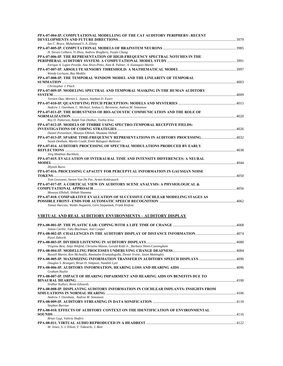| PPA-07-004-IP. COMPUTATIONAL MODELLING OF THE CAT AUDITORY PERIPHERY: RECENT  |  |
|-------------------------------------------------------------------------------|--|
| Ian C. Bruce, Muhammad S. A. Zilany                                           |  |
|                                                                               |  |
| H. Steven Colburn, Yi Zhou, Andrew Brughera, Yoojin Chung                     |  |
| PPA-07-006-IP. THE REPRESENTATION OF HIGH-FREQUENCY SPECTRAL NOTCHES IN THE   |  |
|                                                                               |  |
| Enrique A. Lopez-Poveda, Ana Alves-Pinto, Alan R. Palmer, A. Eustaquio-Martín |  |
| Wendy Lecluyse, Ray Meddis                                                    |  |
| PPA-07-008-IP. THE TEMPORAL WINDOW MODEL AND THE LINEARITY OF TEMPORAL        |  |
|                                                                               |  |
| Christopher J. Plack                                                          |  |
| PPA-07-009-IP. MODELING SPECTRAL AND TEMPORAL MASKING IN THE HUMAN AUDITORY   |  |
| Torsten Dau, Morten L. Jepsen, Stephan D. Ewert                               |  |
|                                                                               |  |
| Andrew J. Oxenham, C. Micheyl, Joshua G. Bernstein, Andrea M. Simonson        |  |
| PPA-07-011-IP. THE ROBUSTNESS OF BIO-ACOUSTIC COMMUNICATION AND THE ROLE OF   |  |
|                                                                               |  |
| Roy D. Patterson, Ralph Van Dinther, Toshio Irino                             |  |
| PPA-07-012-IP. MODELS OF TIMBRE USING SPECTRO-TEMPORAL RECEPTIVE FIELDS:      |  |
|                                                                               |  |
| Daniel Pressnitzer, Mounya Elhilali, Shamma Shihab                            |  |
|                                                                               |  |
| Susan Denham, Martin Coath, Emili Balaguer-Ballester                          |  |
| PPA-07-014. AUDITORY PROCESSING OF SPECTRAL MODULATIONS PRODUCED BY EARLY     |  |
|                                                                               |  |
| Jörg Matthias Buchholz                                                        |  |
| PPA-07-015. EVALUATION OF INTERAURAL TIME AND INTENSITY DIFFERENCES: A NEURAL |  |
| 4044                                                                          |  |
| <b>Zbynek Bures</b>                                                           |  |
| PPA-07-016. PROCESSING CAPACITY FOR PERCEPTUAL INFORMATION IN GAUSSIAN NOISE  |  |
|                                                                               |  |
| Tom Goossens, Steven Van De Par, Armin Kohlrausch                             |  |
| PPA-07-017-IP. A CORTICAL VIEW ON AUDITORY SCENE ANALYSIS: A PHYSIOLOGICAL &  |  |
|                                                                               |  |
| Mounya Elhilali, Shihab Shamma                                                |  |
| PPA-07-018. COMPARATIVE EVALUATION OF SUCCESSIVE COCHLEAR MODELING STAGES AS  |  |
|                                                                               |  |
| Tamas Harczos, Waldo Nogueira, Gero Szepannek, Frank Klefenz                  |  |

### **VIRTUAL AND REAL AUDITIORY ENVIRONMENTS – AUDITORY DISPLAY**

| Simon Carlile, Toby Blackman, Joel Cooper                                                 |      |
|-------------------------------------------------------------------------------------------|------|
|                                                                                           |      |
| Pavel Zahorik                                                                             |      |
|                                                                                           |      |
| Virginia Best, Antje Ihlefeld, Christine Mason, Gerald Kidd Jr., Barbara Shinn-Cunningham |      |
|                                                                                           |      |
| Russell Martin, Ken McAnally, Ranmalee Eramudugolla, Dexter Irvine, Jason Mattingley      |      |
|                                                                                           |      |
| Douglas S. Brungart, Brian D. Simpson, Nandini Lyer                                       |      |
|                                                                                           |      |
| Graham Naylor                                                                             |      |
| PPA-08-007-IP. IMPACT OF HEARING IMPAIRMENT AND HEARING AIDS ON BENEFITS DUE TO           |      |
|                                                                                           |      |
| Sridhar Kalluri, Brent Edwards                                                            |      |
| PPA-08-008-IP. DISPLAYING AUDITORY INFORMATION IN COCHLEAR IMPLANTS: INSIGHTS FROM        |      |
|                                                                                           | 4106 |
| Andrew J. Oxenham. Andrea M. Simonson                                                     |      |
|                                                                                           |      |
| Stephen Barrass                                                                           |      |
| PPA-08-010. EFFECTS OF AUDITORY CONTEXT ON THE IDENTIFICATION OF ENVIRONMENTAL            |      |
|                                                                                           |      |
| Brian Gygi, Valeriy Shafiro                                                               |      |
|                                                                                           |      |
| M. Jones, S. J. Elliott, T. Takeuchi, J. Beer                                             |      |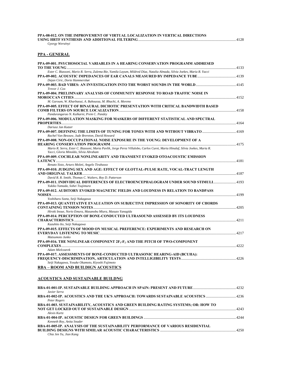| <b>PPA-08-012. ON THE IMPROVEMENT OF VIRTUAL LOCALIZATION IN VERTICAL DIRECTIONS</b> |  |
|--------------------------------------------------------------------------------------|--|
|                                                                                      |  |
| $\alpha$ $\alpha$ $\beta$                                                            |  |

### *Gyorgy Wersényi*

### **PPA - GENERAL**

| PPA-09-001. PSYCHOSOCIAL VARIABLES IN A HEARING CONSERVATION PROGRAMM ADDRESED                                                                                        |  |
|-----------------------------------------------------------------------------------------------------------------------------------------------------------------------|--|
|                                                                                                                                                                       |  |
| Ester C. Biassoni, Mario R. Serra, Zulema Bie, Yamila Layum, Mildred Díaz, Natalia Almada, Silvia Joekes, Maria R. Yacci                                              |  |
| Dejan Ciric, Dorte Hammershøi                                                                                                                                         |  |
| Trevor J. Cox                                                                                                                                                         |  |
| PPA-09-004. PRELIMNARY ANALYSIS OF COMMUNITY RESPONSE TO ROAD TRAFFIC NOISE IN                                                                                        |  |
|                                                                                                                                                                       |  |
| M. Garoum, W. Kharbaoui, A. Bahoussa, M. Rhachi, A. Moreno                                                                                                            |  |
| PPA-09-005. EFFECT OF BINAURAL DICHOTIC PRESENTATION WITH CRITICAL BANDWIDTH BASED                                                                                    |  |
|                                                                                                                                                                       |  |
| Pandurangarao N. Kulkarni, Prem C. Pandey                                                                                                                             |  |
| PPA-09-006. MODULATION MASKING FOR MASKERS OF DIFFERENT STATISTICAL AND SPECTRAL                                                                                      |  |
| Dariusz Jan Kutzer                                                                                                                                                    |  |
| PPA-09-007. DEFINING THE LIMITS OF TUNING FOR TONES WITH AND WITHOUT VIBRATO<br>Rachel Van Besouw, Jude Brereton, David Howard                                        |  |
| PPA-09-008. NON-OCCUPATIONAL NOISE EXPOSURE IN THE YOUNG: DEVELOPMENT OF A                                                                                            |  |
|                                                                                                                                                                       |  |
| Mario R. Serra, Ester C. Biassoni, Marta Pavlik, Jorge Perez Villalobo, Carlos Curet, Maria Hinalaf, Silvia Joekes, Maria R.<br>Yacci, Gloria Minoldo, Silvia Abraham |  |
| PPA-09-009. COCHLEAR NONLINEARITY AND TRANSIENT EVOKED OTOACOUSTIC EMISSION                                                                                           |  |
|                                                                                                                                                                       |  |
| Renato Sisto, Arturo Moleti, Angelo Tirabasso                                                                                                                         |  |
| PPA-09-010. JUDGING SEX AND AGE: EFFECT OF GLOTTAL-PULSE RATE, VOCAL-TRACT LENGTH                                                                                     |  |
| David R. R. Smith, Thomas C. Walters, Roy D. Patterson                                                                                                                |  |
| PPA-09-011. INDIVIDUAL DIFFERENCES OF ELECTROENCEPHALOGRAM UNDER SOUND STIMULI4193<br>Yukiko Yamada, Sohei Tsujimura                                                  |  |
| PPA-09-012. AUDITORY EVOKED MAGNETIC FIELDS AND LOUDNESS IN RELATION TO BANDPASS                                                                                      |  |
|                                                                                                                                                                       |  |
| Yoshiharu Soeta, Seiji Nakagawa                                                                                                                                       |  |
| PPA-09-013. QUANTITATIVE EVALUATION ON SUBJECTIVE IMPRESSION OF SONORITY OF CHORDS                                                                                    |  |
|                                                                                                                                                                       |  |
| Hiroki Inoue, Norio Emura, Masanobu Miura, Masuzo Yanagida                                                                                                            |  |
| PPA-09-014. PERCEPTION OF BONE-CONDUCTED ULTRASOUND ASSESSED BY ITS LOUDNESS                                                                                          |  |
| Kazuhito Ito, Seiji Nakagawa                                                                                                                                          |  |
| PPA-09-015. EFFECTS OF MOOD ON MUSICAL PREFERENCE: EXPERIMENTS AND RESEARCH ON                                                                                        |  |
|                                                                                                                                                                       |  |
| Matsumoto Junko                                                                                                                                                       |  |
| PPA-09-016. THE NONLINEAR COMPONENT 2F1-F2 AND THE PITCH OF TWO-COMPONENT                                                                                             |  |
|                                                                                                                                                                       |  |
| Adam Mielczarek                                                                                                                                                       |  |
| PPA-09-017. ASSESSMENTS OF BONE-CONDUCTED ULTRASONIC HEARING-AID (BCUHA):                                                                                             |  |
|                                                                                                                                                                       |  |
| Seiji Nakagawa, Yosuke Okamoto, Kiyoshi Fujimoto                                                                                                                      |  |
| RBA – ROOM AND BUILDIGN ACOUSTICS                                                                                                                                     |  |
|                                                                                                                                                                       |  |
| ACOUSTICS AND SUSTAINABLE BUILDNG                                                                                                                                     |  |
|                                                                                                                                                                       |  |
| Javier Serra                                                                                                                                                          |  |
|                                                                                                                                                                       |  |

| Peter Rogers                                                                        |  |
|-------------------------------------------------------------------------------------|--|
| RBA-01-003. SUSTAINABILITY, ACOUSTICS AND GREEN BUILDING RATING SYSTEMS; OR: HOW TO |  |
|                                                                                     |  |
| Alexis Kurtz                                                                        |  |
|                                                                                     |  |
| Kenneth Roy, Anita Snader                                                           |  |
| RBA-01-005-IP. ANALYSIS OF THE SUSTAINABILITY PERFORMANCE OF VARIOUS RESIDENTIAL    |  |
|                                                                                     |  |
| Chia Jen Yu, Jian Kang                                                              |  |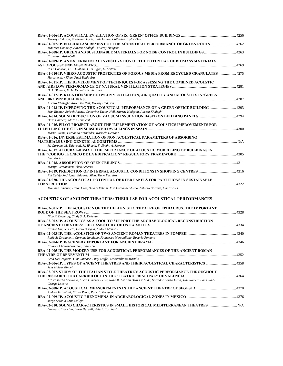| Murray Hodgson, Rosamund Hyde, Blair Fulton, Catherine Taylor-Hell                                                                                        |  |
|-----------------------------------------------------------------------------------------------------------------------------------------------------------|--|
| RBA-01-007-IP. FIELD MEASUREMENT OF THE ACOUSTICAL PERFORMANCE OF GREEN ROOFS                                                                             |  |
| Maureen Connelly, Alireza Khaleghi, Murray Hodgson                                                                                                        |  |
| RBA-01-008-IP. GREEN AND SUSTAINABLE MATERIALS FOR NOISE CONTROL IN BUILDINGS<br>Francesco Asdrubali                                                      |  |
| RBA-01-009-IP. AN EXPERIMENTAL INVESTIGATION OF THE POTENTIAL OF BIOMASS MATERIALS                                                                        |  |
| R. D. Cookson, D. J. Oldham, C. A. Egan, G. Seiffert                                                                                                      |  |
| RBA-01-010-IP. VIBRO-ACOUSTIC PROPERTIES OF POROUS MEDIA FROM RECYCLED GRANULATES 4275                                                                    |  |
| Horoshenkov Khan, Patel Benkreira<br>RBA-01-011-IP. THE DEVELOPMENT OF TECHNIQUES FOR ASSESSING THE COMBINED ACOUSTIC                                     |  |
| D. J. Oldham, M. H. De Salis, S. Sharples                                                                                                                 |  |
| RBA-01-012-IP. RELATIONSHIP BETWEEN VENTILATION, AIR QUALITY AND ACOUSTICS IN 'GREEN'                                                                     |  |
| Alireza Khaleghi, Karen Bartlett, Murray Hodgson                                                                                                          |  |
| RBA-01-013-IP. IMPROVING THE ACOUSTICAL PERFORMANCE OF A GREEN OFFICE BUILDING                                                                            |  |
| Max Richter, Zohreh Razavi, Catherine Taylor-Hell, Murray Hodgson, Alireza Khaleghi                                                                       |  |
| Hans Cauberg, Martin Tenpierik                                                                                                                            |  |
| RBA-01-015. PILOT PROJECT ABOUT THE IMPLEMENTATION OF ACOUSTICS IMPROVEMENTS FOR                                                                          |  |
| Marta Fuente, Fernando Fernández, Karmele Herranz                                                                                                         |  |
| RBA-01-016. INVERSE ESTIMATION OF NON ACOUSTICAL PARAMETERS OF ABSORBING                                                                                  |  |
| M. Garoum, M. Tajayouti, M. Rhachi, F. Simón, A. Moreno                                                                                                   |  |
| RBA-01-017. ACOUBAT-DBMAT: THE IMPORTANCE OF ACOUSTIC MODELLING OF BUILDINGS IN                                                                           |  |
| Ivan Portas                                                                                                                                               |  |
|                                                                                                                                                           |  |
| Martijn Vercammen, Theo Scheers                                                                                                                           |  |
| Rui Calejo Rodrigues, Eduarda Silva, Tiago Ferreira                                                                                                       |  |
| RBA-01-020. THE ACOUSTICAL POTENTIAL OF REED PANELS FOR PARTITIONS IN SUSTAINABLE                                                                         |  |
| Montana Jiménez; Cesar Díaz, David Oldham, Jose Fernández-Cabo, Antonio Pedrero, Luis Torres                                                              |  |
|                                                                                                                                                           |  |
| ACOUSTICS OF ANCIENT THEATERS: THEIR USE FOR ACOUSTICAL PERFORMANCES                                                                                      |  |
| RBA-02-001-IP. THE ACOUSTICS OF THE HELLENISTIC THEATRE OF EPIDAURUS: THE IMPORTANT                                                                       |  |
|                                                                                                                                                           |  |
| Nico F. Declercq, Cindy S. A. Dekeyser<br>RBA-02-002-IP. ACOUSTICS AS A TOOL TO SUPPORT THE ARCHAEOLOGICAL RECONSTRUCTION                                 |  |
|                                                                                                                                                           |  |
| Franco Gugliermetti, Fabio Bisegna, Andrea Monaco<br>RBA-02-003-IP. THE ACOUSTICS OF TWO ANCIENT ROMAN THEATRES IN POMPEII ……………………………………………………………………………… |  |
| Raffaele Dragonetti, Carmine Ianniello, Francesco Mercogliano, Rosario Romano                                                                             |  |
|                                                                                                                                                           |  |
| Kalliopi Chourmouziadou, Jian Kang<br>RBA-02-005-IP. THE MODERN USE FOR ACOUSTICAL PERFORMANCES OF THE ANCIENT ROMAN                                      |  |
|                                                                                                                                                           |  |
| Leda De Gregorio, Gino Iannace, Luigi Maffei, Massimiliano Masullo                                                                                        |  |
| RBA-02-006-IP. TYPES OF ANCIENT THEATRES AND THEIR ACOUSTICAL CHARACTERISTICS<br>Jens Holger Rindel                                                       |  |
| RBA-02-007. STUDY OF THE ITALIAN STYLE THEATRE´S ACOUSTIC PERFORMANCE THROUGHOUT                                                                          |  |
| Arturo Barba Sevillano, Alicia Giménez Pérez, Rosa M. Cibrián Ortiz De Anda, Salvador Cerdá Jordá, Jose Romero Faus, Radu                                 |  |
| George Lacatis                                                                                                                                            |  |
| Andrea Farnetani, Nicola Prodi, Roberto Pompoli                                                                                                           |  |
|                                                                                                                                                           |  |
| Jorge Antonio Cruz Calleja<br>RBA-02-010. SOUND CHARACTERISTICS IN SMALL HISTORICAL MEDITERRANEAN THEATRES                                                |  |
| Lamberto Tronchin, Ilaria Durvilli, Valerio Tarabusi                                                                                                      |  |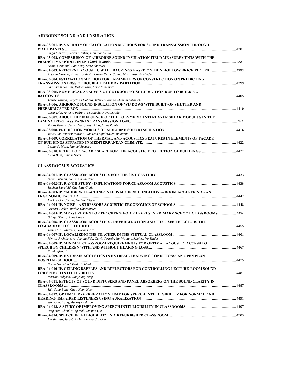### **AIRBORNE SOUND AND UNSULATION**

| RBA-03-001-IP. VALIDITY OF CALCULATION METHODS FOR SOUND TRANSMISSION THROUGH                                                                                      |      |
|--------------------------------------------------------------------------------------------------------------------------------------------------------------------|------|
| Singh Mahavir, Sharma Omkar, Mohanan Vellur                                                                                                                        | 4381 |
| RBA-03-002. COMPARISON OF AIRBORNE SOUND INSULATION FIELD MEASUREMENTS WITH THE                                                                                    |      |
|                                                                                                                                                                    | 4387 |
| Daniel Cramond, Jian Kang, Steve Sharples                                                                                                                          |      |
| RBA-03-003. EFFICIENT ACOUSTIC WALL BACKINGS BASED ON THIN HOLLOW BRICK PLATES  4393<br>Antonio Moreno, Francisco Simón, Carlos De La Colina, Maria Jose Fernández |      |
| RBA-03-004. ESTIMATION METHOD FOR PARAMETERS OF CONSTRUCTION ON PREDICTING                                                                                         |      |
|                                                                                                                                                                    |      |
| Shinsuke Nakanishi, Motoki Yairi, Atsuo Minemura                                                                                                                   |      |
| RBA-03-005. NUMERICAL ANALYSIS OF OUTDOOR NOISE REDUCTION DUE TO BUILDING                                                                                          |      |
|                                                                                                                                                                    | 4405 |
| Yosuke Yasuda, Shigetoshi Gohara, Tetsuya Sakuma, Shinichi Sakamoto                                                                                                |      |
| RBA-03-006. AIRBORNE SOUND INSULATION OF WINDOWS WITH BUILT-ON SHUTTER AND                                                                                         |      |
| 4410                                                                                                                                                               |      |
| Cesar Díaz, Antonio Pedrero, M. Angeles Navacerrada                                                                                                                |      |
| RBA-03-007. ABOUT THE INFLUENCE OF THE POLYMERIC INTERLAYER SHEAR MODULUS IN THE                                                                                   |      |
|                                                                                                                                                                    |      |
| Tomás Baenas, Jenaro Vera, Jesús Alba, Jaime Ramis                                                                                                                 |      |
| Jesus Alba, Vincent Marant, Juan Luis Aguilera, Jaime Ramis                                                                                                        |      |
| RBA-03-009. CORRELATION OF THERMAL AND ACOUSTICS FEATURES IN ELEMENTS OF FAÇADE                                                                                    |      |
|                                                                                                                                                                    | 4422 |
| Leonardo Meza, Manuel Recuero                                                                                                                                      |      |
|                                                                                                                                                                    |      |
| Lucia Busa, Simone Secchi                                                                                                                                          |      |

### **CLASS ROOM'S ACOUSTICS**

| David Lubman, Louis C. Sutherland                                                                                    |  |
|----------------------------------------------------------------------------------------------------------------------|--|
|                                                                                                                      |  |
| Stephen Stansfeld, Charlotte Clark                                                                                   |  |
| RBA-04-003-IP. "MODERN TEACHING" NEEDS MODERN CONDITIONS - ROOM ACOUSTICS AS AN                                      |  |
|                                                                                                                      |  |
| Markus Oberdörster, Gerhart Tiesler                                                                                  |  |
|                                                                                                                      |  |
| Gerhart Tiesler, Markus Oberdörster                                                                                  |  |
| RBA-04-005-IP. MEASUREMENT OF TEACHER'S VOICE LEVELS IN PRIMARY SCHOOL CLASSROOMS 4454<br>Bridget Shield, Anne Carey |  |
| RBA-04-006-IP. CLASSROOM ACOUSTICS - REVERBERATION AND THE CAFE EFFECT IS THE                                        |  |
|                                                                                                                      |  |
| James A. T. Whitlock, George Dodd                                                                                    |  |
|                                                                                                                      |  |
| Monica Rychtáriková, Jamina Fels, Gerrit Vermeir, Jan Wouters, Michael Vorländer                                     |  |
| RBA-04-008-IP. MINIMAL CLASSROOM REQUIREMENTS FOR OPTIMAL ACOUSTIC ACCESS TO                                         |  |
| Frank Iglehart                                                                                                       |  |
| RBA-04-009-IP. EXTREME ACOUSTICS IN EXTREME LEARNING CONDITIONS: AN OPEN PLAN                                        |  |
|                                                                                                                      |  |
| Emma Greenland, Bridget Shield                                                                                       |  |
| RBA-04-010-IP. CEILING BAFFLES AND REFLECTORS FOR CONTROLLING LECTURE-ROOM SOUND                                     |  |
|                                                                                                                      |  |
| Murray Hodgson, Wonyoung Yang                                                                                        |  |
| RBA-04-011. EFFECTS OF SOUND DIFFUSERS AND PANEL ABSORBERS ON THE SOUND CLARITY IN                                   |  |
| 4487                                                                                                                 |  |
| Shin Sang-Bong, Chan-Hoon Haan                                                                                       |  |
| RBA-04-012. OPTIMAL REVERBERATION TIME FOR SPEECH INTELLIGIBILITY FOR NORMAL AND                                     |  |
|                                                                                                                      |  |
| Wonyoung Yang, Murray Hodgson                                                                                        |  |
|                                                                                                                      |  |
| Ning Han, Cheuk Ming Mak, Xiaojun Oiu                                                                                |  |
|                                                                                                                      |  |
| Martin Lisa, Jurgeb Nickel, Bernhard Becker                                                                          |  |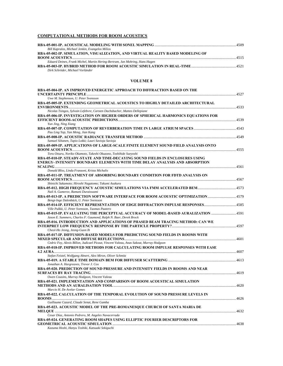### **COMPUTATIONAL METHODS FOR ROOM ACOUSTICS**

| Bill Kapralos, Michael Jenkin, Evangelos Milios                                 |  |
|---------------------------------------------------------------------------------|--|
| RBA-05-002-IP. SIMULATION, VISUALIZATION, AND VIRTUAL REALITY BASED MODELING OF |  |
|                                                                                 |  |
| Eduard Deines, Frank Michel, Martin Hering-Bertram, Jan Mohring, Hans Hagen     |  |
|                                                                                 |  |
| Dirk Schröder, Michael Vorländer                                                |  |

#### **VOLUME 8**

| <b>RBA-05-004-IP. AN IMPROVED ENERGETIC APPROACH TO DIFFRACTION BASED ON THE</b><br>Uwe M. Stephenson, U. Peter Svensson                                      |  |
|---------------------------------------------------------------------------------------------------------------------------------------------------------------|--|
| RBA-05-005-IP. EXTENDING GEOMETRICAL ACOUSTICS TO HIGHLY DETAILED ARCHITECTURAL                                                                               |  |
| Nicolas Tsingos, Sylvain Lefebvre, Carsten Dachsbacher, Matteo Dellepiane                                                                                     |  |
| RBA-05-006-IP. INVESTIGATION ON HIGHER ORDERS OF SPHERICAL HARMONICS EQUATIONS FOR                                                                            |  |
| Yun Jing, Ning Xiang                                                                                                                                          |  |
| Pau Ling Yap, Yan Meng, Jian Kang                                                                                                                             |  |
|                                                                                                                                                               |  |
| Samuel Siltanen, Tapio Lokki; Lauri Savioja Savioja                                                                                                           |  |
| RBA-05-009-IP. APPLICATIONS OF LARGE-SCALE FINITE ELEMENT SOUND FIELD ANALYSIS ONTO                                                                           |  |
| Toru Otsuru, Noriko Okamoto, Takeshi Okuzono, Toshihide Sueyoshi                                                                                              |  |
| RBA-05-010-IP. STEADY-STATE AND TIME-DECAYING SOUND FIELDS IN ENCLOSURES USING<br>ENERGY- INTENSITY BOUNDARY ELEMENTS WITH TIME DELAY ANALYSIS AND ABSORPTION |  |
|                                                                                                                                                               |  |
| Donald Bliss, Linda Franzoni, Krista Michalis                                                                                                                 |  |
| RBA-05-011-IP. TREATMENT OF ABSORBING BOUNDARY CONDITION FOR FDTD ANALYSIS ON                                                                                 |  |
| Shinichi Sakamoto; Hiroshi Nagatomo; Takumi Asakura                                                                                                           |  |
| Nail A. Gumerov, Ramani Duraiswami                                                                                                                            |  |
| RBA-05-013-IP. A PREDICTION SOFTWARE INTERFACE FOR ROOM ACOUSTIC OPTIMIZATION4579                                                                             |  |
| Bengt-Inge Dalenbäck, U. Peter Svensson                                                                                                                       |  |
| RBA-05-014-IP. EFFICIENT REPRESENTATION OF EDGE DIFFRACTION IMPULSE RESPONSES4585<br>Ville Pulkki, U. Peter Svensson, Tuomas Paatero                          |  |
| RBA-05-015-IP. EVALUATING THE PERCEPTUAL ACCURACY OF MODEL-BASED AURALIZATION 4591<br>Jason E. Summers, Charles F. Gaumond, Ralph N. Baer, Derek Brock        |  |
| RBA-05-016. INTRODUCTION AND APPLICATIONS OF PHASED BEAM TRACING METHOD: CAN WE                                                                               |  |
| Cheol-Ho Jeong, Jeong-Guon Ih                                                                                                                                 |  |
| RBA-05-017-IP. DIFFUSION-BASED MODELS FOR PREDICTING SOUND FIELDS IN ROOMS WITH                                                                               |  |
| Cedric Foy, Alexis Billon, Judicael Picaut, Vincent Valeau, Anas Sakout, Murray Hodgson                                                                       |  |
| RBA-05-018-IP. IMPROVED METHODS FOR CALCULATING ROOM IMPULSE RESPONSES WITH EASE                                                                              |  |
| Stefan Feistel, Wolfgang Ahnert, Alex Miron, Oliver Schmitz                                                                                                   |  |
| Jonathan A. Hargreaves, Trevor J. Cox                                                                                                                         |  |
| RBA-05-020. PREDICTION OF SOUND PRESSURE AND INTENSITY FIELDS IN ROOMS AND NEAR                                                                               |  |
| Owen Cousins, Murray Hodgson, Vincent Valeau                                                                                                                  |  |
| RBA-05-021. IMPLEMENTATION AND COMPARISON OF ROOM ACOUSTICAL SIMULATION                                                                                       |  |
| Marcio H. De Avelar Gomes                                                                                                                                     |  |
| RBA-05-022. CALCULATION OF THE TEMPORAL EVOLUTION OF SOUND PRESSURE LEVELS IN                                                                                 |  |
| Guillaume Cazard, Claude Senat, Rene Gamba                                                                                                                    |  |
| RBA-05-023. ACOUSTIC MODEL OF THE PRE-ROMANESOUE CHURCH OF SANTA MARIA DE                                                                                     |  |
| Cesar Díaz, Antonio Pedrero, M. Angeles Navacerrada                                                                                                           |  |
| <b>RBA-05-024. GENERATING ROOM SHAPES USING ELLIPTIC FOURIER DESCRIPTORS FOR</b>                                                                              |  |

*Kazuma Hoshi, Hanyu Toshiki, Katsuaki Sekiguchi*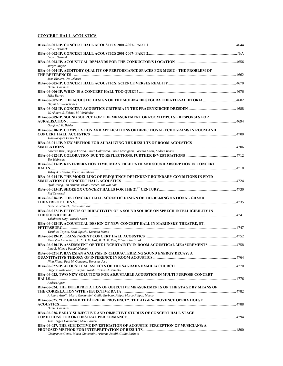### **CONCERT HALL ACOUSTICS**

| Leo L. Beranek                                                                                                                          |  |
|-----------------------------------------------------------------------------------------------------------------------------------------|--|
| Leo L. Beranek                                                                                                                          |  |
| Jurgen Meyer                                                                                                                            |  |
| RBA-06-004-IP. AUDITORY QUALITY OF PERFORMANCE SPACES FOR MUSIC - THE PROBLEM OF                                                        |  |
| Jens Blauert, Ute Jekosch                                                                                                               |  |
| <b>Daniel Commins</b>                                                                                                                   |  |
| Mike Barron<br>RBA-06-007-IP. THE ACOUSTIC DESIGN OF THE MOLINA DE SEGURA THEATER-AUDITORIA 4682                                        |  |
| Higini Arau-Puchades                                                                                                                    |  |
| W. Ahnert, S. Feistel, M. Vorländer<br>RBA-06-009-IP. SOUND SOURCE FOR THE MEASUREMENT OF ROOM IMPULSE RESPONSES FOR                    |  |
| Gottfried, K. Behler<br>RBA-06-010-IP. COMPUTATION AND APPLICATIONS OF DIRECTIONAL ECHOGRAMS IN ROOM AND                                |  |
| Jean-Jacques Embrechts                                                                                                                  |  |
| RBA-06-011-IP. NEW METHOD FOR AURALIZING THE RESULTS OF ROOM ACOUSTICS                                                                  |  |
| Lorenzo Rizzi, Angelo Farina, Paolo Galaverna, Paolo Martignon, Lorenzo Conti, Andrea Rosati                                            |  |
| <b>Tor Halmrast</b><br>RBA-06-013-IP. REVERBERATION TIME, MEAN FREE PATH AND SOUND ABSORPTION IN CONCERT                                |  |
| Takayuki Hidaka, Noriko Nishihara                                                                                                       |  |
| RBA-06-014-IP. THE MODELLING OF FREQUENCY DEPENDENT BOUNDARY CONDITIONS IN FDTD                                                         |  |
| Hyok Jeong, Ian Drumm, Brian Horner, Yiu Wai Lam                                                                                        |  |
| Raf Orlowski                                                                                                                            |  |
| RBA-06-016-IP. THE CONCERT HALL ACOUSTIC DESIGN OF THE BEIJING NATIONAL GRAND                                                           |  |
|                                                                                                                                         |  |
| Isabelle Schmich, Jean-Paul Vian                                                                                                        |  |
| <b>RBA-06-017-IP. EFFECTS OF DIRECTIVITY OF A SOUND SOURCE ON SPEECH INTELLIGIBILITY IN</b>                                             |  |
| Takahashi Daiji, Kuroki Saori                                                                                                           |  |
| RBA-06-018-IP. ACOUSTICAL DESIGN OF NEW CONCERT HALL IN MARIINSKY THEATRE, ST.                                                          |  |
| Yasuhisa Toyota, Keiji Oguchi, Komoda Motoo                                                                                             |  |
|                                                                                                                                         |  |
| Renz Van Luxemburg, C. C. J. M. Hak, B. H. M. Kok, E. Van Den Braak                                                                     |  |
| RBA-06-020-IP. ASSESSMENT OF THE UNCERTAINTY IN ROOM ACOUSTICAL MEASUREMENTS4758<br>Ingo B. Witew; Pascal Dietrich                      |  |
| RBA-06-021-IP. BAYESIAN ANALYSIS IN CHARACTERIZING SOUND ENERGY DECAY: A                                                                |  |
|                                                                                                                                         |  |
| Ning Xiang, Paul M. Goggans, Tomislav Jasa                                                                                              |  |
| Shigeru Yoshikawa, Takafumi Narita, Yasuko Nishimoto<br>RBA-06-023. TWO NEW SOLUTIONS FOR ADJUSTABLE ACOUSTICS IN MULTI PURPOSE CONCERT |  |
| Anders Agren                                                                                                                            |  |
| RBA-06-024. THE INTERPRETATION OF OBJECTIVE MEASUREMENTS ON THE STAGE BY MEANS OF                                                       |  |
|                                                                                                                                         |  |
| Arianna Astolfi, Maria Giovannini, Guilio Barbato, Filippi Marco Filippi, Marco                                                         |  |
| RBA-06-025. "LE GRAND THÉÂTRE DE PROVENCE": THE AIX-EN-PROVENCE OPERA HOUSE                                                             |  |
| <b>Daniel Commins</b>                                                                                                                   |  |
| <b>RBA-06-026. EARLY SUBJECTIVE AND OBJECTIVE STUDIES OF CONCERT HALL STAGE</b>                                                         |  |
| Jens Jorgen Dammerud, Mike Barron<br>RBA-06-027. THE SUBJECTIVE INVESTIGATION OF ACOUSTIC PERCEPTION OF MUSICIANS: A                    |  |
| Gianfranco Genta, Maria Giovannini, Arianna Astolfi, Guilio Barbato                                                                     |  |
|                                                                                                                                         |  |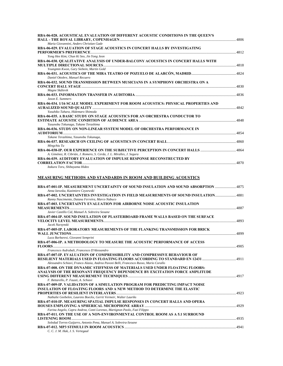| RBA-06-028. ACOUSTICAL EVALUATION OF DIFFERENT ACOUSTIC CONDITIONS IN THE QUEEN'S                                                                                                                                                                                                                      |  |
|--------------------------------------------------------------------------------------------------------------------------------------------------------------------------------------------------------------------------------------------------------------------------------------------------------|--|
|                                                                                                                                                                                                                                                                                                        |  |
| Maria Giovannini, Anders Christian Gade                                                                                                                                                                                                                                                                |  |
| RBA-06-029. EVALUATION OF STAGE ACOUSTICS IN CONCERT HALLS BY INVESTIGATING                                                                                                                                                                                                                            |  |
|                                                                                                                                                                                                                                                                                                        |  |
| Yong Hee Kim; Chun Ki Seo, Jin Yong Jeon                                                                                                                                                                                                                                                               |  |
| RBA-06-030. QUALITATIVE ANALYSIS OF UNDER-BALCONY ACOUSTICS IN CONCERT HALLS WITH                                                                                                                                                                                                                      |  |
| <b>MILTIPLE DIRECTIONAL SOURCES</b> 4818                                                                                                                                                                                                                                                               |  |
| Youngmin Kwon, Gary Siebein, Martin Gold                                                                                                                                                                                                                                                               |  |
|                                                                                                                                                                                                                                                                                                        |  |
| Daniel Ottobre, Manuel Recuero                                                                                                                                                                                                                                                                         |  |
| RBA-06-032. SOUND TRANSMISSION BETWEEN MUSICIANS IN A SYMPHONY ORCHESTRA ON A                                                                                                                                                                                                                          |  |
|                                                                                                                                                                                                                                                                                                        |  |
| Magne Skålevik                                                                                                                                                                                                                                                                                         |  |
|                                                                                                                                                                                                                                                                                                        |  |
| <b>Jason E. Summers</b>                                                                                                                                                                                                                                                                                |  |
| RBA-06-034, 1/16 SCALE MODEL EXPERIMENT FOR ROOM ACOUSTICS: PHYSICAL PROPERTIES AND                                                                                                                                                                                                                    |  |
|                                                                                                                                                                                                                                                                                                        |  |
| Yasuhiko Tahara, Hidemaro Shimoda                                                                                                                                                                                                                                                                      |  |
| <b>RBA-06-035. A BASIC STUDY ON STAGE ACOUSTICS FOR AN ORCHESTRA CONDUCTOR TO</b>                                                                                                                                                                                                                      |  |
|                                                                                                                                                                                                                                                                                                        |  |
| Yasunobu Tokunaga, Takane Terashima                                                                                                                                                                                                                                                                    |  |
| RBA-06-036. STUDY ON NON-LINEAR SYSTEM MODEL OF ORCHESTRA PERFORMANCE IN                                                                                                                                                                                                                               |  |
|                                                                                                                                                                                                                                                                                                        |  |
| Takane Terashima, Yasunobu Tokunaga,                                                                                                                                                                                                                                                                   |  |
|                                                                                                                                                                                                                                                                                                        |  |
| Mingchiu Tu                                                                                                                                                                                                                                                                                            |  |
|                                                                                                                                                                                                                                                                                                        |  |
| A. Giménez, R. Cibrián, J. Romero, S. Cerda, J. L. Miralles, J. Segura                                                                                                                                                                                                                                 |  |
| <b>RBA-06-039. AUDITORY EVALUATION OF IMPULSE RESPONSE RECONSTRUCTED BY</b>                                                                                                                                                                                                                            |  |
|                                                                                                                                                                                                                                                                                                        |  |
| $\mathbf{v}$ $\mathbf{v}$ and $\mathbf{v}$ and $\mathbf{v}$ and $\mathbf{v}$ and $\mathbf{v}$ and $\mathbf{v}$ and $\mathbf{v}$ and $\mathbf{v}$ and $\mathbf{v}$ and $\mathbf{v}$ and $\mathbf{v}$ and $\mathbf{v}$ and $\mathbf{v}$ and $\mathbf{v}$ and $\mathbf{v}$ and $\mathbf{v}$ and $\mathbf$ |  |

### *Itakura Toru, Shibayama Hideo*

### **MEASURING METHODS AND STANDARDS IN ROOM AND BUILDING ACOUSTICS**

| RBA-07-001-IP. MEASUREMENT UNCERTAINTY OF SOUND INSULATION AND SOUND ABSORPTION 4875   |  |
|----------------------------------------------------------------------------------------|--|
| Anna Izewska, Kazimierz Czyzewski                                                      |  |
| RBA-07-002. UNCERTAINTIES INVESTIGATION IN FIELD MEASUREMENTS OF SOUND INSULATION4881  |  |
| Ranny Nascimento, Daiana Ferreira, Marco Nabuco                                        |  |
| RBA-07-003. UNCERTAINTY EVALUATION FOR AIRBORNE NOISE ACOUSTIC INSULATION              |  |
|                                                                                        |  |
| Javier Castillo Cid, Manuel A. Sobreira Seoane                                         |  |
| RBA-07-004-IP. SOUND INSULATION OF PLASTERBOARD FRAME WALLS BASED ON THE SURFACE       |  |
|                                                                                        |  |
| Jacek Nurzynski                                                                        |  |
| RBA-07-005-IP. LABORATORY MEASUREMENTS OF THE FLANKING TRANSMISSION FOR BRICK          |  |
| Luca Barbaresi, Giovanni Semprini                                                      |  |
|                                                                                        |  |
| RBA-07-006-IP. A METHODOLOGY TO MEASURE THE ACOUSTIC PERFORMANCE OF ACCESS             |  |
| Francesco Asdrubali, Francesco D'Alessandro                                            |  |
| <b>RBA-07-007-IP. EVALUATION OF COMPRESSIBILITY AND COMPRESSIVE BEHAVIOUR OF</b>       |  |
|                                                                                        |  |
| Alessandro Schiavi, Franco Alasia, Andrea Pavoni Belli, Francesco Russo, Mario Corallo |  |
| RBA-07-008. ON THE DYNAMIC STIFFNESS OF MATERIALS USED UNDER FLOATING FLOORS:          |  |
| ANALYSIS OF THE RESONANT FREQUENCY DEPENDENCE BY EXCITATION FORCE AMPLITUDE            |  |
|                                                                                        |  |
| F. Bettarello, P. Fausti, A. Schiavi                                                   |  |
| RBA-07-009-IP. VALIDATION OF A SIMULATION PROGRAM FOR PREDICTING IMPACT NOISE          |  |
| <b>INSULATION OF FLOATING FLOORS AND A NEW METHOD TO DETERMINE THE ELASTIC</b>         |  |
|                                                                                        |  |
| Nathalie Geebelen, Laurens Boeckx, Gerrit Vermeir, Walter Lauriks                      |  |
| RBA-07-010-IP. MEASURING SPATIAL IMPULSE RESPONSES IN CONCERT HALLS AND OPERA          |  |
|                                                                                        |  |
| Farina Angelo, Capra Andrea, Conti Lorenzo, Martignon Paolo, Fazi Filippo              |  |
| RBA-07-011. ON THE USE OF A NON-ENVIRONMENTAL CONTROL ROOM AS A 5.1 SURROUND           |  |
|                                                                                        |  |
| Soledad Torres-Guijarro, Antonio Pena, Manuel A. Sobreira-Seoane                       |  |
|                                                                                        |  |
| C. C. J. M. Hak. J. S. Vertegaal                                                       |  |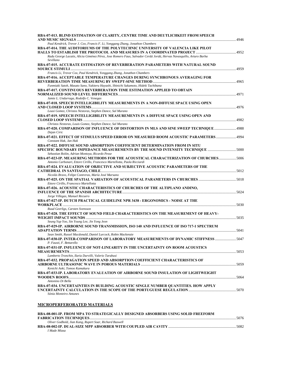| RBA-07-013. BLIND ESTIMATION OF CLARITY, CENTRE TIME AND DEUTLICHKEIT FROM SPEECH                                                                                  | . 4946 |
|--------------------------------------------------------------------------------------------------------------------------------------------------------------------|--------|
| Paul Kendrick, Trevor J. Cox, Francis F. Li, Yonggang Zhang, Jonathon Chambers<br>RBA-07-014. THE AUDITORIUMS OF THE POLYTECHNIC UNIVERSITY OF VALENCIA LIKE PILOT |        |
|                                                                                                                                                                    |        |
| Radu George Lacatis, Alicia Giménez Pérez, Jose Romero Faus, Salvador Cerdá Jordá, Hervas Navasquillo, Arturo Barba<br>Sevillano                                   |        |
| RBA-07-015. ACCURATE ESTIMATION OF REVERBERATION PARAMETERS WITH NATURAL SOUND                                                                                     |        |
| Francis Li, Trevor Cox, Paul Kendrick, Yonggang Zhang, Jonathon Chambers<br>RBA-07-016. ACCEPTABLE TEMPERATURE CHANGES DURING SYNCHRONOUS AVERAGING FOR            |        |
|                                                                                                                                                                    |        |
| Funmiaki Satoh, Masato Sano, Yukiteru Hayashi, Shinichi Sakamoto, Hideki Tachibana<br>RBA-07-017. CONTINUOUS REVERBERATION TIME ESTIMATION APPLIED TO OBTAIN       |        |
|                                                                                                                                                                    |        |
| Jamie L. Undurraga, Rodolfo C. Venegas<br>RBA-07-018. SPEECH INTELLIGIBILITY MEASUREMENTS IN A NON-DIFFUSE SPACE USING OPEN                                        |        |
|                                                                                                                                                                    |        |
| Lousi Gomez, Christos Nestoras, Stephen Dance, Sal Murano                                                                                                          |        |
| RBA-07-019. SPEECH INTELLIGIBILITY MEASUREMENTS IN A DIFFUSE SPACE USING OPEN AND                                                                                  |        |
| Christos Nestoras, Louis Gomez, Stephen Dance, Sal Murano                                                                                                          |        |
| 888-17-020. COMPARISON OF INFLUENCE OF DISTORTION IN MLS AND SINE SWEEP TECHNIQUE4988<br>Dejan Ciric                                                               |        |
| RBA-07-021. EFFECT OF STIMULUS SPEED ERROR ON MEASURED ROOM ACOUSTIC PARAMETERS 4994<br>Constant Hak, Jan Hak                                                      |        |
| RBA-07-022. DIFFUSE SOUND ABSORPTION COEFFICIENT DETERMINATION FROM IN SITU                                                                                        |        |
| Sebastian Rolón, Adrian Montoya, Ricardo Pesse                                                                                                                     |        |
| Antonio Carbonari, Ettore Cirillo, Francesco Martellotta, Paola Ricciardi                                                                                          |        |
| RBA-07-024. EVALUATION OF OBJECTIVE AND SUBJECTIVE ACOUSTIC PARAMETERS OF THE                                                                                      |        |
| Nicolás Bravo, Felipe Contreras, María José Marsano<br>RBA-07-025. ON THE SPATIAL VARIATION OF ACOUSTICAL PARAMETERS IN CHURCHES 5018                              |        |
| Ettore Cirillo, Francesco Martellotta                                                                                                                              |        |
| RBA-07-026. ACOUSTIC CHARACTERISTICS OF CHURCHES OF THE ALTIPLANO ANDINO,<br>Jorge Villegas, Manuel Recuero                                                        |        |
| RBA-07-027-IP. DUTCH PRACTICAL GUIDELINE NPR 3438 - ERGONOMICS - NOISE AT THE                                                                                      |        |
| Ruud Geerligs, Carsten Svensson                                                                                                                                    |        |
| RBA-07-028. THE EFFECT OF SOUND FIELD CHARACTERISTICS ON THE MEASUREMENT OF HEAVY-                                                                                 |        |
| Seung Yup Yoo, Sin Young Lee, Jin Yong Jeon                                                                                                                        |        |
| RBA-07-029-IP. AIRBORNE SOUND TRANSMISSION, ISO 140 AND INFLUENCE OF ISO 717-1 SPECTRUM                                                                            |        |
| Sean Smith, Russel Macdonald, Daniel Lurcock, Robin Mackenzie                                                                                                      |        |
| 5047-30-IP. INTER-COMPARISON OF LABORATORY MEASUREMENTS OF DYNAMIC STIFFNESS  5047<br>P. Fausti, F. Bettarello                                                     |        |
| RBA-07-031-IP. INFLUENCE OF NOT-LINEARITY IN THE UNCERTAINTY ON ROOM ACOUSTICS                                                                                     |        |
| Lamberto Tronchin, Ilaria Durvilli, Valerio Tarabusi<br>RBA-07-032. PROPAGATION SPEED AND ABSORPTION COEFFICIENT CHARACTERISTICS OF                                |        |
| Kenichi Aoki, Tomoo Kamakura                                                                                                                                       |        |
| RBA-07-033-IP. LABORATORY EVALUATION OF AIRBORNE SOUND INSULATION OF LIGHTWEIGHT                                                                                   |        |
| Antonino Di Bella<br>RBA-07-034. UNCERTAINTIES IN BUILDING ACOUSTIC SINGLE NUMBER QUANTITIES. HOW APPLY                                                            |        |
| Sónia Monteiro Antunes                                                                                                                                             |        |
|                                                                                                                                                                    |        |
| <b>MICROPERFERORATED MATERIALS</b>                                                                                                                                 |        |
|                                                                                                                                                                    |        |

| RBA-08-001-IP. FROM MPA TO STRATEGICALLY DESIGNED ABSORBERS USING SOLID FREEFORM |      |
|----------------------------------------------------------------------------------|------|
|                                                                                  | 5076 |
| Oliver Godbold, Jian Kang, Rupert Soar, Richard Buswell                          |      |
|                                                                                  | 5082 |
| I Made Miasa                                                                     |      |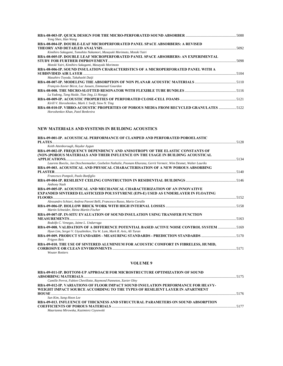| Yong Shen, Han Wang                                                                    |      |
|----------------------------------------------------------------------------------------|------|
| RBA-08-004-IP. DOUBLE-LEAF MICROPERFORATED PANEL SPACE ABSORBERS: A REVISED            |      |
|                                                                                        | 5092 |
| Kimihiro Sakagami, Tomohito Nakamori, Masayuki Morimoto, Motoki Yairi                  |      |
| RBA-08-005-IP. DOUBLE LEAF MICROPERFORATED PANEL SPACE ABSORBERS: AN EXPERIMENTAL      |      |
|                                                                                        | 5098 |
| Motoki Yairi, Kimihiro Sakagami, Masayuki Morimoto                                     |      |
| RBA-08-006-IP. SOUND INSULATION CHARACTERISTICS OF A MICROPERFORATED PANEL WITH A      |      |
|                                                                                        |      |
| Masahiro Toyoda, Takahashi Daiji                                                       |      |
|                                                                                        |      |
| François-Xavier Bécot, Luc Jaouen, Emmanuel Gourdon                                    |      |
|                                                                                        |      |
| Lu Yadong, Tang Huide, Tian Jing, Li Honggi                                            |      |
|                                                                                        |      |
| Kirill V. Horoshenkov, Mark J. Swift, Siow N. Ting                                     |      |
| RBA-08-010-IP. VIBRO-ACOUSTIC PROPERTIES OF POROUS MEDIA FROM RECYCLED GRANULATES 5122 |      |
| Horoshenkov Khan, Patel Benkreira                                                      |      |

### **NEW MATERIALS AND SYSTEMS IN BUILDING ACOUSTICS**

| RBA-09-001-IP. ACOUSTICAL PERFORMANCE OF CLAMPED AND PERFORATED POROELASTIC                                      |      |
|------------------------------------------------------------------------------------------------------------------|------|
|                                                                                                                  | 5128 |
| Keith Attenborough, Haydar Aygun                                                                                 |      |
| RBA-09-002-IP. FREQUENCY DEPENDENCY AND ANISOTROPY OF THE ELASTIC CONSTANTS OF                                   |      |
| (NON-)POROUS MATERIALS AND THEIR INFLUENCE ON THE USAGE IN BUILDING ACOUSTICAL                                   |      |
| Laurens Boeckx, Jan Descheemaeker, Geebelen Nathalie, Poonam Khurana, Gerrit Vermeir, Wim Desmet, Walter Lauriks |      |
|                                                                                                                  |      |
| RBA-09-003. ACOUSTICAL AND PHYSICAL CHARACTERISATION OF A NEW POROUS ABSORBING                                   |      |
| Francesco Pompoli, Paolo Bonfiglio                                                                               |      |
|                                                                                                                  |      |
| Anthony Nash                                                                                                     |      |
| RBA-09-005-IP. ACOUSTICAL AND MECHANICAL CHARACTERIZATION OF AN INNOVATIVE                                       |      |
| <b>EXPANDED SINTERED ELASTICIZED POLYSTYRENE (EPS-E) USED AS UNDERLAYER IN FLOATING</b>                          |      |
|                                                                                                                  |      |
| Alessandro Schiavi, Andrea Pavoni Belli, Francesco Russo, Mario Corallo                                          |      |
|                                                                                                                  |      |
| Martin Schneider, Heinz-Martin Fischer                                                                           |      |
| RBA-09-007-IP. IN-SITU EVALUATION OF SOUND INSULATION USING TRANSFER FUNCTION                                    |      |
|                                                                                                                  |      |
| Rodolfo C. Venegas, Jaime L. Undurraga                                                                           |      |
| RBA-09-008, VALIDATION OF A DIFFERENCE POTENTIAL BASED ACTIVE NOISE CONTROL SYSTEM 5169                          |      |
| Hyun Lim, Sergei V. Utyuzhnikov, Yiu W. Lam, Mark R. Avis, Ali Turan                                             |      |
| RBA-09-009. PRODUCT STANDARDS - MEASURING STANDARDS - PREDICTION STANDARDS                                       |      |
| <b>Frigyes Reis</b>                                                                                              |      |
| RBA-09-010. THE USE OF SINTERED ALUMINIUM FOR ACOUSTIC COMFORT IN FIBRELESS, HUMID,                              |      |
|                                                                                                                  |      |
| <b>Wouter Rottiers</b>                                                                                           |      |

### **VOLUME 9**

| RBA-09-011-IP. BOTTOM-UP APPROACH FOR MICROSTRUCTURE OPTIMIZATION OF SOUND        |  |
|-----------------------------------------------------------------------------------|--|
|                                                                                   |  |
| Camille Perrot, Fabien Chevillotte, Raymond Panneton, Xavier Olny                 |  |
| RBA-09-012-IP. VARIATIONS OF FLOOR IMPACT SOUND INSULATION PERFORMANCE FOR HEAVY- |  |
| WEIGHT IMPACT SOURCE ACCORDING TO THE TYPES OF RESILIENT LAYER IN APARTMENT       |  |
|                                                                                   |  |
| Sun Kim, Sang-Hoon Lee                                                            |  |
| RBA-09-013. INFLUENCE OF THICKNESS AND STRUCTURAL PARAMETERS ON SOUND ABSORPTION  |  |
|                                                                                   |  |
| Maarianna Mirowska, Kazimierz Czysewski                                           |  |
|                                                                                   |  |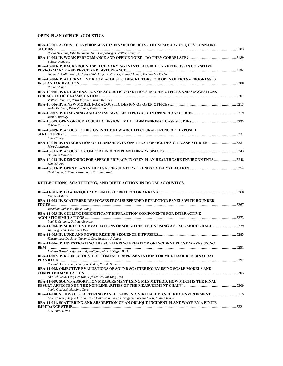### **OPEN-PLAN OFFICE ACOUSTICS**

| RBA-10-001. ACOUSTIC ENVIRONMENT IN FINNISH OFFICES - THE SUMMARY OF OUESTIONNAIRE                   |      |
|------------------------------------------------------------------------------------------------------|------|
|                                                                                                      |      |
| Riikka Helenius, Esko Keskinen, Annu Haapakangas, Valtteri Hongisto                                  |      |
| Valtteri Hongisto                                                                                    |      |
| RBA-10-003-IP. BACKGROUND SPEECH VARYING IN INTELLIGIBILITY - EFFECTS ON COGNITIVE                   |      |
| Sabine J. Schlittmeier, Andreas Liebl, Jurgen Hellbrück, Rainer Thaden, Michael Vorländer            |      |
| RBA-10-004-IP. ALTERNATIVE ROOM ACOUSTIC DESCRIPTORS FOR OPEN OFFICES - PROGRESSES                   |      |
|                                                                                                      |      |
| Pierre Chigot                                                                                        |      |
| <b>RBA-10-005-IP. DETERMINATION OF ACOUSTIC CONDITIONS IN OPEN OFFICES AND SUGGESTIONS</b>           | 5207 |
| Valtteri Hongisto, Petra Virjonen, Jukka Keränen                                                     |      |
| Jukka Keränen, Petra Virjonen, Valtteri Hongisto                                                     |      |
|                                                                                                      |      |
| John S. Bradley                                                                                      |      |
| Fabien Krajcarz                                                                                      |      |
| RBA-10-009-IP. ACOUSTIC DESIGN IN THE NEW ARCHITECTURAL TREND OF "EXPOSED                            |      |
|                                                                                                      |      |
| Kenneth Roy                                                                                          |      |
| Marc Asselineau                                                                                      |      |
| Benjamin Markham                                                                                     |      |
| RBA-10-012-IP. DESIGNING FOR SPEECH PRIVACY IN OPEN PLAN HEALTHCARE ENVIRONMENTS 5248<br>Kenneth Roy |      |
| David Sykes, William Cavanaugh, Kurt Rockstroh                                                       |      |

### **REFLECTIONS, SCATTERING, AND DIFFRACTION IN ROOM ACOUSTICS**

| Magne Skålevik                                                                               |  |
|----------------------------------------------------------------------------------------------|--|
| RBA-11-002-IP. SCATTERED RESPONSES FROM SUSPENDED REFLECTOR PANELS WITH ROUNDED              |  |
|                                                                                              |  |
| Jonathan Rathsam, Lily M. Wang                                                               |  |
| RBA-11-003-IP. CULLING INSIGNIFICANT DIFFRACTION COMPONENTS FOR INTERACTIVE                  |  |
|                                                                                              |  |
| Paul T. Calamia, U. Peter Svensson                                                           |  |
| RBA-11-004-IP. SUBJECTIVE EVALUATIONS OF SOUND DIFFUSION USING A SCALE MODEL HALL5279        |  |
| Jin Yong Jeon, Jong Kwan Ryu                                                                 |  |
|                                                                                              |  |
| Konstantinos Dadiotis, Trevor J. Cox, James A. S. Angus                                      |  |
| RBA-11-006-IP. INVESTIGATING THE SCATTERING BEHAVIOR OF INCIDENT PLANE WAVES USING           |  |
|                                                                                              |  |
| Mahesh Bansal, Stefan Feistel, Wolfgang Ahnert, Steffen Bock                                 |  |
| RBA-11-007-IP. ROOM ACOUSTICS: COMPACT REPRESENTATION FOR MULTI-SOURCE BINAURAL              |  |
|                                                                                              |  |
| Ramani Duraiswami, Dmitry N. Zotkin, Nail A. Gumerov                                         |  |
| <b>RBA-11-008. OBJECTIVE EVALUATIONS OF SOUND SCATTERING BY USING SCALE MODELS AND</b>       |  |
|                                                                                              |  |
| Shin-Ichi Sato, Yong Hee Kim, Hye Mi Lee, Jin Yong Jeon                                      |  |
| RBA-11-009, SOUND ABSORPTION MEASUREMENT USING MLS METHOD, HOW MUCH IS THE FINAL             |  |
|                                                                                              |  |
| Paolo Guidorzi, Massimo Garai                                                                |  |
| RBA-11-010, STUDY OF SCATTERING PANEL PAIRS IN A VIRTUALLY ANECHOIC ENVIRONMENT 5315         |  |
| Lorenzo Rizzi, Angelo Farina, Paolo Galaverna, Paolo Martignon, Lorenzo Conti, Andrea Rosati |  |
| RBA-11-011. SCATTERING AND ABSORPTION OF AN OBLIQUE INCIDENT PLANE WAVE BY A FINITE          |  |
| 5321<br><b>IMPEDANCE STRIP</b>                                                               |  |
| K. S. Sum. J. Pan                                                                            |  |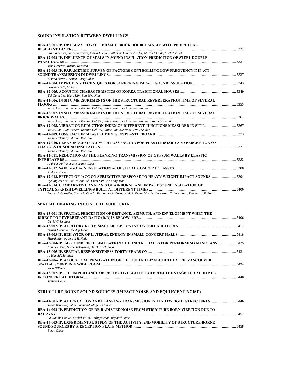### **SOUND INSULATION BETWEEN DWELLINGS**

| <b>RBA-12-001-IP. OPTIMIZATION OF CERAMIC BRICK DOUBLE WALLS WITH PERIPHERAL</b>                                           |  |
|----------------------------------------------------------------------------------------------------------------------------|--|
| Susana Arines, Azucena Cortés, Marta Fuente, Catherine Guigou-Carter, Martin Claude, Michel Villot                         |  |
| RBA-12-002-IP. INFLUENCE OF SEALS IN SOUND INSULATION PREDICTION OF STEEL DOUBLE                                           |  |
|                                                                                                                            |  |
| Jose Herrera, Manuel Recuero                                                                                               |  |
| RBA-12-003-IP. PARAMETRIC SURVEY OF FACTORS CONTROLLING LOW FREQUENCY IMPACT                                               |  |
|                                                                                                                            |  |
| Albano Neves E Sousa, Barry Gibbs                                                                                          |  |
|                                                                                                                            |  |
| George Dodd, Ming Li                                                                                                       |  |
|                                                                                                                            |  |
| Tai Gang Lee, Hang Kim, Sun Woo Kim                                                                                        |  |
| RBA-12-006. IN SITU MEASUREMENTS OF THE STRUCTURAL REVERBERATION TIME OF SEVERAL                                           |  |
|                                                                                                                            |  |
| Jesus Alba, Juan Venero, Romina Del Rey, Jaime Ramis Soriano, Eva Escuder                                                  |  |
| RBA-12-007. IN SITU MEASUREMENTS OF THE STRUCTURAL REVERBERATION TIME OF SEVERAL                                           |  |
|                                                                                                                            |  |
| Jesus Alba, Juan Venero, Romina Del Rey, Jaime Ramis Soriano, Eva Escuder, Raquel Gavaldà                                  |  |
| RBA-12-008. VIBRATION REDUCTION INDEX OF DIFFERENT JUNCTIONS MEASURED IN SITU5367                                          |  |
| Jesus Alba, Juan Venero, Romina Del Rey, Jaime Ramis Soriano, Eva Escuder                                                  |  |
|                                                                                                                            |  |
| Jaime Delannoy, Manuel Recuero                                                                                             |  |
| RBA-12-010. DEPENDENCE OF RW WITH LOSS FACTOR FOR PLASTERBOARD AND PERCEPTION ON                                           |  |
|                                                                                                                            |  |
| Jaime Delannoy, Manuel Recuero                                                                                             |  |
| RBA-12-011. REDUCTION OF THE FLANKING TRANSMISSION OF GYPSUM WALLS BY ELASTIC                                              |  |
|                                                                                                                            |  |
| Andreas Ruff, Heinz-Martin Fischer                                                                                         |  |
|                                                                                                                            |  |
| <b>Andrew Koster</b>                                                                                                       |  |
| RBA-12-013. EFFECT OF IACC ON SUBJECTIVE RESPONSE TO HEAVY-WEIGHT IMPACT SOUNDS5394                                        |  |
| Pyoung Jik Lee, Jae Ho Kim, Shin-Ichi Sato, Jin Yong Jeon                                                                  |  |
| RBA-12-014. COMPARATIVE ANALYSIS OF AIRBORNE AND IMPACT SOUND INSULATION OF                                                |  |
|                                                                                                                            |  |
| Suarez J. González, Sastre L. García, Fernandez A. Barrero, M. A. Bravo Martín, Lorenzana T. Lorenzana, Requena J. F. Sanz |  |

### **SPATIAL HEARING IN CONCERT AUDITORIA**

| RBA-13-001-IP. SPATIAL PERCEPTION OF DISTANCE, AZIMUTH, AND ENVELOPMENT WHEN THE         |  |
|------------------------------------------------------------------------------------------|--|
|                                                                                          |  |
| David Griesinger                                                                         |  |
|                                                                                          |  |
| Densil Cabrera, Dae-Up Jeong                                                             |  |
|                                                                                          |  |
| Henrik Möller, Jerald R. Hyde                                                            |  |
| RBA-13-004-IP. 3-D SOUND FIELD SIMULATION OF CONCERT HALLS FOR PERFORMING MUSICIANS 5425 |  |
| Kanako Ueno, Sakae Yokoyama, Hideki Tachibana                                            |  |
|                                                                                          |  |
| A. Harold Marshall                                                                       |  |
| RBA-13-006-IP. ACOUSTICAL RENOVATION OF THE QUEEN ELIZABETH THEATRE, VANCOUVER:          |  |
|                                                                                          |  |
| John O'Keefe                                                                             |  |
| RBA-13-007-IP. THE IMPORTANCE OF REFLECTIVE WALLS FAR FROM THE STAGE FOR AUDIENCE        |  |
|                                                                                          |  |
| Toshiki Hanvu                                                                            |  |

### **STRUCTURE BORNE SOUND SOURCES (IMPACT NOISE AND EQUIPMENT NOISE)**

| RBA-14-001-IP. ATTENUATION AND FLANKING TRANSMISSION IN LIGHTWEIGHT STRUCTURES5446        |      |
|-------------------------------------------------------------------------------------------|------|
| Jonas Brunskog, Alice Lhomond, Mogens Ohlrich                                             |      |
| <b>RBA-14-002-IP. PREDICTION OF RE-RADIATED NOISE FROM STRUCTURE BORN VIBRTION DUE TO</b> |      |
|                                                                                           | 5452 |
| Guillaume Coquel, Michel Villot, Philippe Jean, Raphael Duée                              |      |
| RBA-14-003-IP. EXPERIMENTAL STUDY OF THE ACTIVITY AND MOBILITY OF STRUCTURE-BORNE         |      |
|                                                                                           | 5458 |
| <b>Barry Gibbs</b>                                                                        |      |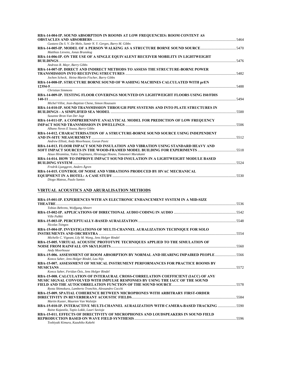| RBA-14-004-IP. SOUND ABSORPTION IN ROOMS AT LOW FREQUENCIES: ROOM CONTENT AS                                 |  |
|--------------------------------------------------------------------------------------------------------------|--|
|                                                                                                              |  |
| Gustavo Da S. V. De Melo, Samir N. Y. Gerges, Barry M. Gibbs                                                 |  |
| Matthias Lievens, Jonas Brunskog                                                                             |  |
| RBA-14-006-IP. ON THE USE OF A SINGLE EQUIVALENT RECEIVER MOBILITY IN LIGHTWEIGHT<br>5476<br><b>BULDINGS</b> |  |
| Andreas R. Mayr, Barry Gibbs                                                                                 |  |
| RBA-14-007-IP. DIRECT AND INDIRECT METHODS TO ASSESS THE STRUCTURE-BORNE POWER                               |  |
| Jochen Scheck, Heinz-Martin Fischer, Barry Gibbs                                                             |  |
| RBA-14-008-IP. STRUCTURE BORNE SOUND OF WASHING MACHINES CALCULATED WITH prEN                                |  |
| <b>Christian Simmons</b>                                                                                     |  |
| RBA-14-009-IP. TESTING FLOOR COVERINGS MOUNTED ON LIGHTWEIGHT FLOORS USING IS0/FDIS<br>5494                  |  |
| Michel Villot, Jean-Baptiste Chene, Simon Houssain                                                           |  |
| RBA-14-010-IP. SOUND TRANSMISSION THROUGH PIPE SYSTEMS AND INTO PLATE STRUCTURES IN                          |  |
| Susanne Bron-Van Der Jagt                                                                                    |  |
| RBA-14-011-IP. A COMPREHENSIVE ANALYTICAL MODEL FOR PREDICTION OF LOW FREQUENCY                              |  |
| Albano Neves E Sousa, Barry Gibbs                                                                            |  |
| RBA-14-012. CHARACTERISATION OF A STRUCTURE-BORNE SOUND SOURCE USING INDEPENDENT<br>5512                     |  |
| Andrew Elliott, Andy Moorhouse, Goran Pavic                                                                  |  |
| RBA-14-013. FLOOR IMPACT SOUND INSULATION AND VIBRATION USING STANDARD HEAVY AND                             |  |
| Atsuo Hiramitsu, Yukio Tsujimura, Hirotsugu Houno, Tomonori Murakami                                         |  |
| RBA-14-014. HOW TO IMPROVE IMPACT SOUND INSULATION IN A LIGHTWEIGHT MODULE BASED                             |  |
| 5524                                                                                                         |  |
| Fredrik Ljunggren, Anders Ägren                                                                              |  |
| <b>RBA-14-015. CONTROL OF NOISE AND VIBRATIONS PRODUCED BY HVAC MECHANICAL</b>                               |  |
|                                                                                                              |  |

#### *Diogo Mateus, Paulo Santos*

### **VIRTUAL ACOUSTICS AND ARURALISATION METHODS**

| Tobias Behrens, Wolfgang Ahnert<br>Ville Pulkki<br>Nicolas Tsingos<br>RBA-15-004-IP. INVESTIGATIONS OF MULTI-CHANNEL AURALIZATION TECHNIQUE FOR SOLO<br>Michelle C. Vigeant, Lily M. Wang, Jens Holger Rindel<br>RBA-15-005. VIRTUAL ACOUSTIC PROTOTYPE TECHNIQUES APPLIED TO THE SIMULATION OF<br>Andy Moorhouse<br>RBA-15-006. ASSESSMENT OF ROOM ABSORPTION BY NORMAL AND HEARING IMPAIRED PEOPLE5566<br>Konca Saher, Jens Holger Rindel, Lau Nijs<br>RBA-15-007. ASSESSMENT OF MUSICAL INSTRUMENT PERFORMANCES FOR PRACTICE ROOMS BY<br>Konca Saher, Feridun Özis, Jens Holger Rindel<br>RBA-15-008. CALCULATION OF INTERAURAL CROSS-CORRELATION COEFFICIENT (IACC) OF ANY<br>MUSIC SIGNAL CONVOLVED WITH IMPULSE RESPONSES BY USING THE IACC OF THE SOUND<br>Ryota Shimokura, Lamberto Tronchin, Alessandro Cocchi<br>RBA-15-009. SPATIAL COHERENCE BETWEEN MICROPHONES WITH ARBITRARY FIRST-ORDER |
|---------------------------------------------------------------------------------------------------------------------------------------------------------------------------------------------------------------------------------------------------------------------------------------------------------------------------------------------------------------------------------------------------------------------------------------------------------------------------------------------------------------------------------------------------------------------------------------------------------------------------------------------------------------------------------------------------------------------------------------------------------------------------------------------------------------------------------------------------------------------------------------------------------|
|                                                                                                                                                                                                                                                                                                                                                                                                                                                                                                                                                                                                                                                                                                                                                                                                                                                                                                         |
|                                                                                                                                                                                                                                                                                                                                                                                                                                                                                                                                                                                                                                                                                                                                                                                                                                                                                                         |
|                                                                                                                                                                                                                                                                                                                                                                                                                                                                                                                                                                                                                                                                                                                                                                                                                                                                                                         |
|                                                                                                                                                                                                                                                                                                                                                                                                                                                                                                                                                                                                                                                                                                                                                                                                                                                                                                         |
|                                                                                                                                                                                                                                                                                                                                                                                                                                                                                                                                                                                                                                                                                                                                                                                                                                                                                                         |
|                                                                                                                                                                                                                                                                                                                                                                                                                                                                                                                                                                                                                                                                                                                                                                                                                                                                                                         |
|                                                                                                                                                                                                                                                                                                                                                                                                                                                                                                                                                                                                                                                                                                                                                                                                                                                                                                         |
|                                                                                                                                                                                                                                                                                                                                                                                                                                                                                                                                                                                                                                                                                                                                                                                                                                                                                                         |
|                                                                                                                                                                                                                                                                                                                                                                                                                                                                                                                                                                                                                                                                                                                                                                                                                                                                                                         |
|                                                                                                                                                                                                                                                                                                                                                                                                                                                                                                                                                                                                                                                                                                                                                                                                                                                                                                         |
|                                                                                                                                                                                                                                                                                                                                                                                                                                                                                                                                                                                                                                                                                                                                                                                                                                                                                                         |
|                                                                                                                                                                                                                                                                                                                                                                                                                                                                                                                                                                                                                                                                                                                                                                                                                                                                                                         |
|                                                                                                                                                                                                                                                                                                                                                                                                                                                                                                                                                                                                                                                                                                                                                                                                                                                                                                         |
|                                                                                                                                                                                                                                                                                                                                                                                                                                                                                                                                                                                                                                                                                                                                                                                                                                                                                                         |
|                                                                                                                                                                                                                                                                                                                                                                                                                                                                                                                                                                                                                                                                                                                                                                                                                                                                                                         |
|                                                                                                                                                                                                                                                                                                                                                                                                                                                                                                                                                                                                                                                                                                                                                                                                                                                                                                         |
|                                                                                                                                                                                                                                                                                                                                                                                                                                                                                                                                                                                                                                                                                                                                                                                                                                                                                                         |
|                                                                                                                                                                                                                                                                                                                                                                                                                                                                                                                                                                                                                                                                                                                                                                                                                                                                                                         |
|                                                                                                                                                                                                                                                                                                                                                                                                                                                                                                                                                                                                                                                                                                                                                                                                                                                                                                         |
|                                                                                                                                                                                                                                                                                                                                                                                                                                                                                                                                                                                                                                                                                                                                                                                                                                                                                                         |
|                                                                                                                                                                                                                                                                                                                                                                                                                                                                                                                                                                                                                                                                                                                                                                                                                                                                                                         |
| Martin Kuster, Maarten Van Walstijn                                                                                                                                                                                                                                                                                                                                                                                                                                                                                                                                                                                                                                                                                                                                                                                                                                                                     |
| RBA-15-010-IP. INTERACTIVE MULTI-CHANNEL AURALIZATION WITH CAMERA-BASED TRACKING 5590                                                                                                                                                                                                                                                                                                                                                                                                                                                                                                                                                                                                                                                                                                                                                                                                                   |
| Raine Kajastila, Tapio Lokki, Lauri Savioja                                                                                                                                                                                                                                                                                                                                                                                                                                                                                                                                                                                                                                                                                                                                                                                                                                                             |
| RBA-15-011. EFFECTS OF DIRECTIVITY OF MICROPHONES AND LOUDSPEAKERS IN SOUND FIELD                                                                                                                                                                                                                                                                                                                                                                                                                                                                                                                                                                                                                                                                                                                                                                                                                       |
|                                                                                                                                                                                                                                                                                                                                                                                                                                                                                                                                                                                                                                                                                                                                                                                                                                                                                                         |
| Toshiyuki Kimura, Kazuhiko Kakehi                                                                                                                                                                                                                                                                                                                                                                                                                                                                                                                                                                                                                                                                                                                                                                                                                                                                       |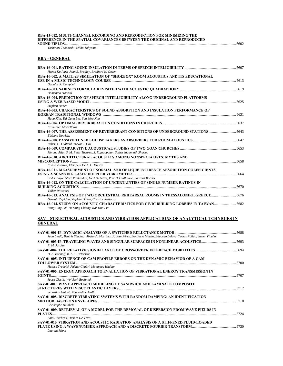| Yoshinori Takahashi. Mikio Tohyama                                                                                                                                  |  |
|---------------------------------------------------------------------------------------------------------------------------------------------------------------------|--|
| <b>RBA - GENERAL</b>                                                                                                                                                |  |
| Hyeon Ku Park, John S. Bradley, Bradford N. Gover                                                                                                                   |  |
| RBA-16-002. A MATLAB SIMULATION OF "SHOEBOX" ROOM ACOUSTICS AND ITS EDUCATIONAL<br>Douglas R. Campbell                                                              |  |
| Domenico Stanzial                                                                                                                                                   |  |
| RBA-16-004. PREDICTION OF SPEECH INTELLIGIBILITY ALONG UNDERGROUND PLATFORMS                                                                                        |  |
| <b>Stephen Dance</b><br>RBA-16-005. CHARACTERISTICS OF SOUND ABSORPTION AND INSULATION PERFORMANCE OF                                                               |  |
| Hang Kim, Tai Gang Lee, Sun Woo Kim<br>Francesco Martellotta                                                                                                        |  |
| RBA-16-007. THE ASSESSMENT OF REVERBERANT CONDITIONS OF UNDERGROUND STATIONS5643<br>Elzbieta Nowicka                                                                |  |
| RBA-16-008. PASSIVE TUNED LOUDSPEAKERS AS ABSORBERS FOR ROOM ACOUSTICS …………………………………………5647<br>Robert G. Oldfield, Trevor J. Cox                                    |  |
| Menino Allan S. M. Peter Tavares, S. Rajagopalan, Satish Jagannath Sharma                                                                                           |  |
| RBA-16-010. ARCHITECTURAL ACOUSTICS AMONG NONSPECIALISTS: MYTHS AND<br>Elvira Viveiros, Elisabeth De A. C. Duarte                                                   |  |
| RBA-16-011. MEASUREMENT OF NORMAL AND OBLIQUE INCIDENCE ABSORPTION COEFFICIENTS<br>Cedric Vuye, Steve Vanlanduit, Gert De Sitter, Patrick Guillaume, Laurens Boeckx |  |
| RBA-16-012. ON THE CALCULATION OF UNCERTAINTIES OF SINGLE NUMBER RATINGS IN<br>Volker Wittstock                                                                     |  |
| Georgia Zepidou, Stephen Dance, Christos Nestoras                                                                                                                   |  |
| RBA-16-014. STUDY ON ACOUSTIC CHARACTERISTICS FOR CIVIC BUILDING LOBBIES IN TAIWAN5682<br>Rong-Ping Lai, Yu-Shing Chiang, Kai-Hua Liu                               |  |

#### **SAV – STRUCTURAL ACOUSTICS AND VIBRATION APPLICATIONS OF ANALYTICAL TCHNIQIES IN GENERAL**

| Juan Lladó, Beatriz Sánchez, Abelardo Martínez, F. Jose Pérez, Bonifacio Martín, Eduardo Laloya, Tomas Pollán, Javier Vicuña |  |
|------------------------------------------------------------------------------------------------------------------------------|--|
| P. M. Jordan                                                                                                                 |  |
| H. A. Bonhoff, B. A. T. Petersson                                                                                            |  |
| <b>SAV-01-005. INFLUENCE OF CAM PROFILE ERRORS ON THE DYNAMIC BEHAVIOR OF A CAM</b>                                          |  |
|                                                                                                                              |  |
| Hassen Trabelsi, Fakher Chaâri, Mohamed Haddar                                                                               |  |
| SAV-01-006. ENERGY APPROACH TO EVALUATION OF VIBRATIONAL ENERGY TRANSMISSION IN                                              |  |
|                                                                                                                              |  |
| Jacek Cieslik, Wojciech Bochniak                                                                                             |  |
| SAV-01-007. WAVE APPROACH MODELING OF SANDWICH AND LAMINATE COMPOSITE                                                        |  |
|                                                                                                                              |  |
| Sebastian Ghinet, Noureddine Atalla                                                                                          |  |
| SAV-01-008. DISCRETE VIBRATING SYSTEMS WITH RANDOM DAMPING: AN IDENTIFICATION                                                |  |
|                                                                                                                              |  |
| Christophe Heinkelé                                                                                                          |  |
| SAV-01-009. RETRIEVAL OF A MODEL FOR THE REMOVAL OF DISPERSION FROM WAVE FIELDS IN                                           |  |
| PLATES                                                                                                                       |  |
| Lars Hörchens, Diemer De Vries                                                                                               |  |
| SAV-01-010, VIBRATION AND ACOUSTIC RADIATION ANALYSIS OF A STIFFENED FLUID-LOADED                                            |  |
|                                                                                                                              |  |
| Laurent Maxit                                                                                                                |  |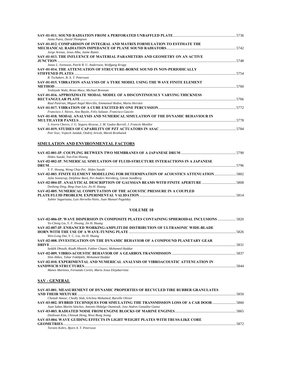| Azma Putra, David Thompson                                                                                                                    |      |
|-----------------------------------------------------------------------------------------------------------------------------------------------|------|
| SAV-01-012. COMPARISON OF INTEGRAL AND MATRIX FORMULATION TO ESTIMATE THE                                                                     |      |
| Jorge Arenas, Jesus Alba, Jaime Ramis                                                                                                         |      |
| SAV-01-013. THE INFLUENCE OF MATERIAL PARAMETERS AND GEOMETRY ON AN ACTIVE                                                                    |      |
| Jonas L. Svensson, Patrik B. U. Andersson, Wolfgang Kropp                                                                                     |      |
| <b>SAV-01-014. THE ATTENUATION OF STRUCTURE-BORNE SOUND IN NON-PERIODICALLY</b><br>R. Tschakert, B. A. T. Petersson                           |      |
| SAV-01-015. VIBRATION ANALYSIS OF A TYRE MODEL USING THE WAVE FINITE ELEMENT<br>Yoshiyuki Waki, Brian Mace, Michael Brennan                   |      |
| SAV-01-016. APPROXIMATE MODAL MODEL OF A DISCONTINOUSLY VARYING THICKNESS                                                                     |      |
| Raul Pastrian, Miguel Angel Morcillo, Emmanuel Redon, Marta Herráez<br>Francisco J. Nieves, Ana Bayón, Felix Salazar, Francisco Gascón        |      |
| SAV-01-018. MODAL ANALYSIS AND NUMERICAL SIMULATION OF THE DYNAMIC BEHAVIOUR IN                                                               | 5778 |
| S. Ivorra Chorro, J. G. Segura Alcaraz, J. M. Gadea Borrell, J. Francés Monllor<br>Petr Svec, Vojtech Jandak, Ondrej Jiricek, Marek Brothanek |      |
|                                                                                                                                               |      |

### **SIMULATION AND ENVIRONMENTAL FACTORS**

| Hideo Suzuki, Yun-Fan Hwang                                                       |      |
|-----------------------------------------------------------------------------------|------|
| SAV-02-002-IP. NUMERICAL SIMULATION OF FLUID-STRUCTURE INTERACTIONS IN A JAPANESE |      |
|                                                                                   | 5796 |
| Y. F. Hwang, Weng Chia-Pei, Hideo Suzuki                                          |      |
| SAV-02-003. FINITE ELEMENT MODELLING FOR DETERMINATION OF ACOUSTICS ATTENUATION   |      |
| Julia Sonnerup, Delphine Bard, Per-Anders Wernberg, Göran Sandberg                |      |
|                                                                                   |      |
| Desheng Ding, Bing-Jean Lee, Jin H. Huang                                         |      |
| SAV-02-005. NUMERICAL COMPUTATION OF THE ACOUSTIC PRESSURE IN A COUPLED           |      |
|                                                                                   | 5814 |
| Xabier Sagartzazu, Luis Hervella-Nieto, Juan Manuel Pagalday                      |      |

### **VOLUME 10**

| Yu-Cheng Liu, Y. F. Hwang, Jin H. Huang                                                                                       |      |
|-------------------------------------------------------------------------------------------------------------------------------|------|
| SAV-02-007-IP. ENHANCED WORKING-AMPLITUDE DISTRIBUTION OF ULTRASONIC WIDE-BLADE<br>Wen-Long Dai, Y. C. Liu, Jin H. Huang      |      |
| SAV-02-008. INVESTIGATION ON THE DYNAMIC BEHAVIOR OF A COMPOUND PLANETARY GEAR                                                |      |
| Seddik Dhouib, Riadh Hbaieb, Fakher Chaari, Mohamed Haddar                                                                    |      |
| Slim Abbes, Tahar Fakhfakh; Mohamed Haddar<br>SAV-02-010. EXPERIMENTAL AND NUMERICAL ANALYSIS OF VIBROACOUSTIC ATTENUATION IN | 5844 |
| Manex Martinez, Fernando Cortés, Maria Jesus Elejabarrieta                                                                    |      |

### **SAV - GENERAL**

| SAV-03-001. MEASUREMENT OF DYNAMIC PROPERTIES OF RECYCLED TIRE RUBBER GRANULATES      |      |
|---------------------------------------------------------------------------------------|------|
|                                                                                       |      |
| Chettah Ameur, Chedly Slah, Ichchou Mohamed, Bareille Olivier                         |      |
| SAV-03-002. HYBRID TECHNIQUES FOR SIMULATING THE TRANSMISSION LOSS OF A CAR DOOR 5860 |      |
| Juan Sabas Martín Sánchez, Antonio Hidalgo Otamendi, Jose Andres González Ganso       |      |
|                                                                                       |      |
| Deahwan Kim, Chinsuk Hong, Weui Bong Jeong                                            |      |
| SAV-03-004, WAVE GUIDING EFFECTS IN LIGHT WEIGHT PLATES WITH TRUSS-LIKE CORE          |      |
|                                                                                       | 5872 |
| Torsten Kohrs, Bjorn A. T. Petersson                                                  |      |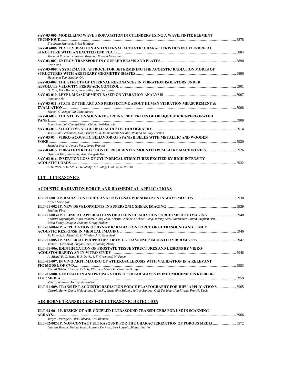| SAV-03-005. MODELLING WAVE PROPAGATION IN CYLINDERS USING A WAVE/FINITE ELEMENT                            |      |
|------------------------------------------------------------------------------------------------------------|------|
|                                                                                                            |      |
| Elisabetta Manconi, Brian R. Mace                                                                          |      |
| SAV-03-006. PLATE VIBRATION AND INTERNAL ACOUSTIC CHARACTERISTICS IN CYLINDRICAL                           |      |
|                                                                                                            |      |
| Tomoaki Kawanabe, Naoya Masuda, Hiroyuki Moriyama                                                          |      |
| Eric Savin                                                                                                 |      |
| SAV-03-008. A SYSTEMATIC APPROCH FOR DETERMINING THE ACOUSTIC RADIATION MODES OF                           |      |
|                                                                                                            |      |
| Jiancheng Tao, Xiaojun Oiu                                                                                 |      |
| SAV-03-009. THE EFFECTS OF INTERNAL RESONANCES IN VIBRATION ISOLATORS UNDER                                |      |
|                                                                                                            | 5901 |
| Bo Yan, Mike Brennan, Steve Elliott, Neil Ferguson                                                         |      |
| SAV-03-010, LEVEL MEASUREMENT BASED ON VIBRATION ANALYSIS ……………………………………………………………………………5907<br>Romina Kehl |      |
| SAV-03-011. STATE OF THE ART AND PERSPECTIVE ABOUT HUMAN VIBRATION MEASUREMENT &                           |      |
| 5908                                                                                                       |      |
| Miccoli Giuseppe Via Canalbianco                                                                           |      |
| SAV-03-012. THE STUDY ON SOUND-ABSORBING PROPERTIES OF OBLIQUE MICRO-PERFORATED                            |      |
|                                                                                                            |      |
| Rong-Ping Lai, Chung-Chiech Chiang, Kai-Hua Liu                                                            |      |
| SAV-03-013, SELECTIVE NEAR-FIELD ACOUSTIC HOLOGRAPHY …………………………………………………………………………………5914                   |      |
| Jesus Alba Fernández, Eva Escuder Silla, Jaime Ramis Soriano, Romina Del Rey Tormos                        |      |
| SAV-03-014, VIBRO-ACOUSTIC BEHAVIOR OF SPANISH BELLS WITH METALLIC AND WOODEN                              |      |
| $\bf{YOKE}$ 5920                                                                                           |      |
| Savador Ivorra, Jenaro Vera, Jorge Francés                                                                 |      |
|                                                                                                            |      |
| Hyun-Sil Kim, Jae-Seung Kim, Bong-Ki Kim                                                                   |      |
| SAV-03-016. INSERTION LOSS OF CYLINDRICAL STRUCTURES EXCITED BY HIGH INTENSITY                             |      |
|                                                                                                            |      |
|                                                                                                            |      |

*S. H. Park, S. H. Seo, H. K. Jeong, Y. S. Jang, Y. M. Yi, G. R. Cho* 

### **ULT - ULTRASONICS**

### **ACOUSTIC RADIATION FORCE AND BIOMEDICAL APPLICATIONS**

| Armen Sarvazyan                                                                                                                                                                                                                                            |      |
|------------------------------------------------------------------------------------------------------------------------------------------------------------------------------------------------------------------------------------------------------------|------|
| Mathias Fink                                                                                                                                                                                                                                               |      |
| ULT-01-003-IP. CLINICAL APPLICATIONS OF ACOUSTIC ADIATION FORCE IMPULSE IMAGING<br>Kathryn Nightingale, Mark Palmeri, Liang Zhai, Kristin Frinkley, Michael Wang, Jeremy Dahl, Gianmarco Pinton, Stephen Hsu,<br>Brian Fahey, Douglas Dumont, Gregg Trahey |      |
| ULT-01-004-IP. APPLICATION OF DYNAMIC RADIATION FORCE OF ULTRASOUND AND TISSUE                                                                                                                                                                             |      |
|                                                                                                                                                                                                                                                            | 5946 |
| M. Fatemi, A. Alizad, D. H. Whaley, J. F. Greenleaf                                                                                                                                                                                                        |      |
|                                                                                                                                                                                                                                                            |      |
| James F. Greenleaf, Shigao Chen, Xiaoming Zhang                                                                                                                                                                                                            |      |
| ULT-01-006. IDENTIFICATION OF PROSTATE TISSUE STRUCTURES AND LESIONS BY VIBRO-                                                                                                                                                                             |      |
|                                                                                                                                                                                                                                                            |      |
| A. Alizad, F. G. Mitri, B. J. Davis, J. F. Greenleaf, M. Fatemi                                                                                                                                                                                            |      |
| ULT-01-007. IN VIVO ARFI IMAGING OF ATHEROSCLEROSIS WITH VALIDATION IN A RELEVANT                                                                                                                                                                          |      |
|                                                                                                                                                                                                                                                            | 5953 |
| Russell Behler, Timothy Nichols, Elizabeth Merricks, Caterina Gallippi                                                                                                                                                                                     |      |
| ULT-01-008. GENERATION AND PROPAGATION OF SHEAR WAVES IN INHOMOGENEOUS RUBBER-                                                                                                                                                                             |      |
|                                                                                                                                                                                                                                                            |      |
| Valeriy Andreev, Andrey Vedernikov                                                                                                                                                                                                                         |      |
| ULT-01-009, TRANSIENT ACOUSTIC RADIATION FORCE ELASTOGRAPHY FOR HIFU APPLICATIONS5965                                                                                                                                                                      |      |
| Gearoid Berry, David Melodelima, Lijun Xu, Jacqueline Shipley, Jeffrey Bamber, Gail Ter Haar, Ian Rivens, Francis Duck                                                                                                                                     |      |

### **AIR-BORNE TRANSDUCERS FOR ULTRASONIC DETECTION**

| ULT-02-001-IP. DESIGN OF AIR-COUPLED ULTRASOUND TRANSDUCERS FOR USE IN SCANNING     |      |
|-------------------------------------------------------------------------------------|------|
|                                                                                     | 5966 |
| Jurgen Deveugele, Dirk Bulcaen, Erik Blomme                                         |      |
| ULT-02-002-IP. NON-CONTACT ULTRASOUND FOR THE CHARACTERIZATION OF POROUS MEDIA 5972 |      |
| Laurens Boeckx, Naima Sebaa, Laurent De Ryck, Bert Lagrain, Walter Lauriks          |      |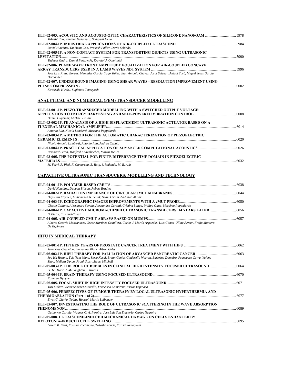| ULT-02-003. ACOUSTIC AND ACOUSTO-OPTIC CHARACTERISTICS OF SILICONE NANOFOAM 5978                                                                                                                               |      |
|----------------------------------------------------------------------------------------------------------------------------------------------------------------------------------------------------------------|------|
| Takeshi IIno, Kentaro Nakamura, Sadayuki Ueha                                                                                                                                                                  |      |
|                                                                                                                                                                                                                |      |
| David Hutchins, Tat Hean Gan, Prakash Pallay, David Schindel                                                                                                                                                   |      |
| ULT-02-005-IP. A NON-CONTACT SYSTEM FOR TRANSPORTING OBJECTS USING ULTRASONIC                                                                                                                                  |      |
|                                                                                                                                                                                                                |      |
| Tadeusz Gudra, Daniel Perkowski, Krzystof J. Opielinski                                                                                                                                                        |      |
| ULT-02-006. PLANE WAVE FRONT AMPLITUDE EQUALIZATION FOR AIR-COUPLED CONCAVE                                                                                                                                    |      |
|                                                                                                                                                                                                                |      |
| Jose Luis Prego Borges, Mercedes García, Yago Yañez, Juan Antonio Chávez, Jordi Salazar, Antoni Turó, Miguel Jesus Garcia                                                                                      |      |
| Hernandez                                                                                                                                                                                                      |      |
| ULT-02-007. UNDERGROUND IMAGING USING SHEAR WAVES - RESOLUTION IMPROVEMENT USING                                                                                                                               |      |
|                                                                                                                                                                                                                | 6002 |
| $\boldsymbol{v}$ . $\boldsymbol{v}$ . $\boldsymbol{v}$ . $\boldsymbol{v}$ . $\boldsymbol{v}$ . $\boldsymbol{v}$ . $\boldsymbol{v}$ . $\boldsymbol{v}$ . $\boldsymbol{v}$ . $\boldsymbol{v}$ . $\boldsymbol{v}$ |      |

#### *Kawasaki Hiraku, Sugimoto Tsuneyoshi*

### **ANALYTICAL AND NUMERICAL (FEM) TRANSDUCER MODELLING**

| ULT-03-001-IP. PIEZO-TRANSDUCER MODELLING WITH A SWITCHED OUTPUT VOLTAGE:        |      |
|----------------------------------------------------------------------------------|------|
|                                                                                  |      |
| Daniel Guyomar, Mickael Lallart                                                  |      |
| ULT-03-002-IP. FE ANALYSIS OF A HIGH DISPLACEMENT ULTRASONIC ACTUATOR BASED ON A |      |
|                                                                                  | 6014 |
| Antonio Iula, Nicola Lamberti, Massimo Pappalardo                                |      |
| ULT-03-003-IP. A METHOD FOR THE AUTOMATIC CHARACTERIZATION OF PIEZOELECTRIC      |      |
|                                                                                  | 6020 |
| Nicola Antonio Lamberti, Antonio Iula, Andrea Caputo                             |      |
|                                                                                  |      |
| Reinhard Lerch, Madfred Kaltenbacher, Martin Meiler                              |      |
| ULT-03-005. THE POTENTIAL FOR FINITE DIFFERENCE TIME DOMAIN IN PIEZOELECTRIC     |      |
| <b>MATERIALS</b>                                                                 | 6032 |
| M. Ferri, R. Picó, F. Camarena, B. Roig, J. Redondo, M. R. Avis                  |      |
|                                                                                  |      |

### **CAPACITIVE ULTRASONIC TRANSDUCERS: MODELLING AND TECHNOLOGY**

| David Hutchins, Duncan Billson, Robert Bradley                                                                             |  |
|----------------------------------------------------------------------------------------------------------------------------|--|
|                                                                                                                            |  |
| Heyrettin Köymen, Muhammed N. Senlik, Selim Olcum, Abdullah Atalar                                                         |  |
|                                                                                                                            |  |
| Giosue Caliano, Alessandro Savoia, Alessandro Caronti, Cristina Longo, Philipp Gatta, Massimo Pappalardo                   |  |
|                                                                                                                            |  |
| B. Pierre. T. Khuri-Yakub                                                                                                  |  |
|                                                                                                                            |  |
| Alberto Octovio Manzanares, Oscar Martínez Crayllera, Carlos I, Martín Arquedas, Luis Cómez IIIlate Alvear, Freijo Montero |  |

#### *Alberto Octavio Manzanares, Oscar Martínez Graullera, Carlos J. Martín Arguedas, Luis Gómez-Ullate Alvear, Freijo Montero De Espinosa*

### **HIFU IN MEDICAL THERAPY**

| Jean Yves Chapelon, Emmanuel Blanc, Albert Gelet                                                                                                                         |  |
|--------------------------------------------------------------------------------------------------------------------------------------------------------------------------|--|
| Joo Ha Hwang, Yak-Nam Wang, Steve Kargl, Bryan Cunitz, Cinderella Warren, Barbrina Dunmire, Francesco Curra, Yufeng<br>Zhou, Melissa Upton, Frank Starr, Stuart Mitchell |  |
| ULT-05-003-IP. THE ROLE OF BUBBLES IN CLINICAL HIGH INTENSITY FOCUSED ULTRASOUND<br>G. Ter Haar, J. McLaughlan, I. Rivens                                                |  |
| Kullervo Hynynen                                                                                                                                                         |  |
| Yuri Makov, Victor Sánchez-Morcillo, Francisco Camarena, Victor Espinosa                                                                                                 |  |
| ULT-05-006. PERSPECTIVES OF TUMOUR THERAPY BY LOCAL ULTRASONIC HYPERTHERMIA AND<br>Ernst G. Lierke, Tobias Hemsel, Martin Leibenger                                      |  |
| ULT-05-007. INVESTIGATING THE ROLE OF ULTRASONIC SCATTERING IN THE WAVE ABSORPTION                                                                                       |  |
| Guillermo Cortela, Wagner C. A. Pereira, Jose Luis San Emeterio, Carlos Negreira<br>ULT-05-008. ULTRASOUND-INDUCED MECHANICAL DAMAGE ON CELLS ENHANCED BY                |  |
| Loreto B. Feril, Katsuro Tachibana, Takashi Kondo, Kazuki Yamaguchi                                                                                                      |  |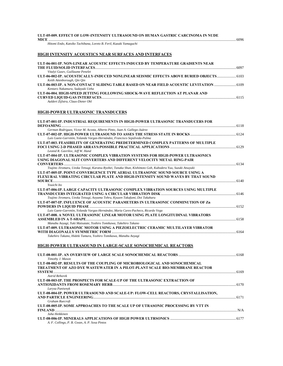# **ULT-05-009. EFFECT OF LOW-INTENSITY ULTRASOUND ON HUMAN GASTRIC CARCINOMA IN NUDE**

**MICE** .............................................................................................................................................................................................................6096 *Hitomi Endo, Katsiko Tachibana, Loreto B. Feril, Kazuki Yamaguchi* 

### **HIGH INTENSITY ACOUSTICS NEAR SURFACES AND INTERFACES**

| ULT-06-001-IP. NON-LINEAR ACOUSTIC EFFECTS INDUCED BY TEMPERATURE GRADIENTS NEAR   |      |
|------------------------------------------------------------------------------------|------|
|                                                                                    | 6097 |
| Vitalyi Gusev, Guillaume Penelet                                                   |      |
| ULT-06-002-IP. ACOUSTICALLY-INDUCED NONLINEAR SEISMIC EFFECTS ABOVE BURIED OBJECTS |      |
| Keith Attenborough, Oin Oin                                                        |      |
| ULT-06-003-IP. A NON-CONTACT SLIDING TABLE BASED ON NEAR FIELD ACOUSTIC LEVITATION |      |
| Kentaro Nakamura, Sadayuki Ueha                                                    |      |
| ULT-06-004. HIGH-SPEED JETTING FOLLOWING SHOCK-WAVE REFLECTION AT PLANAR AND       |      |
|                                                                                    | 6115 |
| Aaldert Zijlstra, Claus-Dieter Ohl                                                 |      |

### **HIGH-POWER ULTRASONIC TRANSDUCERS**

| ULT-07-001-IP. INDUSTRIAL REQUIREMENTS IN HIGH-POWER ULTRASONIC TRANSDUCERS FOR                            |      |
|------------------------------------------------------------------------------------------------------------|------|
| German Rodriguez, Victor M. Acosta, Alberto Pinto, Juan A. Gallego-Juárez                                  |      |
|                                                                                                            |      |
| Luis Gaete-Garretón, Yolanda Vargas-Hernández, Francisco Sepúlveda-Palma                                   |      |
| ULT-07-003. FEASIBILITY OF GENERATING PREDETERMINED COMPLEX PATTERNS OF MULTIPLE                           |      |
| Leonid R. Gavrilov, Jeff W. Hand                                                                           |      |
| ULT-07-004-IP. ULTRASONIC COMPLEX VIBRATION SYSTEMS FOR HIGH-POWER ULTRASONICS                             |      |
| USING DIAGONAL SLIT CONVERTERS AND DIFFERENT VELOCITY METAL RING-PAIR                                      |      |
|                                                                                                            |      |
| Tsujino Jiromaru, Ueoka Tetsugi, Karatsu Ryohei, Tanaka Shun, Kishimoto Goh, Kubodera Yuu, Suzuki Atsuyuki |      |
| ULT-07-005-IP. POINT-CONVERGENCE TYPE AERIAL ULTRASONIC SOUND SOURCE USING A                               |      |
| FLEXURAL VIBRATING CIRCULAR PLATE AND HIGH-INTENSITY SOUND WAVES BY THAT SOUND                             |      |
|                                                                                                            |      |
| Youichi Ito                                                                                                |      |
| ULT-07-006-IP. LARGE CAPACITY ULTRASONIC COMPLEX VIBRATION SOURCES USING MULTIPLE                          |      |
| Tsujino Jiromaru, Ueoka Tetsugi, Aoyama Tohru, Kyuzen Takafumi, Doi Takaharu                               |      |
| ULT-07-007-IP. INFLUENCE OF ACOUSTIC PARAMETERS IN ULTRASONIC COMMINUTION OF Zn                            |      |
|                                                                                                            |      |
| Luis Gaete-Garretón, Yolanda Vargas-Hernández, Maria Cares-Pacheco, Ricardo Vega                           |      |
| ULT-07-008. A NOVEL ULTRASONIC LINEAR MOTOR USING PLATE LONGITUDINAL VIBRATORS                             |      |
|                                                                                                            | 6158 |
| Manabu Aoyagi, Yuki Matsutate, Yoshiro Tomikawa, Takehiro Takano                                           |      |
| ULT-07-009. ULTRASONIC MOTOR USING A PIEZOELECTRIC CERAMIC MULTILAYER VIBRATOR                             |      |
|                                                                                                            |      |
| Takehiro Takano, Hideki Tamura, Yoshiro Tomikawa, Manabu Aoyagi                                            |      |
|                                                                                                            |      |
|                                                                                                            |      |

### **HIGH-POWER ULTRASOUND IN LARGE-SCALE SONOCHEMICAL REACTORS**

| Timothy J. Mason                                                                   |  |
|------------------------------------------------------------------------------------|--|
| ULT-08-002-IP. RESULTS OF THE COUPLING OF MICROBIOLOGICAL AND SONOCHEMICAL         |  |
| <b>TREATMENT OF AZO DYE WASTEWATER IN A PILOT-PLANT SCALE BIO-MEMBRANE REACTOR</b> |  |
|                                                                                    |  |
| Astrid Rehorek                                                                     |  |
| ULT-08-003-IP. THE PROSPECTS FOR SCALE-UP OF THE ULTRASONIC EXTRACTION OF          |  |
|                                                                                    |  |
| Larysa Paniwnyk                                                                    |  |
| ULT-08-004-IP. POWER ULTRASOUND AND SCALE-UP: FLOW-CELL REACTORS, CRYSTALLISATION, |  |
|                                                                                    |  |
| Graham Ruecroft                                                                    |  |
| ULT-08-005-IP. SOME APPROACHES TO THE SCALE UP OF UTRASONIC PROCESSING BY VTT IN   |  |
|                                                                                    |  |
| Juha Heikkinen                                                                     |  |
|                                                                                    |  |
| A. F. Collings, P. B. Gwan, A. P. Sosa Pintos                                      |  |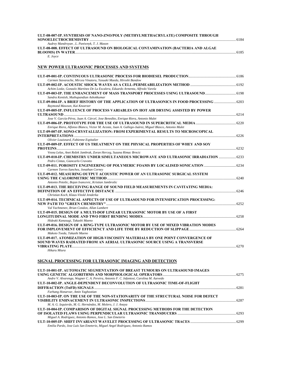| ULT-08-007-IP. SYNTHESIS OF NANO-ZNO/POLY (METHYLMETHACRYLATE) COMPOSITE THROUGH |      |
|----------------------------------------------------------------------------------|------|
|                                                                                  | 6184 |
| Audrey Mandroyan, L. Paniwnyk, T. J. Mason                                       |      |
| ULT-08-008. EFFECT OF ULTRASOUND ON BIOLOGICAL CONTAMINATION (BACTERIA AND ALGAE |      |
|                                                                                  | 6185 |
| E. Joyce                                                                         |      |

### **NEW POWER ULTRASONIC PROCESSES AND SYSTEMS**

| Carmen Stavarache, Mircea Vinatoru, Yasuaki Maeda, Hiroshi Bandow                                                          |  |
|----------------------------------------------------------------------------------------------------------------------------|--|
|                                                                                                                            |  |
| Achim Loske, Gonzalo Martínez De La Escalera, Eduardo Armenta, Alfredo Varela                                              |  |
| ULT-09-003-IP. THE ENHANCEMENT OF MASS TRANSPORT PROCESSES USING ULTRASOUND 6198                                           |  |
| Sandra Kentish, Muthupandian Ashokkumar                                                                                    |  |
| ULT-09-004-IP. A BRIEF HISTORY OF THE APPLICATION OF ULTRASONICS IN FOOD PROCESSING<br>Raymond Mawson, Kai Knoerzer        |  |
| ULT-09-005-IP. INFLUENCE OF PROCESS VARIABLES ON HOT AIR DRYING ASSISTED BY POWER                                          |  |
|                                                                                                                            |  |
| Jose V. García-Pérez, Juan A. Cárcel, Jose Benedito, Enrique Riera, Antonio Mulet                                          |  |
|                                                                                                                            |  |
| Enrique Riera, Alfonso Blanco, Victor M. Acosta, Juan A. Gallego-Juárez, Miguel Blasco, Antonio Mulet                      |  |
| ULT-09-007-IP. SONO-CRYSTALLIZATION: FROM EXPERIMENTAL RESULTS TO MICROSCOPICAL                                            |  |
|                                                                                                                            |  |
| Olivier Louisnard, Fabienne Espitalier<br>ULT-09-009-IP. EFFECT OF US TREATMENT ON THE PHYSICAL PROPERTIES OF WHEY AND SOY |  |
|                                                                                                                            |  |
| Vesna Lelas, Anet Režek Jambrak, Zoran Herceg, Suzana Rimac Brncic                                                         |  |
| ULT-09-010-IP. CHEMISTRY UNDER SIMULTANEOUS MICROWAVE AND ULTRASONIC IRRADIATION  6233                                     |  |
| Pedro Cintas, Giancarlo Cravotto                                                                                           |  |
| ULT-09-011. POROSITY ENGINEERING OF POLYMERIC FOAMS BY LOCALISED SONICATION                                                |  |
| Carmen Torres-Sanchez, Jonathan Corney                                                                                     |  |
| ULT-09-012. MEASURING OUTPUT ACOUSTIC POWER OF AN ULTRASONIC SURGICAL SYSTEM                                               |  |
|                                                                                                                            |  |
| Antonio Petošic, Bojan Ivancevic, Kristian Jambrošic                                                                       |  |
| ULT-09-013. THE RECEIVING RANGE OF SOUND FIELD MEASUREMENTS IN CAVITATING MEDIA:                                           |  |
|                                                                                                                            |  |
| Christian Koch, Klaus-Vitold Jenderka                                                                                      |  |
| ULT-09-014. TECHNICAL ASPECTS OF USE OF ULTRASOUND FOR INTENSIFICATION PROCESSING:                                         |  |
| Val Yachmenev, Brian Condon, Allan Lambert                                                                                 |  |
| ULT-09-015. DESIGN OF A MULTI-DOF LINEAR ULTRASONIC MOTOR BY USE OF A FIRST                                                |  |
|                                                                                                                            |  |
| Hideaki Kanasugi, Takashi Maeno                                                                                            |  |
| ULT-09-016. DESIGN OF A RING-TYPE ULTRASONIC MOTOR BY USE OF MIXED VIBRATION MODES                                         |  |
|                                                                                                                            |  |
| Makoto Toeda, Takashi Maeno                                                                                                |  |
| ULT-09-017. ATOMIZATION OF HIGH-VISCOSITY MATERIALS BY ONE POINT CONVERGENCE OF                                            |  |
| SOUND WAVES RADIATED FROM AN AERIAL ULTRASONIC SOURCE USING A TRANSVERSE                                                   |  |
| <b>VIBRATING PLATE</b>                                                                                                     |  |
| Hikaru Miura                                                                                                               |  |
|                                                                                                                            |  |

### **SIGNAL PROCESSING FOR ULTRASONIC IMAGING AND DETECTION**

| ULT-10-001-IP. AUTOMATIC SEGMENTATION OF BREAST TUMOURS ON ULTRASOUND IMAGES           |  |
|----------------------------------------------------------------------------------------|--|
|                                                                                        |  |
| Andre V. Alvarenga, Wagner C. A. Pereira, Antonio F. C. Infantosi, Carolina M. Azevedo |  |
| ULT-10-002-IP. ANGLE-DEPENDENT DECONVOLUTION OF ULTRASONIC TIME-OF-FLIGHT              |  |
|                                                                                        |  |
| Farhang Honarvar, Amin Yaghootian                                                      |  |
| ULT-10-003-IP. ON THE USE OF THE NON-STATIONARITY OF THE STRUCTURAL NOISE FOR DEFECT   |  |
|                                                                                        |  |
| M. A. G. Izquierdo, M. G. Hernández, M. Molero, J. J. Anaya                            |  |
| ULT-10-004-IP. COMPARISON OF DIGITAL SIGNAL PROCESSING METHODS FOR THE DETECTION       |  |
|                                                                                        |  |
| Miguel A. Rodríguez, Antonio Ramos, Jose L. San Emeterio                               |  |
|                                                                                        |  |
| Emilia Pardo, Jose Luis San Emeterio, Miguel Angel Rodriguez, Antonio Ramos            |  |
|                                                                                        |  |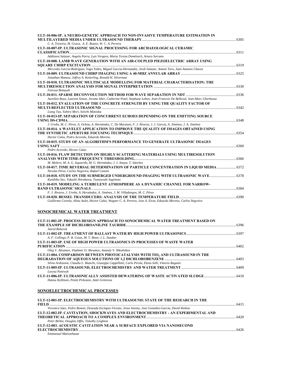| ULT-10-006-IP. A NEURO-GENETIC APPROACH TO NON-INVASIVE TEMPERATURE ESTIMATION IN                                           |  |
|-----------------------------------------------------------------------------------------------------------------------------|--|
|                                                                                                                             |  |
| C. A. Teixeira, M. Graca, A. E. Ruano, W. C. A. Pereira                                                                     |  |
| ULT-10-007-IP. ULTRASONIC SIGNAL PROCESSING FOR ARCHAEOLOGICAL CERAMIC                                                      |  |
|                                                                                                                             |  |
| Addisson Salazar, Angela Parra, Luis Vergara, Maria Teresa Doménech, Arturo Serrano                                         |  |
| ULT-10-008. LAMB WAVE GENERATION WITH AN AIR-COUPLED PIEZOELECTRIC ARRAY USING                                              |  |
|                                                                                                                             |  |
| Mercedes Garcia-Rodriguez, Yago Yañez, Miguel Garcia-Hernandez, Jordi Salazar, Antoni Turo, Juan Antonio Chavez             |  |
|                                                                                                                             |  |
| Jonathan Mamou, Jeffrey A. Ketterling, Ronald H. Silverman                                                                  |  |
| ULT-10-010. ULTRASONIC MULTISCALE MODELLING FOR MATERIAL CHARACTERISATION: THE                                              |  |
|                                                                                                                             |  |
| Fairouz Bettayeb                                                                                                            |  |
|                                                                                                                             |  |
| Aurelien Roux, Laurent Simon, Jerome Idier, Catherine Potel, Stephane Lebon, Jean-Francois De Belleval, Jean-Marc Gherbezza |  |
| ULT-10-012. EVALUATION OF THE CONCRETE STRENGTH BY USING THE QUALITY FACTOR OF                                              |  |
|                                                                                                                             |  |
| Liang Tao, Yahiro Mori, Seiichi Motooka                                                                                     |  |
| ULT-10-013-IP. SEPARATION OF CONCURRENT ECHOES DEPENDING ON THE EMITTING SOURCE                                             |  |
|                                                                                                                             |  |
| J. Ureña, M. C. Pérez, A. Ochoa, A. Hernández, C. De Marziani, F. J. Álvarez, J. J. García, A. Jiménez, J. A. Jiménez       |  |
| ULT-10-014. A WAVELET APPLICATION TO IMPROVE THE QUALITY OF IMAGES OBTAINED USING                                           |  |
|                                                                                                                             |  |
| Hector Calas, Pedro Acevedo, Eduardo Moreno                                                                                 |  |
| ULT-10-015. STUDY OF AN ALGORITHM'S PERFORMANCE TO GENERATE ULTRASONIC IMAGES                                               |  |
|                                                                                                                             |  |
| Pedro Acevedo, Hector Calas                                                                                                 |  |
| ULT-10-016. FLAW DETECTION ON HIGHLY SCATTERING MATERIALS USING MULTIRESOLUTION                                             |  |
|                                                                                                                             |  |
| M. Molero, M. A. G. Izquierdo, M. G. Hernández, J. J. Anaya, T. Sánchez                                                     |  |
| ULT-10-017. TIME REVERSAL DETERMINATION OF PARTICLE CONCENTRATION IN LIQUID MEDIA                                           |  |
| Nicolas Pérez, Carlos Negreira, Rafael Canetti                                                                              |  |
|                                                                                                                             |  |
| ULT-10-018. STUDY ON THE SUBMERGED UNDERGROUND IMAGING WITH ULTRASONIC WAVE                                                 |  |
| Kunihiko Seo, Takashi Shirakawa, Tsuneyoshi Sugimoto                                                                        |  |
| ULT-10-019. MODELING A TURBULENT ATMOSPHERE AS A DYNAMIC CHANNEL FOR NARROW-                                                |  |
|                                                                                                                             |  |
| F. J. Álvarez, J. Ureña, A. Hernández, A. Jiménez, J. M. Villadangos, M. C. Pérez                                           |  |
|                                                                                                                             |  |
| Guillermo Cortela, Alina Aulet, Hector Calas, Wagner C. A. Pereira, Jose A. Eiras, Eduardo Moreno, Carlos Negreira          |  |

### **SONOCHEMICAL WATER TREATMENT**

| ULT-11-001-IP. PROCESS DESIGN APPROACH TO SONOCHEMICAL WATER TREATMENT BASED ON                         |  |
|---------------------------------------------------------------------------------------------------------|--|
|                                                                                                         |  |
| Astrid Rehorek                                                                                          |  |
|                                                                                                         |  |
| A. F. Collings, P. B. Gwan, M. T. Binet, J. L. Stauber                                                  |  |
| ULT-11-003-IP. USE OF HIGH POWER ULTRASONICS IN PROCESSES OF WASTE WATER                                |  |
|                                                                                                         |  |
| Oleg V. Abramov, Vladimir O. Abramov, Anatoly V. Shkolnikov                                             |  |
| ULT-11-004. COMPARISON BETWEEN PHOTOCATALYSIS WITH TIO, AND ULTRASOUND IN THE                           |  |
|                                                                                                         |  |
| Silvia Ardizzone, Claudia L. Bianchi, Giuseppe Cappelletti, Carlo Pirola, Elena Selli, Vittorio Ragaini |  |
|                                                                                                         |  |
| Larysa Paniwyk                                                                                          |  |
| ULT-11-006-IP. ULTRASONICALLY ASSISTED DEWATERING OF WASTE ACTIVATED SLUDGE                             |  |
| Hanna Kyllönen, Pentti Pirkonen, Antti Grönroos                                                         |  |
|                                                                                                         |  |
| <b>SONOELECTROCHEMICAL PROCESSES</b>                                                                    |  |
|                                                                                                         |  |

| ULT-12-001-IP. ELECTROCHEMISTRY WITH ULTRASOUND: STATE OF THE RESEARCH IN THE                            |  |
|----------------------------------------------------------------------------------------------------------|--|
|                                                                                                          |  |
| Veronica Sáez, Pedro Bonete, Deseada Esclapez-Vicente, Jesus Iniesta, Jose González-García, David Walton |  |
| ULT-12-002-IP. CAVITATION, SHOCKWAVES AND ELECTROCHEMISTRY - AN EXPERIMENTAL AND                         |  |
|                                                                                                          |  |
| Peter Birkin, Douglas Offin, Timothy Leighton                                                            |  |
| ULT-12-003. ACOUSTIC CAVITATION NEAR A SURFACE EXPLORED VIA NANOSECOND                                   |  |
|                                                                                                          |  |
| Emmanuel Maisonhaute                                                                                     |  |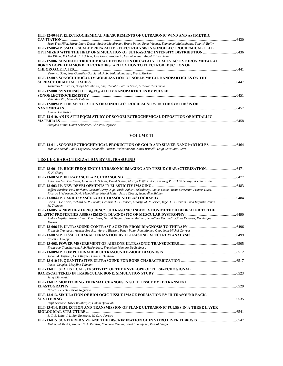| ULT-12-004-IP. ELECTROCHEMICAL MEASUREMENTS OF ULTRASONIC WIND AND ASYMETRIC                                          |      |
|-----------------------------------------------------------------------------------------------------------------------|------|
| <b>CAVITATION.</b>                                                                                                    |      |
| Jean-Yves Hihn, Marie-Laure Doche, Audrey Mandroyan, Bruno Pollet, Remy Viennet, Emmanuel Maisonhaute, Yannick Bailly |      |
| ULT-12-005-IP. SMALL SCALE PREPARATIVE ELECTROLYSIS IN SONOELECTROCHEMICAL CELL                                       |      |
|                                                                                                                       |      |
| Jiri Klima, Jiri Ludvik, Jiri Urban, Jose González-García, Veronica Sáez, Angel Frías- Ferrer                         |      |
| ULT-12-006. SONOELECTROCHEMICAL DEPOSITION OF CATALYTICALLY ACTIVE IRON METAL AT                                      |      |
| <b>BORON DOPED DIAMOND ELECTRODES: APLICATION TO ELECTROREDUCTION OF</b>                                              |      |
| <b>CHLOROACETATES</b>                                                                                                 | 6441 |
| Veronica Sáez, Jose González-Garcia, M. Anbu Kulandainathan, Frank Marken                                             |      |
| ULT-12-007. SONOCHEMICAL IMMOBILIZATION OF NOBLE METAL NANOPARTICLES ON THE                                           |      |
|                                                                                                                       | 6447 |
| Yoshiteru Mizukoshi, Naoya Masahashi, Shuji Tanabe, Satoshi Seino, A. Takao Yamamoto                                  |      |
| ULT-12-008. SYNTHESIS OF Co <sub>65</sub> Fe <sub>35</sub> ALLOY NANOPARTICLES BY PULSED                              |      |
|                                                                                                                       | 6451 |
| Valentina Zin, Manuele Dabalà                                                                                         |      |
| ULT-12-009-IP. THE APPLICATION OF SONOELECTROCHEMISTRY IN THE SYNTHESIS OF                                            |      |
| NANOMETALS                                                                                                            | 6457 |
| Aharon Gedanken                                                                                                       |      |
| ULT-12-010. AN IN-SITU EQCM STUDY OF SONOELECTROCHEMICAL DEPOSITION OF METALLIC                                       |      |
| <b>MATERIALS.</b>                                                                                                     | 6458 |
| Sladjana Matic, Oliver Schneider, Christos Argirusis                                                                  |      |

### **VOLUME 11**

| 0464-ULT-12-011. SONOELECTROCHEMICAL PRODUCTION OF GOLD AND SILVER NANOPARTICLES                         |  |
|----------------------------------------------------------------------------------------------------------|--|
| Manuele Dabal, Paula Cojocaru, Antonello Vicenzo, Valentina Zin, Katya Brunelli, Luigi Cavallotti Pietro |  |

### **TISSUE CHARACTERIZATION BY ULTRASOUND**

| ULT-13-001-IP. HIGH FREQUENCY ULTRASONIC IMAGING AND TISSUE CHARACTERIZATION                                                                 |        |
|----------------------------------------------------------------------------------------------------------------------------------------------|--------|
| K. K. Shung                                                                                                                                  |        |
| Anton Fw Van Der Steen, Johannes A. Schaar, David Goertz, Martijn Frijlink, Nico De Jong Patrick W Serruys, Nicolaas Bom                     |        |
|                                                                                                                                              |        |
| Jeffrey Bamber, Paul Barbone, Gearoid Berry, Nigel Bush, Aabir Chakraborty, Louise Coutts, Remo Crescenti, Francis Duck,                     |        |
| Ricardo Liederman, David Melodelima, Naomi Miller, Assad Oberai, Jacqueline Shipley                                                          |        |
|                                                                                                                                              |        |
| Chris L. De Korte, Richard G. P. Lopata, Hendrik H. G. Hansen, Maartje M. Nillessen, Inge H. G. Gerrits, Livia Kapusta, Johan<br>M. Thijssen |        |
| ULT-13-005. A NEW HIGH FREOUENCY ULTRASONIC INDENTATION METHOD DEDICATED TO THE                                                              |        |
| 6490 ELASTIC PROPERTIES ASSESSEMENT: DIAGNOSTIC OF MUSCULAR DYSTROPHY                                                                        |        |
| Audrey Leydier, Karim Hnia, Didier Laux, Gerald Hugon, Jerome Mathieu, Jean-Yves Ferrandis, Gilles Despaux, Dominique<br>Mornet              |        |
|                                                                                                                                              |        |
| Francois Tranquart, Ayache Bouakaz, Aurore Bleuzen, Peggy Palanchon, Monica Olar, Jean-Michel Correas                                        |        |
| Ernest J. Feleppa                                                                                                                            |        |
|                                                                                                                                              |        |
| Francisco Chinchurreta, Rob Hekkenberg, Francisco Montero De Espinosa                                                                        |        |
|                                                                                                                                              |        |
| Johan M. Thijssen, Gert Weijers, Chris L. De Korte                                                                                           |        |
| Pascal Laugier, Maryline Talmant                                                                                                             |        |
| ULT-13-011. STATISTICAL SENSITIVITY OF THE ENVELOPE OF PULSE-ECHO SIGNAL                                                                     |        |
|                                                                                                                                              |        |
| Jerzy Litniewski                                                                                                                             |        |
| ULT-13-012. MONITORING THERMAL CHANGES IN SOFT TISSUE BY 1D TRANSIENT                                                                        |        |
|                                                                                                                                              | 0.6529 |
| Nicolas Benech, Carlos Negreira                                                                                                              |        |
| ULT-13-013. SIMULATION OF BIOLOGIC TISSUE IMAGE FORMATION BY ULTRASOUND BACK-                                                                | .6535  |
| Rafik Serhane, Takek Boutkedjirt, Hakim Djelouah                                                                                             |        |
| ULT-13-014, REFLECTION AND TRANSMISSION OF PLANE ULTRASONIC PULSES IN A THREE LAYER                                                          |        |
| 6541                                                                                                                                         |        |
| J. C. B. Leite, J. L. San Emeterio, W. C. A. Pereira                                                                                         |        |
| Mahmoud Meziri, Wagner C. A. Pereira, Naamane Remita, Bouzid Boudjema, Pascal Laugier                                                        |        |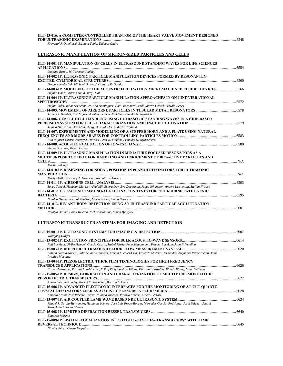#### **ULT-13-016. A COMPUTER-CONTROLLED PHANTOM OF THE HEART VALVE MOVEMENT DESIGNED FOR ULTRASONIC EXAMINATIONS**...................................................................................................................................................6548

*Krzysztof J. Opielinski, Elzbieta Tubis, Tadeusz Gudra* 

### **ULTRASONIC MANIPULATION OF MICRON-SIZED PARTICLES AND CELLS**

| ULT-14-001-IP. MANIPULATION OF CELLS IN ULTRASOUND STANDING WAVES FOR LIFE SCIENCES                                                                                                                    |       |
|--------------------------------------------------------------------------------------------------------------------------------------------------------------------------------------------------------|-------|
| Despina Bazou, W. Terence Coakley                                                                                                                                                                      | 6554  |
| ULT-14-002-IP. ULTRASONIC PARTICLE MANIPULATION DEVICES FORMED BY RESONANTLY-                                                                                                                          |       |
|                                                                                                                                                                                                        |       |
| Gregory Kaduchak, Michael D. Ward, Gregory R. Goddard                                                                                                                                                  |       |
| ULT-14-003-IP. MODELING OF THE ACOUSTIC FIELD WITHIN MICROMACHINED FLUIDIC DEVICES<br>Stefano Oberti, Adrian Neild, Jürg Dual                                                                          |       |
| ULT-14-004-IP. ULTRASONIC PARTICLE MANIPULATION APPROACHES IN ON-LINE VIBRATIONAL                                                                                                                      |       |
|                                                                                                                                                                                                        |       |
| Stefan Radel, Johannes Schnöller, Ana Dominguez-Vidal, Bernhard Lendl, Martin Gröschl, Ewald Benes                                                                                                     |       |
| Jeremy J. Hawkes, Rito Mijarez-Castro, Peter R. Fielden, Pramukh N. Jayassekera                                                                                                                        |       |
| ULT-14-006. GENTLE CELL HANDLING USING ULTRASONIC STANDING WAVES IN A CHIP-BASED                                                                                                                       |       |
|                                                                                                                                                                                                        |       |
| Jessica Hultström, Otto Manneberg, Hans M. Hertz, Martin Wiklund                                                                                                                                       |       |
| ULT-14-007. EXPERIMENTS AND MODELLING OF A STEPPED HORN AND A PLATE USING NATURAL                                                                                                                      |       |
| Rito Mijarez-Castro, Jeremy J. Hawkes, Peter R. Fielden, Pramukh N. Jayassekera                                                                                                                        |       |
|                                                                                                                                                                                                        |       |
| Shungo Hirawa, Tetsuo Okada                                                                                                                                                                            |       |
| ULT-14-009-IP. ULTRASONIC MANIPULATION IN MINIATURE FOCUSED RESONATORS AS A                                                                                                                            |       |
| MULTIPURPOSE TOOLBOX FOR HANDLING AND ENRICHMENT OF BIO-ACTIVE PARTICLES AND                                                                                                                           |       |
|                                                                                                                                                                                                        | N/A   |
| Martin Wiklund                                                                                                                                                                                         |       |
| ULT-14-010-IP. DESIGNING FOR NODAL POSITION IN PLANAR RESONATORS FOR ULTRASONIC                                                                                                                        |       |
|                                                                                                                                                                                                        |       |
| Martyn Hill, Rosemary J. Townsend, Nicholas R. Harris                                                                                                                                                  |       |
|                                                                                                                                                                                                        |       |
| Seyed Tabaei, Hongyan Liu, Loy Alkafadji, Estera Dey, Eva Degerman, Jonas Johansson, Anders Kristensen, Staffan Nilsson<br>ULT-14-012. ULTRASONIC IMMUNO-AGGLUTINATION TESTS FOR FOOD-BORNE PATHOGENIC |       |
|                                                                                                                                                                                                        |       |
| Natalya Ossina, Nikolai Panikov, Maria Sizova, Simon Bystryak                                                                                                                                          |       |
| ULT-14 -013. HIV ANTIBODY DETECTION USING AN ULTRASOUND PARTICLE AGGLUTINATION                                                                                                                         |       |
|                                                                                                                                                                                                        | .6601 |
| Natalya Ossina, Fassil Ketema, Niel Constantine, Simon Bystryak                                                                                                                                        |       |

#### **ULTRASONIC TRANSDUCER SYSTEMS FOR IMAGING AND DETECTION**

| Wolfgang Hillger                                                                                                                               |      |
|------------------------------------------------------------------------------------------------------------------------------------------------|------|
|                                                                                                                                                |      |
| Ralf Lucklum, Ulrike Hempel, Garcia Osorio, Isabel Maria, Peter Hauptmann, Frieder Lucklum, John F. Vetelino                                   |      |
|                                                                                                                                                |      |
| Fabian García-Nocetti, Julio Solano-González, Martin Fuentes-Cruz, Eduardo Moreno-Hernández, Alejandro Villar-Inclán, Juan<br>Prohias-Martínez |      |
| ULT-15-004-IP. PIEZOELECTRIC THICK FILM TECHNOLOGIES FOR HIGH FREQUENCY                                                                        |      |
|                                                                                                                                                |      |
| Franck Levassort, Rasmus Lou-Moeller, Erling Ringgaard, E. Filoux, Konstantin Astafiev, Wanda Wolny, Marc Lethiecq                             |      |
| ULT-15-005-IP. DESIGN, FABRICATION AND CHARACTERIZATION OF MULTIMODE MONOLITHIC                                                                |      |
|                                                                                                                                                |      |
| Anne-Christine Hladky, Robert E. Newnham, Bertrand Dubus                                                                                       |      |
| ULT-15-006-IP. ADVANCED ELECTRONIC INTERFACES FOR THE MONITORING OF AT-CUT QUARTZ                                                              |      |
|                                                                                                                                                |      |
| Antonio Arnau, Jose Vicente García, Yolanda Jiménez, Vittorio Ferrari, Marco Ferrari                                                           |      |
|                                                                                                                                                |      |
| Miguel J. Garcia-Hernandez, Hassanne Kichou, Jose Luis Prego-Borges, Mercedes Garcia- Rodriguez, Jordi Salazar, Antoni                         |      |
| Turo, Juan Antonio Chavez                                                                                                                      |      |
|                                                                                                                                                |      |
| Eduardo Moreno                                                                                                                                 |      |
| ULT-15-009-IP. SPATIAL FOCALIZATION IN "CHAOTIC-CAVITIES- TRANSDUCERS" WITH TIME                                                               |      |
|                                                                                                                                                | 6645 |
| Nicolas Pérez, Carlos Negreira                                                                                                                 |      |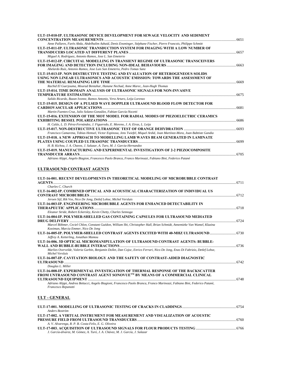| ULT-15-010-IP. ULTRASONIC DEVICE DEVELOPMENT FOR SEWAGE VELOCITY AND SEDIMENT                                            |       |
|--------------------------------------------------------------------------------------------------------------------------|-------|
|                                                                                                                          | .6651 |
| Anne Pallares, Farès Abda, Abdelhalim Azbaid, Denis Ensminger, Stéphane Fischer, Pierre Francois, Philippe Schmitt       |       |
| ULT-15-011-IP. ULTRASONIC TRANSDUCTION SYSTEM FOR IMAGING WITH A LOW NUMBER OF                                           |       |
|                                                                                                                          | 6657  |
| Miguel A. Rodríguez, Antonio Ramos, Jose L. San Emeterio                                                                 |       |
| ULT-15-012-IP. CIRCUITAL MODELLING IN TRANSIENT REGIME OF ULTRASONIC TRANSCEIVERS                                        |       |
|                                                                                                                          |       |
| Abelardo Ruíz, Antonio Ramos, Jose Luis San Emeterio, Pedro Tomas Sanz                                                   |       |
| ULT-15-013-IP. NON DESTRUCTIVE TESTING AND EVALUATION OF HETEROGENEOUS SOLIDS                                            |       |
| USING NON LINEAR ULTRASONICS AND ACOUSTIC EMISSION: TOWARDS THE ASSESSMENT OF                                            |       |
|                                                                                                                          |       |
| Rachid El Guerjouma, Mourad Bentahar, Hanane Nechad, Anne Marec, Jean-Hugh Thomas                                        |       |
| ULT-15-014. TIME DOMAIN ANALYSIS OF ULTRASONIC SIGNALS FOR NON-INVASIVE                                                  |       |
|                                                                                                                          | .6675 |
| Salido Ricardo, Bazan Ivonne, Ramos Antonio, Vera Arturo, Leija Lorenzo                                                  |       |
| ULT-15-015, DESIGN OF A PULSED WAVE DOPPLER ULTRASOUND BLOOD FLOW DETECTOR FOR                                           |       |
|                                                                                                                          | 6681  |
| Martin Fuentes-Cruz, Julio Solano-González, Fabian García-Nocetti                                                        |       |
| ULT-15-016. EXTENSION OF THE MOT MODEL FOR RADIAL MODES OF PIEZOELECTRIC CERAMICS                                        |       |
|                                                                                                                          | .6686 |
| H. Calás, L. D. Pérez-Fernández, J. Figueredo, E. Moreno, J. A. Eiras, L. Leija                                          |       |
|                                                                                                                          | .6693 |
| Francisco Camarena, Tobias Hemsel, Victor Espinosa, Jens Twiefel, Miquel Ardid, Joan Martínez-Mora, Joan Babtiste Gandia |       |
| ULT-15-018. A NEW APPROACH TO MODELLING LAMB WAVES BEAM GENERATED IN LAMINATE                                            |       |
|                                                                                                                          | 6699  |
| H. B. Kichou, J. A. Chavez, J. Salazar, A. Turo, M. J. Garcia-Hernandez                                                  |       |
| ULT-15-019. MANUFACTURING AND EXPERIMENTAL INVESTIGATION OF 2-2 PIEZOCOMPOSITE                                           |       |
| <b>TRANSDUCER ARRAYS</b>                                                                                                 |       |
| Adriano Alippi, Angelo Biagion, Francesco Paolo Branca, Franco Marinozzi, Fabiano Bini, Federico Patanè                  |       |

### **ULTRASOUND CONTRAST AGENTS**

| ULT-16-001. RECENT DEVELOPMENTS IN THEORETICAL MODELING OF MICROBUBBLE CONTRAST                                                                                 |  |
|-----------------------------------------------------------------------------------------------------------------------------------------------------------------|--|
| Charles C. Church                                                                                                                                               |  |
| ULT-16-002-IP. COMBINED OPTICAL AND ACOUSTICAL CHARACTERIZATION OF INDIVIDUAL US                                                                                |  |
| Jeroen Sijl, Rik Vos, Nico De Jong, Detlef Lohse, Michel Versluis                                                                                               |  |
| ULT-16-003-IP. ENGINEERING MICROBUBBLE AGENTS FOR ENHANCED DETECTABILITY IN                                                                                     |  |
| Eleanor Stride, Robert Eckersley, Kevin Chetty, Charles Sennoga                                                                                                 |  |
| ULT-16-004-IP. POLYMER-SHELLED GAS CONTAINING CAPSULES FOR ULTRASOUND MEDIATED                                                                                  |  |
| Marcel Böhmer, Ceciel Chlon, Constant Guédon, William Shi, Christopher Hall, Brian Schmidt, Annemieke Van Wamel, Klazina<br>Kooiman, Marcia Emmer, Nico De Jong |  |
| ULT-16-005-IP. POLYMER-SHELLED CONTRAST AGENTS EXCITED WITH 40-MHZ ULTRASOUND<br>Jeffrey A. Ketterling, Jonathan Mamou                                          |  |
| ULT-16-006. 3D OPTICAL MICROMANIPULATION OF ULTRASOUND CONTRAST AGENTS: BUBBLE-                                                                                 |  |
| Marlies Overvelde, Valeria Garbin, Benjamin Dollet, Dan Cojoc, Enrico Ferrari, Nico De Jong, Enzo Di Fabrizio, Detlef Lohse,<br>Michel Versluis                 |  |
| ULT-16-007-IP. CAVITATION BIOLOGY AND THE SAFETY OF CONTRAST-AIDED DIAGNOSTIC                                                                                   |  |
| Douglas L. Miller                                                                                                                                               |  |
| ULT-16-008-IP. EXPERIMENTAL INVESTIGATION OF THERMAL RESPONSE OF THE BACKSCATTER<br>FROM UNTRASOUND CONTRAST AGENT SONOVUE™ BY MEANS OF A COMMERCIAL CLINICAL   |  |
| Adriano Alippi, Andrea Bettucci, Angelo Biagioni, Francesco Paolo Branca, Franco Marinozzi, Fabiano Bini, Federico Patanè,<br>Francesco Repanotti               |  |
| <b>ULT - GENERAL</b>                                                                                                                                            |  |
| Anders Boström                                                                                                                                                  |  |

| ULT-17-002. A VIRTUAL INSTRUMENT FOR MEASUREMENT AND VISUALIZATION OF ACOUSTIC |  |
|--------------------------------------------------------------------------------|--|
|                                                                                |  |
| A. V. Alvarenga, R. P. B. Costa-Felix, E. G. Oliveira                          |  |
|                                                                                |  |
| J. García-álvarez, M. Gómez, A. Turó, J. A. Chávez, M. J. García, J. Salazar   |  |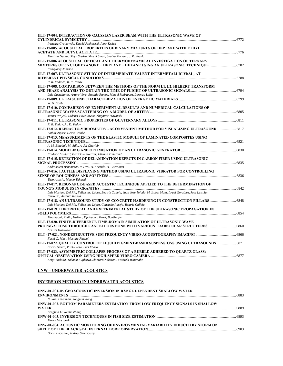| ULT-17-004. INTERACTION OF GAUSSIAN LASER BEAM WITH THE ULTRASONIC WAVE OF                                                                            |  |
|-------------------------------------------------------------------------------------------------------------------------------------------------------|--|
|                                                                                                                                                       |  |
| Ireneusz Grulkowski, Dawid Jankowski, Piotr Kwiek<br>ULT-17-005. ACOUSTICAL PROPERTIES OF BINARY MIXTURES OF HEPTANE WITH ETHYL                       |  |
|                                                                                                                                                       |  |
| Manisha Gupta, Divya Shukla, Shashi Singh, Shahla Parveen, J. P. Shukla                                                                               |  |
| ULT-17-006 ACOUSTICAL, OPTICAL AND THERMODYNAMICAL INVESTIGATION OF TERNARY                                                                           |  |
| Irudayaraj Johnson                                                                                                                                    |  |
| ULT-17-007. ULTRASONIC STUDY OF INTERMEDIATE-VALENT INTERMETALLIC YbAL2 AT                                                                            |  |
| P. K. Yadawa, R. R. Yadav                                                                                                                             |  |
| ULT-17-008. COMPARISON BETWEEN THE METHODS OF THE NORM L1, L2, HILBERT TRANSFORM                                                                      |  |
| Luis Castellanos, Arturo Vera, Antonio Ramos, Miguel Rodríguez, Lorenzo Leija                                                                         |  |
| W. N. Cobb                                                                                                                                            |  |
| ULT-17-010. COMPARISON OF EXPERIMENTAL RESULTS AND NUMERICAL CALCULATIONS OF                                                                          |  |
| Janusz Wojcik, Tadeusz Powalowski, Zbigniew Trawinski                                                                                                 |  |
|                                                                                                                                                       |  |
| R. R. Yadav, A. K. Yadav                                                                                                                              |  |
| ULT-17-012. REFRACTO-VIBROMETRY - ACONVENIENT METHOD FOR VISUALIZING ULTRASOUND  6817<br>Lothar Zipser, Heinz Franke                                  |  |
| ULT-17-013. MEASUREMENTS OF THE ELASTIC MODULI OF LAMINATED COMPOSITES USING                                                                          |  |
|                                                                                                                                                       |  |
| A. M. Elhabak, M. Adly, A. Ali Gharieb                                                                                                                |  |
| Frederic Coutard, Patrick Schweitzer, Etienne Tisserand                                                                                               |  |
| ULT-17-015. DETECTION OF DELAMINATION DEFECTS IN CARBON FIBER USING ULTRASONIC                                                                        |  |
|                                                                                                                                                       |  |
| Abdessalem Benammar, R. Drai, A. Kechida, A. Guessoum                                                                                                 |  |
| ULT-17-016. TACTILE DISPLAYING METHOD USING ULTRASONIC VIBRATOR FOR CONTROLLING                                                                       |  |
| Tazo Atsushi, Maeno Takashi                                                                                                                           |  |
| ULT-17-017. RESONANCE-BASED ACOUSTIC TECHNIQUE APPLIED TO THE DETERMINATION OF                                                                        |  |
|                                                                                                                                                       |  |
| Luis Mariano Del Río, Felicisima López, Beatriz Calleja, Juan Jose Tejado, M. Isabel Mota, Israel González, Jose Luis San<br>Emeterio, Antonio Ramos  |  |
| Luis Mariano Del Río, Felicisima López, Consuelo Pareja, Beatriz Calleja                                                                              |  |
| ULT-17-019. THEORETICAL AND EXPERIMENTAL STUDY OF THE ULTRASONIC PROPAGATION IN                                                                       |  |
|                                                                                                                                                       |  |
| Maghlaoui, Nadir; Hakim, Djelouah; Tarek, Boutkedjirt                                                                                                 |  |
| ULT-17-020. FINITE-DIFFERENCE TIME-DOMAIN SIMULATION OF ULTRASONIC WAVE                                                                               |  |
| Atsushi Hosokawa                                                                                                                                      |  |
|                                                                                                                                                       |  |
| Farid G. Mitri, Mostafa Fatemi                                                                                                                        |  |
| ULT-17-022. QUALITY CONTROL OF LIQUID PIGMENT-BASED SUSPENSIONS USING ULTRASOUNDS                                                                     |  |
| Carlos Sierra, Pablo Resa, Luis Elvira                                                                                                                |  |
| ULT-17-023. ASYMMETRIC COLLAPSE PROCESS OF A BUBBLE ADHERED TO OUARTZ GLASS;<br>Kenji Yoshida, Takaaki Fujikawa, Shintaro Nakatani, Yoshiaki Watanabe |  |
|                                                                                                                                                       |  |

### **UNW – UNDERWATER ACOUSTICS**

### **INVERSION METHOD IN UNDERWATER ACOUSTICS**

| UNW-01-001-IP. GEOACOUSTIC INVERSION IN RANGE DEPENDENT SHALLOW WATER            |      |
|----------------------------------------------------------------------------------|------|
|                                                                                  | 6883 |
| N. Ross Chapman, Yongmin Jiang                                                   |      |
| UNW-01-002. BOTTOM PARAMETERS ESTIMATION FROM LOW FREOUENCY SIGNALS IN SHALLOW   |      |
|                                                                                  | 6889 |
| Fenghua Li, Renhe Zhang                                                          |      |
|                                                                                  |      |
| Marek Moszynski                                                                  |      |
| UNW-01-004. ACOUSTIC MONITORING OF ENVIRONMENTAL VARIABILITY INDUCED BY STORM ON |      |
|                                                                                  |      |
| Boris Kuryanov, Andrey Serebryany                                                |      |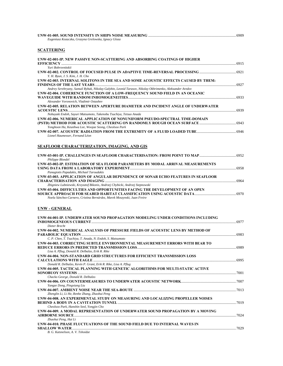| Eugeniusz Kozaczka, Grazyna Grelowska, Ignacy Gloza                                                                                                                                         |  |
|---------------------------------------------------------------------------------------------------------------------------------------------------------------------------------------------|--|
| <b>SCATTERING</b>                                                                                                                                                                           |  |
| UNW-02-001-IP. NEW PASSIVE NON-SCATTERING AND ABSORBING COATINGS OF HIGHER                                                                                                                  |  |
| Yuri Bohrovnitskii                                                                                                                                                                          |  |
| Y. H. Byun, J. S. Kim, J. H. Cho<br>UNW-02-003. INTERNAL SOLITONS IN THE SEA AND SOME ACOUSTIC EFFECTS CAUSED BY THEM:                                                                      |  |
| Andrey Serebryany, Samuil Rybak, Nikolay Galybin, Leonid Tarasov, Nikolay Okhrimenko, Aleksander Aredov                                                                                     |  |
| UNW-02-004. COHERENCE FUNCTION OF A LOW-FREQUENCY SOUND FIELD IN AN OCEANIC                                                                                                                 |  |
| Alexander Voronovich, Vladimir Ostashev                                                                                                                                                     |  |
| UNW-02-005. RELATION BETWEEN APERTURE DIAMETER AND INCIDENT ANGLE OF UNDERWATER                                                                                                             |  |
| Nobuyuki Endoh, Sayuri Matsumoto, Takenobu Tsuchiya, Tetsuo Anada<br>UNW-02-006. NUMERICAL APPLICATION OF NONUNIFORM PSEUDO-SPECTRAL TIME-DOMAIN                                            |  |
| Yonghoon Ha, Keunhwa Lee, Woojae Seong, Cheolsoo Park                                                                                                                                       |  |
| Lionel Haumesser, Fernand Léon                                                                                                                                                              |  |
| <b>SEAFLOOR CHARACTERIZATION, IMAGING, AND GIS</b>                                                                                                                                          |  |
|                                                                                                                                                                                             |  |
| Philippe Blondel                                                                                                                                                                            |  |
| UNW-03-002-IP. ESTIMATION OF SEA FLOOR PARAMETERS BY MODAL ARRIVAL MEASUREMENTS<br>Panagiotis Papadakis, Michael Taroudakis                                                                 |  |
| UNW-03-003. APPLICATION OF ANGULAR DEPENDENCE OF SONAR ECHO FEATURES IN SEAFLOOR                                                                                                            |  |
| Zbigniew Lubniewski, Krzysztof Bikonis, Andrzej Chybicki, Andrzej Stepnowski                                                                                                                |  |
| UNW-03-004. DIFFICULTIES AND OPPORTUNITIES FACING THE DEVELOPMENT OF AN OPEN<br>Noela Sánchez-Carnero, Cristina Bernárdez, Marek Moszynski, Juan Freire                                     |  |
| UNW - GENERAL                                                                                                                                                                               |  |
| UNW-04-001-IP. UNDERWATER SOUND PROPAGATION MODELING UNDER CONDITIONS INCLUDING<br>Dieter Brecht                                                                                            |  |
| UNW-04-002. NUMERICAL ANALYSIS OF PRESSURE FIELDS OF ACOUSTIC LENS BY METHOD OF                                                                                                             |  |
| C. P. Chen, T. Tsuchiya, T. Anada, N. Endoh, S. Matsumoto<br>UNW-04-003. CORRECTING SUBTLE ENVIRONMENTAL MEASUREMENT ERRORS WITH BEAR TO<br>Lisa A. Pflug, Donald R. Delbalzo, Erik R. Rike |  |
| UNW-04-004. NON-STANDARD GRID STRUCTURES FOR EFFICIENT TRANSMISSION LOSS                                                                                                                    |  |
| Donald R. Delbalzo, Kevin P. Grant, Erik R. Rike, Lisa A. Pflug<br>UNW-04-005. TACTICAL PLANNING WITH GENETIC ALGORITHMS FOR MULTI-STATIC ACTIVE                                            |  |
| Chacko George, Donald R. Delbalzo                                                                                                                                                           |  |
| Yangze Dong, Pingxiang Liu                                                                                                                                                                  |  |
| Zhenglin Li, Li He, Renhe Zhang, Zhaohui Peng<br>UNW-04-008. AN EXPERIMENTAL STUDY ON MEASURING AND LOCALIZING PROPELLER NOISES                                                             |  |
| Cheolsoo Park, Hanshin Seol, Yongjin Cho                                                                                                                                                    |  |
| UNW-04-009. A MODAL REPRESENTATION OF UNDERWATER SOUND PROPAGATION BY A MOVING                                                                                                              |  |
| Zhaohui Peng, Hui Li<br>UNW-04-010. PHASE FLUCTUATIONS OF THE SOUND FIELD DUE TO INTERNAL WAVES IN                                                                                          |  |
| B. G. Katsnelson, A. V. Tshoidze                                                                                                                                                            |  |

**UNW-01-005. SOUND INTENSITY IN SHIPS NOISE MEASURING** ................................................................................................6909